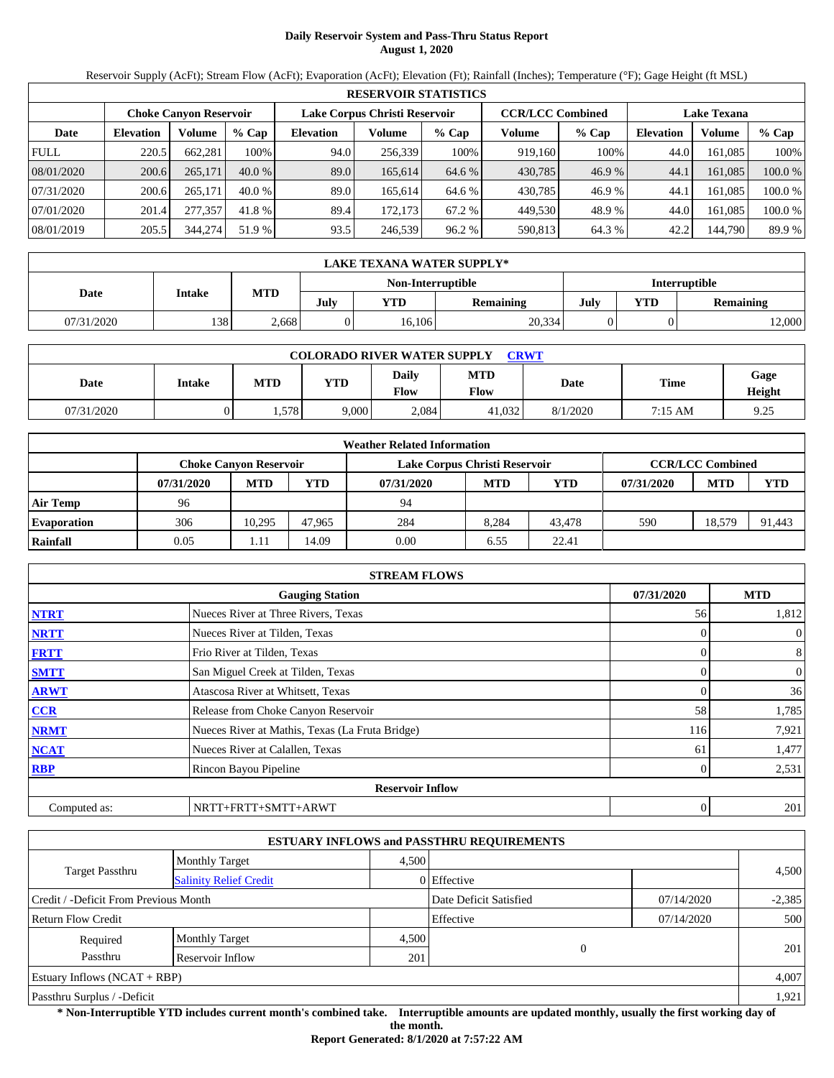# **Daily Reservoir System and Pass-Thru Status Report August 1, 2020**

Reservoir Supply (AcFt); Stream Flow (AcFt); Evaporation (AcFt); Elevation (Ft); Rainfall (Inches); Temperature (°F); Gage Height (ft MSL)

|             | <b>RESERVOIR STATISTICS</b>                                                                                     |         |          |                  |         |         |         |         |                  |         |         |
|-------------|-----------------------------------------------------------------------------------------------------------------|---------|----------|------------------|---------|---------|---------|---------|------------------|---------|---------|
|             | Lake Corpus Christi Reservoir<br><b>CCR/LCC Combined</b><br><b>Lake Texana</b><br><b>Choke Canvon Reservoir</b> |         |          |                  |         |         |         |         |                  |         |         |
| Date        | <b>Elevation</b>                                                                                                | Volume  | $%$ Cap  | <b>Elevation</b> | Volume  | $%$ Cap | Volume  | $%$ Cap | <b>Elevation</b> | Volume  | $%$ Cap |
| <b>FULL</b> | 220.5                                                                                                           | 662.281 | 100%     | 94.0             | 256.339 | 100%    | 919.160 | 100%    | 44.0             | 161.085 | 100%    |
| 08/01/2020  | 200.6                                                                                                           | 265,171 | $40.0\%$ | 89.0             | 165.614 | 64.6 %  | 430,785 | 46.9%   | 44.1             | 161.085 | 100.0 % |
| 07/31/2020  | 200.6                                                                                                           | 265,171 | $40.0\%$ | 89.0             | 165.614 | 64.6 %  | 430.785 | 46.9 %  | 44.1             | 161.085 | 100.0 % |
| 07/01/2020  | 201.4                                                                                                           | 277,357 | 41.8 %   | 89.4             | 172.173 | 67.2 %  | 449.530 | 48.9 %  | 44.0             | 161.085 | 100.0 % |
| 08/01/2019  | 205.5                                                                                                           | 344,274 | 51.9 %   | 93.5             | 246,539 | 96.2%   | 590,813 | 64.3 %  | 42.2             | 144,790 | 89.9 %  |

|                                           | <b>LAKE TEXANA WATER SUPPLY*</b> |       |      |        |                  |      |            |                  |  |  |  |
|-------------------------------------------|----------------------------------|-------|------|--------|------------------|------|------------|------------------|--|--|--|
| <b>Interruptible</b><br>Non-Interruptible |                                  |       |      |        |                  |      |            |                  |  |  |  |
| Date                                      | Intake                           | MTD   | July | YTD    | <b>Remaining</b> | July | <b>YTD</b> | <b>Remaining</b> |  |  |  |
| 07/31/2020                                | 138                              | 2,668 |      | 16.106 | 20,334           |      |            | 12,000           |  |  |  |

| <b>COLORADO RIVER WATER SUPPLY</b><br><b>CRWT</b> |        |            |       |               |                    |          |             |                |  |  |
|---------------------------------------------------|--------|------------|-------|---------------|--------------------|----------|-------------|----------------|--|--|
| Date                                              | Intake | <b>MTD</b> | YTD   | Daily<br>Flow | MTD<br><b>Flow</b> | Date     | <b>Time</b> | Gage<br>Height |  |  |
| 07/31/2020                                        |        | . 578      | 9,000 | 2,084         | 41.032             | 8/1/2020 | 7:15 AM     | 9.25           |  |  |

|                    | <b>Weather Related Information</b> |                               |        |                               |            |            |            |                         |            |  |
|--------------------|------------------------------------|-------------------------------|--------|-------------------------------|------------|------------|------------|-------------------------|------------|--|
|                    |                                    | <b>Choke Canvon Reservoir</b> |        | Lake Corpus Christi Reservoir |            |            |            | <b>CCR/LCC Combined</b> |            |  |
|                    | 07/31/2020                         | <b>MTD</b>                    | YTD    | 07/31/2020                    | <b>MTD</b> | <b>YTD</b> | 07/31/2020 | <b>MTD</b>              | <b>YTD</b> |  |
| <b>Air Temp</b>    | 96                                 |                               |        | 94                            |            |            |            |                         |            |  |
| <b>Evaporation</b> | 306                                | 10.295                        | 47.965 | 284                           | 8.284      | 43.478     | 590        | 18.579                  | 91.443     |  |
| Rainfall           | 0.05                               | 1.11                          | 14.09  | 0.00                          | 6.55       | 22.41      |            |                         |            |  |

|              | <b>STREAM FLOWS</b>                             |            |              |
|--------------|-------------------------------------------------|------------|--------------|
|              | <b>Gauging Station</b>                          | 07/31/2020 | <b>MTD</b>   |
| <b>NTRT</b>  | Nueces River at Three Rivers, Texas             | 56         | 1,812        |
| <b>NRTT</b>  | Nueces River at Tilden, Texas                   |            | $\mathbf{0}$ |
| <b>FRTT</b>  | Frio River at Tilden, Texas                     |            | 8            |
| <b>SMTT</b>  | San Miguel Creek at Tilden, Texas               | 0          | $\mathbf{0}$ |
| <b>ARWT</b>  | Atascosa River at Whitsett, Texas               |            | 36           |
| <b>CCR</b>   | Release from Choke Canyon Reservoir             | 58         | 1,785        |
| <b>NRMT</b>  | Nueces River at Mathis, Texas (La Fruta Bridge) | 116        | 7,921        |
| <b>NCAT</b>  | Nueces River at Calallen, Texas                 | 61         | 1,477        |
| <b>RBP</b>   | Rincon Bayou Pipeline                           |            | 2,531        |
|              | <b>Reservoir Inflow</b>                         |            |              |
| Computed as: | NRTT+FRTT+SMTT+ARWT                             | 0          | 201          |

|                                       |                               |       | <b>ESTUARY INFLOWS and PASSTHRU REQUIREMENTS</b> |            |          |
|---------------------------------------|-------------------------------|-------|--------------------------------------------------|------------|----------|
|                                       | <b>Monthly Target</b>         | 4.500 |                                                  |            |          |
| Target Passthru                       | <b>Salinity Relief Credit</b> |       | 0 Effective                                      |            | 4,500    |
| Credit / -Deficit From Previous Month |                               |       | Date Deficit Satisfied                           | 07/14/2020 | $-2,385$ |
| <b>Return Flow Credit</b>             |                               |       | Effective                                        | 07/14/2020 | 500      |
| Required                              | <b>Monthly Target</b>         | 4,500 |                                                  |            |          |
| Passthru                              | Reservoir Inflow              | 201   | $\Omega$                                         |            | 201      |
| <b>Estuary Inflows (NCAT + RBP)</b>   |                               |       |                                                  |            | 4,007    |
| Passthru Surplus / -Deficit           |                               |       |                                                  |            | 1.921    |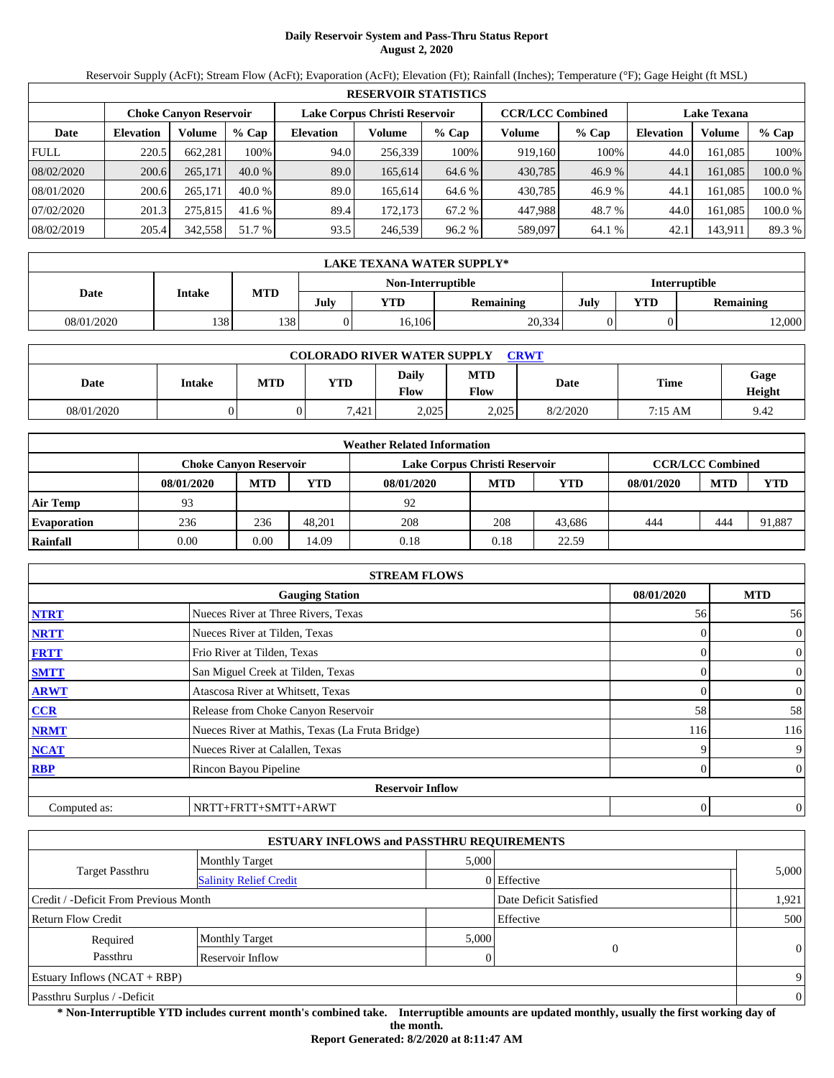# **Daily Reservoir System and Pass-Thru Status Report August 2, 2020**

Reservoir Supply (AcFt); Stream Flow (AcFt); Evaporation (AcFt); Elevation (Ft); Rainfall (Inches); Temperature (°F); Gage Height (ft MSL)

|             | <b>RESERVOIR STATISTICS</b>                                                               |         |          |                  |         |         |         |        |                  |                    |         |
|-------------|-------------------------------------------------------------------------------------------|---------|----------|------------------|---------|---------|---------|--------|------------------|--------------------|---------|
|             | Lake Corpus Christi Reservoir<br><b>CCR/LCC Combined</b><br><b>Choke Canvon Reservoir</b> |         |          |                  |         |         |         |        |                  | <b>Lake Texana</b> |         |
| Date        | <b>Elevation</b>                                                                          | Volume  | $%$ Cap  | <b>Elevation</b> | Volume  | $%$ Cap | Volume  | % Cap  | <b>Elevation</b> | Volume             | $%$ Cap |
| <b>FULL</b> | 220.5                                                                                     | 662.281 | 100%     | 94.0             | 256,339 | 100%    | 919,160 | 100%   | 44.0             | 161.085            | 100%    |
| 08/02/2020  | 200.6                                                                                     | 265,171 | $40.0\%$ | 89.0             | 165,614 | 64.6 %  | 430,785 | 46.9%  | 44.1             | 161.085            | 100.0 % |
| 08/01/2020  | 200.6                                                                                     | 265,171 | $40.0\%$ | 89.0             | 165.614 | 64.6 %  | 430,785 | 46.9 % | 44.1             | 161.085            | 100.0 % |
| 07/02/2020  | 201.3                                                                                     | 275,815 | 41.6 %   | 89.4             | 172.173 | 67.2 %  | 447.988 | 48.7 % | 44.0             | 161.085            | 100.0 % |
| 08/02/2019  | 205.4                                                                                     | 342,558 | 51.7 %   | 93.5             | 246,539 | 96.2 %  | 589,097 | 64.1 % | 42.1             | 143,911            | 89.3 %  |

| <b>LAKE TEXANA WATER SUPPLY*</b>                 |        |     |      |            |                  |      |     |                  |  |  |
|--------------------------------------------------|--------|-----|------|------------|------------------|------|-----|------------------|--|--|
| <b>Interruptible</b><br><b>Non-Interruptible</b> |        |     |      |            |                  |      |     |                  |  |  |
| Date                                             | Intake | MTD | July | <b>YTD</b> | <b>Remaining</b> | July | VTD | <b>Remaining</b> |  |  |
| 08/01/2020                                       | 138    | 138 |      | 16.106     | 20,334           |      |     | 2,000            |  |  |

| <b>COLORADO RIVER WATER SUPPLY</b><br><b>CRWT</b> |        |     |            |                      |             |          |         |                |  |  |
|---------------------------------------------------|--------|-----|------------|----------------------|-------------|----------|---------|----------------|--|--|
| Date                                              | Intake | MTD | <b>YTD</b> | <b>Daily</b><br>Flow | MTD<br>Flow | Date     | Time    | Gage<br>Height |  |  |
| 08/01/2020                                        |        |     | 7.421      | 2,025                | 2,025       | 8/2/2020 | 7:15 AM | 9.42           |  |  |

|                    | <b>Weather Related Information</b> |            |            |                               |            |        |            |                         |            |  |  |
|--------------------|------------------------------------|------------|------------|-------------------------------|------------|--------|------------|-------------------------|------------|--|--|
|                    | <b>Choke Canvon Reservoir</b>      |            |            | Lake Corpus Christi Reservoir |            |        |            | <b>CCR/LCC Combined</b> |            |  |  |
|                    | 08/01/2020                         | <b>MTD</b> | <b>YTD</b> | 08/01/2020                    | <b>MTD</b> | YTD    | 08/01/2020 | <b>MTD</b>              | <b>YTD</b> |  |  |
| <b>Air Temp</b>    | 93                                 |            |            | 92                            |            |        |            |                         |            |  |  |
| <b>Evaporation</b> | 236                                | 236        | 48.201     | 208                           | 208        | 43.686 | 444        | 444                     | 91,887     |  |  |
| Rainfall           | 0.00                               | 0.00       | 14.09      | 0.18                          | 0.18       | 22.59  |            |                         |            |  |  |

|              | <b>STREAM FLOWS</b>                             |            |                |
|--------------|-------------------------------------------------|------------|----------------|
|              | <b>Gauging Station</b>                          | 08/01/2020 | <b>MTD</b>     |
| <b>NTRT</b>  | Nueces River at Three Rivers, Texas             | 56         | 56             |
| <b>NRTT</b>  | Nueces River at Tilden, Texas                   | 0          | $\mathbf{0}$   |
| <b>FRTT</b>  | Frio River at Tilden, Texas                     | 0          | $\mathbf{0}$   |
| <b>SMTT</b>  | San Miguel Creek at Tilden, Texas               |            | $\mathbf{0}$   |
| <b>ARWT</b>  | Atascosa River at Whitsett, Texas               |            | $\mathbf{0}$   |
| <b>CCR</b>   | Release from Choke Canyon Reservoir             | 58         | 58             |
| <b>NRMT</b>  | Nueces River at Mathis, Texas (La Fruta Bridge) | 116        | 116            |
| <b>NCAT</b>  | Nueces River at Calallen, Texas                 | o          | 9              |
| <b>RBP</b>   | Rincon Bayou Pipeline                           | 0          | $\overline{0}$ |
|              | <b>Reservoir Inflow</b>                         |            |                |
| Computed as: | NRTT+FRTT+SMTT+ARWT                             | 0          | $\theta$       |

|                                       | <b>ESTUARY INFLOWS and PASSTHRU REQUIREMENTS</b> |       |                        |                |
|---------------------------------------|--------------------------------------------------|-------|------------------------|----------------|
|                                       | <b>Monthly Target</b>                            | 5,000 |                        |                |
| <b>Target Passthru</b>                | <b>Salinity Relief Credit</b>                    |       | 0 Effective            | 5,000          |
| Credit / -Deficit From Previous Month |                                                  |       | Date Deficit Satisfied | 1,921          |
| Return Flow Credit                    |                                                  |       | Effective              | 500            |
| Required                              | <b>Monthly Target</b>                            | 5,000 |                        |                |
| Passthru                              | <b>Reservoir Inflow</b>                          |       | 0                      | $\overline{0}$ |
| Estuary Inflows $(NCAT + RBP)$        |                                                  |       |                        | 9              |
| Passthru Surplus / -Deficit           |                                                  |       |                        | $\overline{0}$ |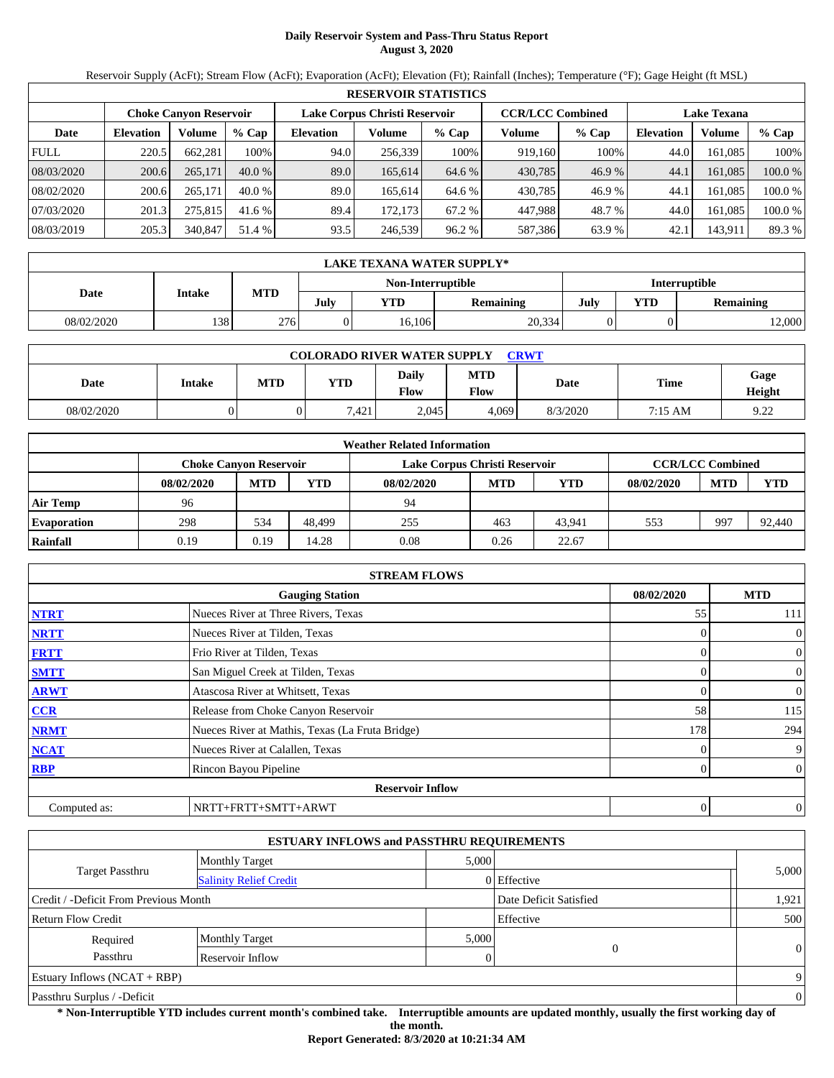# **Daily Reservoir System and Pass-Thru Status Report August 3, 2020**

Reservoir Supply (AcFt); Stream Flow (AcFt); Evaporation (AcFt); Elevation (Ft); Rainfall (Inches); Temperature (°F); Gage Height (ft MSL)

|             | <b>RESERVOIR STATISTICS</b> |                               |          |                               |         |         |                         |        |                    |         |         |  |  |
|-------------|-----------------------------|-------------------------------|----------|-------------------------------|---------|---------|-------------------------|--------|--------------------|---------|---------|--|--|
|             |                             | <b>Choke Canvon Reservoir</b> |          | Lake Corpus Christi Reservoir |         |         | <b>CCR/LCC Combined</b> |        | <b>Lake Texana</b> |         |         |  |  |
| Date        | <b>Elevation</b>            | Volume                        | $%$ Cap  | <b>Elevation</b>              | Volume  | $%$ Cap | Volume                  | % Cap  | <b>Elevation</b>   | Volume  | $%$ Cap |  |  |
| <b>FULL</b> | 220.5                       | 662.281                       | 100%     | 94.0                          | 256,339 | 100%    | 919,160                 | 100%   | 44.0               | 161.085 | 100%    |  |  |
| 08/03/2020  | 200.6                       | 265,171                       | $40.0\%$ | 89.0                          | 165,614 | 64.6 %  | 430,785                 | 46.9%  | 44.1               | 161.085 | 100.0 % |  |  |
| 08/02/2020  | 200.6                       | 265,171                       | $40.0\%$ | 89.0                          | 165.614 | 64.6 %  | 430,785                 | 46.9 % | 44.1               | 161.085 | 100.0 % |  |  |
| 07/03/2020  | 201.3                       | 275,815                       | 41.6 %   | 89.4                          | 172.173 | 67.2 %  | 447.988                 | 48.7 % | 44.0               | 161.085 | 100.0 % |  |  |
| 08/03/2019  | 205.3                       | 340,847                       | 51.4 %   | 93.5                          | 246,539 | 96.2%   | 587,386                 | 63.9 % | 42.1               | 143,911 | 89.3 %  |  |  |

| <b>LAKE TEXANA WATER SUPPLY*</b>                 |        |     |      |            |                  |      |     |                  |  |  |  |
|--------------------------------------------------|--------|-----|------|------------|------------------|------|-----|------------------|--|--|--|
| <b>Interruptible</b><br><b>Non-Interruptible</b> |        |     |      |            |                  |      |     |                  |  |  |  |
| Date                                             | Intake | MTD | July | <b>YTD</b> | <b>Remaining</b> | July | VTD | <b>Remaining</b> |  |  |  |
| 08/02/2020                                       | 138    | 276 |      | 16.106     | 20,334           |      |     | 2,000            |  |  |  |

| <b>COLORADO RIVER WATER SUPPLY</b><br><b>CRWT</b> |        |     |            |                      |             |          |         |                |  |  |
|---------------------------------------------------|--------|-----|------------|----------------------|-------------|----------|---------|----------------|--|--|
| Date                                              | Intake | MTD | <b>YTD</b> | <b>Daily</b><br>Flow | MTD<br>Flow | Date     | Time    | Gage<br>Height |  |  |
| 08/02/2020                                        |        |     | 7.421      | 2.045                | 4.069       | 8/3/2020 | 7:15 AM | 922<br>.       |  |  |

|                    | <b>Weather Related Information</b> |            |            |                               |            |        |                         |            |            |  |  |  |
|--------------------|------------------------------------|------------|------------|-------------------------------|------------|--------|-------------------------|------------|------------|--|--|--|
|                    | <b>Choke Canvon Reservoir</b>      |            |            | Lake Corpus Christi Reservoir |            |        | <b>CCR/LCC Combined</b> |            |            |  |  |  |
|                    | 08/02/2020                         | <b>MTD</b> | <b>YTD</b> | 08/02/2020                    | <b>MTD</b> | YTD    | 08/02/2020              | <b>MTD</b> | <b>YTD</b> |  |  |  |
| <b>Air Temp</b>    | 96                                 |            |            | 94                            |            |        |                         |            |            |  |  |  |
| <b>Evaporation</b> | 298                                | 534        | 48.499     | 255                           | 463        | 43.941 | 553                     | 997        | 92,440     |  |  |  |
| Rainfall           | 0.19                               | 0.19       | 14.28      | 0.08                          | 0.26       | 22.67  |                         |            |            |  |  |  |

|              | <b>STREAM FLOWS</b>                             |            |                |
|--------------|-------------------------------------------------|------------|----------------|
|              | <b>Gauging Station</b>                          | 08/02/2020 | <b>MTD</b>     |
| <b>NTRT</b>  | Nueces River at Three Rivers, Texas             | 55         | 111            |
| <b>NRTT</b>  | Nueces River at Tilden, Texas                   | 0          | $\mathbf{0}$   |
| <b>FRTT</b>  | Frio River at Tilden, Texas                     | 0          | $\mathbf{0}$   |
| <b>SMTT</b>  | San Miguel Creek at Tilden, Texas               |            | $\mathbf{0}$   |
| <b>ARWT</b>  | Atascosa River at Whitsett, Texas               |            | $\mathbf{0}$   |
| <b>CCR</b>   | Release from Choke Canyon Reservoir             | 58         | 115            |
| <b>NRMT</b>  | Nueces River at Mathis, Texas (La Fruta Bridge) | 178        | 294            |
| <b>NCAT</b>  | Nueces River at Calallen, Texas                 |            | 9              |
| <b>RBP</b>   | Rincon Bayou Pipeline                           | 0          | $\overline{0}$ |
|              | <b>Reservoir Inflow</b>                         |            |                |
| Computed as: | NRTT+FRTT+SMTT+ARWT                             | 0          | $\theta$       |

|                                       | <b>ESTUARY INFLOWS and PASSTHRU REQUIREMENTS</b> |       |                        |                |
|---------------------------------------|--------------------------------------------------|-------|------------------------|----------------|
|                                       | <b>Monthly Target</b>                            | 5,000 |                        |                |
| Target Passthru                       | <b>Salinity Relief Credit</b>                    |       | 0 Effective            | 5,000          |
| Credit / -Deficit From Previous Month |                                                  |       | Date Deficit Satisfied | 1,921          |
| Return Flow Credit                    |                                                  |       | Effective              | 500            |
| Required                              | <b>Monthly Target</b>                            | 5,000 |                        |                |
| Passthru                              | Reservoir Inflow                                 |       | $\theta$               | $\overline{0}$ |
| Estuary Inflows $(NCAT + RBP)$        |                                                  |       |                        | 9              |
| Passthru Surplus / -Deficit           |                                                  |       |                        | $\overline{0}$ |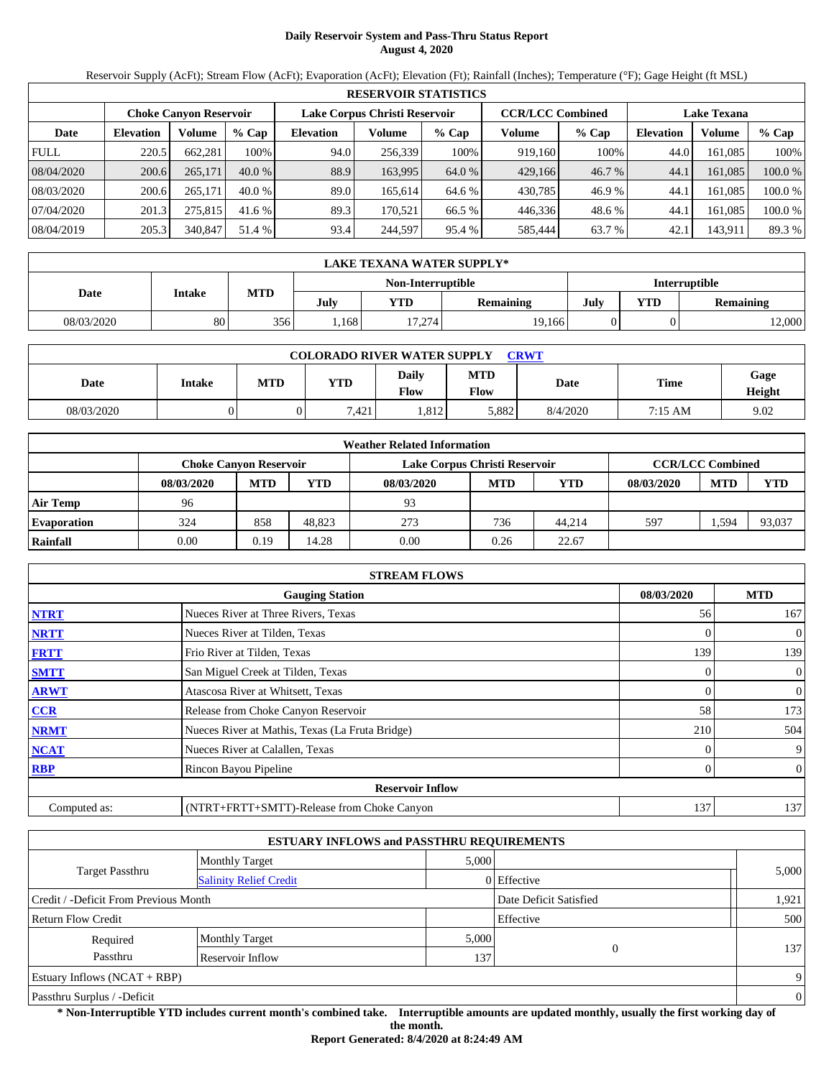# **Daily Reservoir System and Pass-Thru Status Report August 4, 2020**

Reservoir Supply (AcFt); Stream Flow (AcFt); Evaporation (AcFt); Elevation (Ft); Rainfall (Inches); Temperature (°F); Gage Height (ft MSL)

|             | <b>RESERVOIR STATISTICS</b> |                               |          |                               |         |         |                         |         |                    |         |         |  |  |
|-------------|-----------------------------|-------------------------------|----------|-------------------------------|---------|---------|-------------------------|---------|--------------------|---------|---------|--|--|
|             |                             | <b>Choke Canvon Reservoir</b> |          | Lake Corpus Christi Reservoir |         |         | <b>CCR/LCC Combined</b> |         | <b>Lake Texana</b> |         |         |  |  |
| Date        | <b>Elevation</b>            | Volume                        | $%$ Cap  | <b>Elevation</b>              | Volume  | $%$ Cap | Volume                  | $%$ Cap | <b>Elevation</b>   | Volume  | % Cap   |  |  |
| <b>FULL</b> | 220.5                       | 662.281                       | 100%     | 94.0                          | 256,339 | 100%    | 919.160                 | 100%    | 44.0               | 161.085 | 100%    |  |  |
| 08/04/2020  | 200.6                       | 265,171                       | $40.0\%$ | 88.9                          | 163.995 | 64.0 %  | 429,166                 | 46.7%   | 44.1               | 161.085 | 100.0 % |  |  |
| 08/03/2020  | 200.6                       | 265,171                       | $40.0\%$ | 89.0                          | 165.614 | 64.6 %  | 430,785                 | 46.9 %  | 44.1               | 161.085 | 100.0 % |  |  |
| 07/04/2020  | 201.3                       | 275,815                       | 41.6 %   | 89.3                          | 170.521 | 66.5 %  | 446.336                 | 48.6 %  | 44.1               | 161.085 | 100.0 % |  |  |
| 08/04/2019  | 205.3                       | 340,847                       | 51.4 %   | 93.4                          | 244,597 | 95.4 %  | 585,444                 | 63.7 %  | 42.1               | 143,911 | 89.3 %  |  |  |

|                                    | LAKE TEXANA WATER SUPPLY* |            |      |        |                  |      |                  |        |  |  |  |  |
|------------------------------------|---------------------------|------------|------|--------|------------------|------|------------------|--------|--|--|--|--|
| Interruptible<br>Non-Interruptible |                           |            |      |        |                  |      |                  |        |  |  |  |  |
| Date                               | Intake                    | <b>MTD</b> | Julv | YTD    | <b>Remaining</b> | July | <b>Remaining</b> |        |  |  |  |  |
| 08/03/2020                         | 80                        | 356        | ,168 | 17.274 | 19,166           |      |                  | 12,000 |  |  |  |  |

| <b>COLORADO RIVER WATER SUPPLY</b><br><b>CRWT</b> |        |     |       |               |                           |          |         |                |  |  |
|---------------------------------------------------|--------|-----|-------|---------------|---------------------------|----------|---------|----------------|--|--|
| Date                                              | Intake | MTD | YTD   | Daily<br>Flow | <b>MTD</b><br><b>Flow</b> | Date     | Time    | Gage<br>Height |  |  |
| 08/03/2020                                        |        | 0   | 7,421 | .812          | 5,882                     | 8/4/2020 | 7:15 AM | 9.02           |  |  |

|                    | <b>Weather Related Information</b> |            |            |                               |                         |            |            |            |            |  |  |  |
|--------------------|------------------------------------|------------|------------|-------------------------------|-------------------------|------------|------------|------------|------------|--|--|--|
|                    | <b>Choke Canvon Reservoir</b>      |            |            | Lake Corpus Christi Reservoir | <b>CCR/LCC Combined</b> |            |            |            |            |  |  |  |
|                    | 08/03/2020                         | <b>MTD</b> | <b>YTD</b> | 08/03/2020                    | <b>MTD</b>              | <b>YTD</b> | 08/03/2020 | <b>MTD</b> | <b>YTD</b> |  |  |  |
| Air Temp           | 96                                 |            |            | 93                            |                         |            |            |            |            |  |  |  |
| <b>Evaporation</b> | 324                                | 858        | 48,823     | 273                           | 736                     | 44.214     | 597        | .594       | 93,037     |  |  |  |
| Rainfall           | 0.00                               | 0.19       | 14.28      | 0.00                          | 0.26                    | 22.67      |            |            |            |  |  |  |

|                                      | <b>STREAM FLOWS</b>                             |     |                |  |  |  |  |  |  |
|--------------------------------------|-------------------------------------------------|-----|----------------|--|--|--|--|--|--|
| 08/03/2020<br><b>Gauging Station</b> |                                                 |     |                |  |  |  |  |  |  |
| <b>NTRT</b>                          | Nueces River at Three Rivers, Texas             | 56  | 167            |  |  |  |  |  |  |
| <b>NRTT</b>                          | Nueces River at Tilden, Texas                   |     | $\overline{0}$ |  |  |  |  |  |  |
| <b>FRTT</b>                          | Frio River at Tilden, Texas                     | 139 | 139            |  |  |  |  |  |  |
| <b>SMTT</b>                          | San Miguel Creek at Tilden, Texas               | 0   | $\overline{0}$ |  |  |  |  |  |  |
| <b>ARWT</b>                          | Atascosa River at Whitsett, Texas               | 0   | $\mathbf{0}$   |  |  |  |  |  |  |
| <b>CCR</b>                           | Release from Choke Canyon Reservoir             | 58  | 173            |  |  |  |  |  |  |
| <b>NRMT</b>                          | Nueces River at Mathis, Texas (La Fruta Bridge) | 210 | 504            |  |  |  |  |  |  |
| <b>NCAT</b>                          | Nueces River at Calallen, Texas                 |     | 9              |  |  |  |  |  |  |
| <b>RBP</b>                           | Rincon Bayou Pipeline                           | 0   | $\overline{0}$ |  |  |  |  |  |  |
|                                      | <b>Reservoir Inflow</b>                         |     |                |  |  |  |  |  |  |
| Computed as:                         | (NTRT+FRTT+SMTT)-Release from Choke Canyon      | 137 | 137            |  |  |  |  |  |  |

|                                       | <b>ESTUARY INFLOWS and PASSTHRU REQUIREMENTS</b> |       |                        |                |  |
|---------------------------------------|--------------------------------------------------|-------|------------------------|----------------|--|
|                                       | <b>Monthly Target</b>                            | 5,000 |                        |                |  |
| <b>Target Passthru</b>                | <b>Salinity Relief Credit</b>                    |       | 0 Effective            | 5,000          |  |
| Credit / -Deficit From Previous Month |                                                  |       | Date Deficit Satisfied | 1,921          |  |
| Return Flow Credit                    |                                                  |       | Effective              | 500            |  |
| Required                              | <b>Monthly Target</b>                            | 5,000 |                        |                |  |
| Passthru<br>Reservoir Inflow          |                                                  | 137   | 0                      | 137            |  |
| <b>Estuary Inflows (NCAT + RBP)</b>   |                                                  |       |                        | 9              |  |
| Passthru Surplus / -Deficit           |                                                  |       |                        | $\overline{0}$ |  |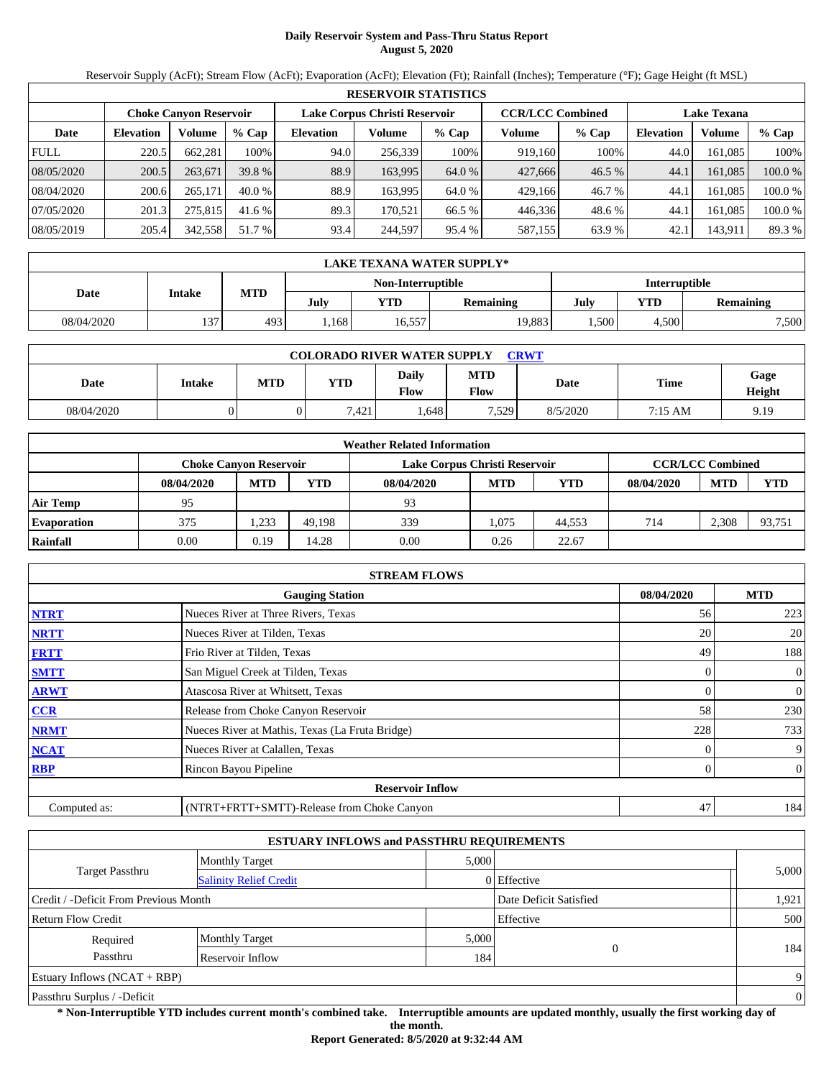# **Daily Reservoir System and Pass-Thru Status Report August 5, 2020**

Reservoir Supply (AcFt); Stream Flow (AcFt); Evaporation (AcFt); Elevation (Ft); Rainfall (Inches); Temperature (°F); Gage Height (ft MSL)

|             | <b>RESERVOIR STATISTICS</b> |                               |          |                  |                               |         |                         |        |                    |         |         |  |
|-------------|-----------------------------|-------------------------------|----------|------------------|-------------------------------|---------|-------------------------|--------|--------------------|---------|---------|--|
|             |                             | <b>Choke Canvon Reservoir</b> |          |                  | Lake Corpus Christi Reservoir |         | <b>CCR/LCC Combined</b> |        | <b>Lake Texana</b> |         |         |  |
| Date        | <b>Elevation</b>            | Volume                        | $%$ Cap  | <b>Elevation</b> | Volume                        | $%$ Cap | Volume                  | % Cap  | <b>Elevation</b>   | Volume  | $%$ Cap |  |
| <b>FULL</b> | 220.5                       | 662.281                       | 100%     | 94.0             | 256.339                       | 100%    | 919,160                 | 100%   | 44.0               | 161.085 | 100%    |  |
| 08/05/2020  | 200.5                       | 263,671                       | 39.8 %   | 88.9             | 163.995                       | 64.0 %  | 427,666                 | 46.5%  | 44.1               | 161.085 | 100.0 % |  |
| 08/04/2020  | 200.6                       | 265,171                       | $40.0\%$ | 88.9             | 163.995                       | 64.0 %  | 429.166                 | 46.7 % | 44.1               | 161.085 | 100.0 % |  |
| 07/05/2020  | 201.3                       | 275,815                       | 41.6 %   | 89.3             | 170.521                       | 66.5 %  | 446,336                 | 48.6 % | 44.1               | 161.085 | 100.0%  |  |
| 08/05/2019  | 205.4                       | 342,558                       | 51.7 %   | 93.4             | 244,597                       | 95.4%   | 587,155                 | 63.9 % | 42.1               | 143,911 | 89.3 %  |  |

|                                    | <b>LAKE TEXANA WATER SUPPLY*</b> |            |      |            |                  |                   |       |                  |  |  |  |
|------------------------------------|----------------------------------|------------|------|------------|------------------|-------------------|-------|------------------|--|--|--|
| Interruptible<br>Non-Interruptible |                                  |            |      |            |                  |                   |       |                  |  |  |  |
| Date                               | Intake                           | <b>MTD</b> | July | <b>VTD</b> | <b>Remaining</b> | July              | YTD   | <b>Remaining</b> |  |  |  |
| 08/04/2020                         | 137                              | 493        | .168 | 16,557     | 19,883           | .500 <sup>1</sup> | 4.500 | 7,500            |  |  |  |

| <b>COLORADO RIVER WATER SUPPLY</b><br><b>CRWT</b> |        |            |       |               |                           |          |         |                |  |  |
|---------------------------------------------------|--------|------------|-------|---------------|---------------------------|----------|---------|----------------|--|--|
| <b>Date</b>                                       | Intake | <b>MTD</b> | YTD   | Daily<br>Flow | <b>MTD</b><br><b>Flow</b> | Date     | Time    | Gage<br>Height |  |  |
| 08/04/2020                                        |        |            | 7.421 | .648          | .529                      | 8/5/2020 | 7:15 AM | 9.19           |  |  |

|                    | <b>Weather Related Information</b> |                                                                |            |            |            |            |            |            |                         |  |  |
|--------------------|------------------------------------|----------------------------------------------------------------|------------|------------|------------|------------|------------|------------|-------------------------|--|--|
|                    |                                    | Lake Corpus Christi Reservoir<br><b>Choke Canvon Reservoir</b> |            |            |            |            |            |            | <b>CCR/LCC Combined</b> |  |  |
|                    | 08/04/2020                         | <b>MTD</b>                                                     | <b>YTD</b> | 08/04/2020 | <b>MTD</b> | <b>YTD</b> | 08/04/2020 | <b>MTD</b> | <b>YTD</b>              |  |  |
| Air Temp           | 95                                 |                                                                |            | 93         |            |            |            |            |                         |  |  |
| <b>Evaporation</b> | 375                                | .233                                                           | 49.198     | 339        | 1.075      | 44.553     | 714        | 2.308      | 93.751                  |  |  |
| Rainfall           | 0.00                               | 0.19                                                           | 14.28      | 0.00       | 0.26       | 22.67      |            |            |                         |  |  |

|                                      | <b>STREAM FLOWS</b>                             |     |                  |  |  |  |  |  |  |
|--------------------------------------|-------------------------------------------------|-----|------------------|--|--|--|--|--|--|
| 08/04/2020<br><b>Gauging Station</b> |                                                 |     |                  |  |  |  |  |  |  |
| <b>NTRT</b>                          | Nueces River at Three Rivers, Texas             | 56  | 223              |  |  |  |  |  |  |
| <b>NRTT</b>                          | Nueces River at Tilden, Texas                   | 20  | 20               |  |  |  |  |  |  |
| <b>FRTT</b>                          | Frio River at Tilden, Texas                     | 49  | 188              |  |  |  |  |  |  |
| <b>SMTT</b>                          | San Miguel Creek at Tilden, Texas               | 0   | $\boldsymbol{0}$ |  |  |  |  |  |  |
| <b>ARWT</b>                          | Atascosa River at Whitsett, Texas               |     | $\boldsymbol{0}$ |  |  |  |  |  |  |
| <b>CCR</b>                           | Release from Choke Canyon Reservoir             | 58  | 230              |  |  |  |  |  |  |
| <b>NRMT</b>                          | Nueces River at Mathis, Texas (La Fruta Bridge) | 228 | 733              |  |  |  |  |  |  |
| <b>NCAT</b>                          | Nueces River at Calallen, Texas                 |     | 9                |  |  |  |  |  |  |
| <b>RBP</b>                           | Rincon Bayou Pipeline                           |     | $\overline{0}$   |  |  |  |  |  |  |
|                                      | <b>Reservoir Inflow</b>                         |     |                  |  |  |  |  |  |  |
| Computed as:                         | (NTRT+FRTT+SMTT)-Release from Choke Canyon      | 47  | 184              |  |  |  |  |  |  |

| <b>ESTUARY INFLOWS and PASSTHRU REQUIREMENTS</b> |                               |       |                        |       |  |  |  |  |
|--------------------------------------------------|-------------------------------|-------|------------------------|-------|--|--|--|--|
|                                                  | <b>Monthly Target</b>         |       | 5,000                  |       |  |  |  |  |
| <b>Target Passthru</b>                           | <b>Salinity Relief Credit</b> |       | 0 Effective            | 5,000 |  |  |  |  |
| Credit / -Deficit From Previous Month            |                               |       | Date Deficit Satisfied | 1,921 |  |  |  |  |
| Return Flow Credit                               | Effective                     | 500   |                        |       |  |  |  |  |
| Required                                         | <b>Monthly Target</b>         | 5,000 |                        |       |  |  |  |  |
| Passthru                                         | Reservoir Inflow              | 184   | 0                      | 184   |  |  |  |  |
| <b>Estuary Inflows (NCAT + RBP)</b>              |                               |       |                        | 9     |  |  |  |  |
| Passthru Surplus / -Deficit                      |                               |       |                        |       |  |  |  |  |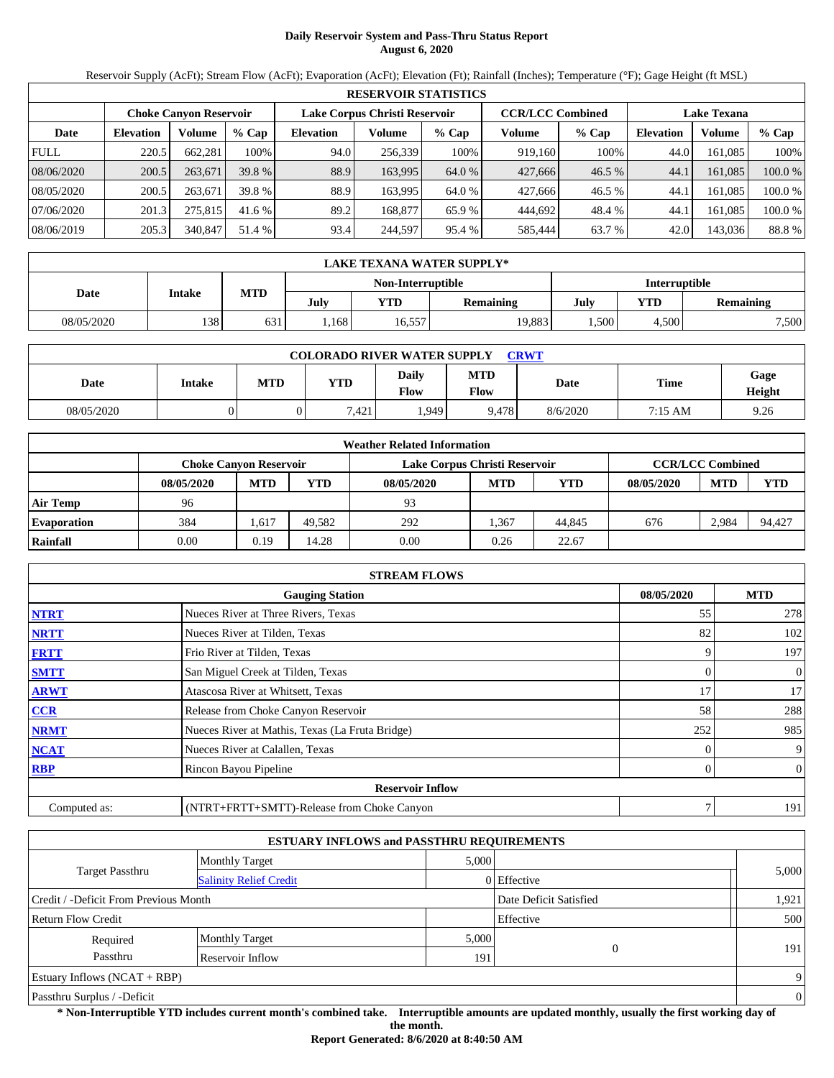# **Daily Reservoir System and Pass-Thru Status Report August 6, 2020**

Reservoir Supply (AcFt); Stream Flow (AcFt); Evaporation (AcFt); Elevation (Ft); Rainfall (Inches); Temperature (°F); Gage Height (ft MSL)

|             | <b>RESERVOIR STATISTICS</b> |                               |         |                               |         |         |                         |        |                    |         |         |  |
|-------------|-----------------------------|-------------------------------|---------|-------------------------------|---------|---------|-------------------------|--------|--------------------|---------|---------|--|
|             |                             | <b>Choke Canvon Reservoir</b> |         | Lake Corpus Christi Reservoir |         |         | <b>CCR/LCC Combined</b> |        | <b>Lake Texana</b> |         |         |  |
| Date        | <b>Elevation</b>            | Volume                        | $%$ Cap | <b>Elevation</b>              | Volume  | $%$ Cap | Volume                  | % Cap  | <b>Elevation</b>   | Volume  | $%$ Cap |  |
| <b>FULL</b> | 220.5                       | 662.281                       | 100%    | 94.0                          | 256.339 | 100%    | 919,160                 | 100%   | 44.0               | 161.085 | 100%    |  |
| 08/06/2020  | 200.5                       | 263,671                       | 39.8 %  | 88.9                          | 163.995 | 64.0 %  | 427,666                 | 46.5%  | 44.1               | 161.085 | 100.0 % |  |
| 08/05/2020  | 200.5                       | 263,671                       | 39.8 %  | 88.9                          | 163.995 | 64.0 %  | 427,666                 | 46.5 % | 44.1               | 161.085 | 100.0 % |  |
| 07/06/2020  | 201.3                       | 275,815                       | 41.6 %  | 89.2                          | 168,877 | 65.9 %  | 444.692                 | 48.4 % | 44.1               | 161.085 | 100.0 % |  |
| 08/06/2019  | 205.3                       | 340,847                       | 51.4 %  | 93.4                          | 244,597 | 95.4 %  | 585,444                 | 63.7 % | 42.0               | 143.036 | 88.8%   |  |

|            | LAKE TEXANA WATER SUPPLY*          |            |      |            |                  |      |       |                  |  |  |  |
|------------|------------------------------------|------------|------|------------|------------------|------|-------|------------------|--|--|--|
|            | Interruptible<br>Non-Interruptible |            |      |            |                  |      |       |                  |  |  |  |
| Date       | Intake                             | <b>MTD</b> | July | <b>YTD</b> | <b>Remaining</b> | July | YTD   | <b>Remaining</b> |  |  |  |
| 08/05/2020 | 138                                | 631        | ,168 | 16,557     | 19,883           | .500 | 4,500 | 7,500            |  |  |  |

| <b>COLORADO RIVER WATER SUPPLY</b><br><b>CRWT</b> |        |            |       |               |                           |          |         |                |  |  |
|---------------------------------------------------|--------|------------|-------|---------------|---------------------------|----------|---------|----------------|--|--|
| Date                                              | Intake | <b>MTD</b> | YTD   | Daily<br>Flow | <b>MTD</b><br><b>Flow</b> | Date     | Time    | Gage<br>Height |  |  |
| 08/05/2020                                        |        | 0          | 7,421 | .949          | 9.478                     | 8/6/2020 | 7:15 AM | 9.26           |  |  |

|                    | <b>Weather Related Information</b> |            |            |                               |                         |        |            |            |            |  |  |  |
|--------------------|------------------------------------|------------|------------|-------------------------------|-------------------------|--------|------------|------------|------------|--|--|--|
|                    | <b>Choke Canvon Reservoir</b>      |            |            | Lake Corpus Christi Reservoir | <b>CCR/LCC Combined</b> |        |            |            |            |  |  |  |
|                    | 08/05/2020                         | <b>MTD</b> | <b>YTD</b> | 08/05/2020                    | <b>MTD</b>              | YTD    | 08/05/2020 | <b>MTD</b> | <b>YTD</b> |  |  |  |
| <b>Air Temp</b>    | 96                                 |            |            | 93                            |                         |        |            |            |            |  |  |  |
| <b>Evaporation</b> | 384                                | . 617      | 49.582     | 292                           | .367                    | 44,845 | 676        | 2.984      | 94.427     |  |  |  |
| Rainfall           | 0.00                               | 0.19       | 14.28      | 0.00                          | 0.26                    | 22.67  |            |            |            |  |  |  |

|              | <b>STREAM FLOWS</b>                             |            |            |                  |  |  |  |  |  |
|--------------|-------------------------------------------------|------------|------------|------------------|--|--|--|--|--|
|              |                                                 | 08/05/2020 | <b>MTD</b> |                  |  |  |  |  |  |
| <b>NTRT</b>  | Nueces River at Three Rivers, Texas             |            | 55         | 278              |  |  |  |  |  |
| <b>NRTT</b>  | Nueces River at Tilden, Texas                   |            | 82         | 102              |  |  |  |  |  |
| <b>FRTT</b>  | Frio River at Tilden, Texas                     |            |            | 197              |  |  |  |  |  |
| <b>SMTT</b>  | San Miguel Creek at Tilden, Texas               |            | 0          | $\boldsymbol{0}$ |  |  |  |  |  |
| <b>ARWT</b>  | Atascosa River at Whitsett, Texas               |            | 17         | 17               |  |  |  |  |  |
| <b>CCR</b>   | Release from Choke Canyon Reservoir             |            | 58         | 288              |  |  |  |  |  |
| <b>NRMT</b>  | Nueces River at Mathis, Texas (La Fruta Bridge) |            | 252        | 985              |  |  |  |  |  |
| <b>NCAT</b>  | Nueces River at Calallen, Texas                 |            |            | 9                |  |  |  |  |  |
| <b>RBP</b>   | Rincon Bayou Pipeline                           |            |            | $\overline{0}$   |  |  |  |  |  |
|              | <b>Reservoir Inflow</b>                         |            |            |                  |  |  |  |  |  |
| Computed as: | (NTRT+FRTT+SMTT)-Release from Choke Canyon      |            |            | 191              |  |  |  |  |  |

| <b>ESTUARY INFLOWS and PASSTHRU REQUIREMENTS</b> |                               |       |                        |       |  |  |  |  |
|--------------------------------------------------|-------------------------------|-------|------------------------|-------|--|--|--|--|
|                                                  | <b>Monthly Target</b>         |       | 5,000                  |       |  |  |  |  |
| <b>Target Passthru</b>                           | <b>Salinity Relief Credit</b> |       | 0 Effective            | 5,000 |  |  |  |  |
| Credit / -Deficit From Previous Month            |                               |       | Date Deficit Satisfied | 1,921 |  |  |  |  |
| Effective<br>Return Flow Credit                  |                               |       |                        |       |  |  |  |  |
| Required                                         | <b>Monthly Target</b>         | 5,000 |                        |       |  |  |  |  |
| Passthru                                         | Reservoir Inflow              | 1911  | 0                      | 191   |  |  |  |  |
| <b>Estuary Inflows (NCAT + RBP)</b>              |                               |       |                        |       |  |  |  |  |
| Passthru Surplus / -Deficit                      |                               |       |                        |       |  |  |  |  |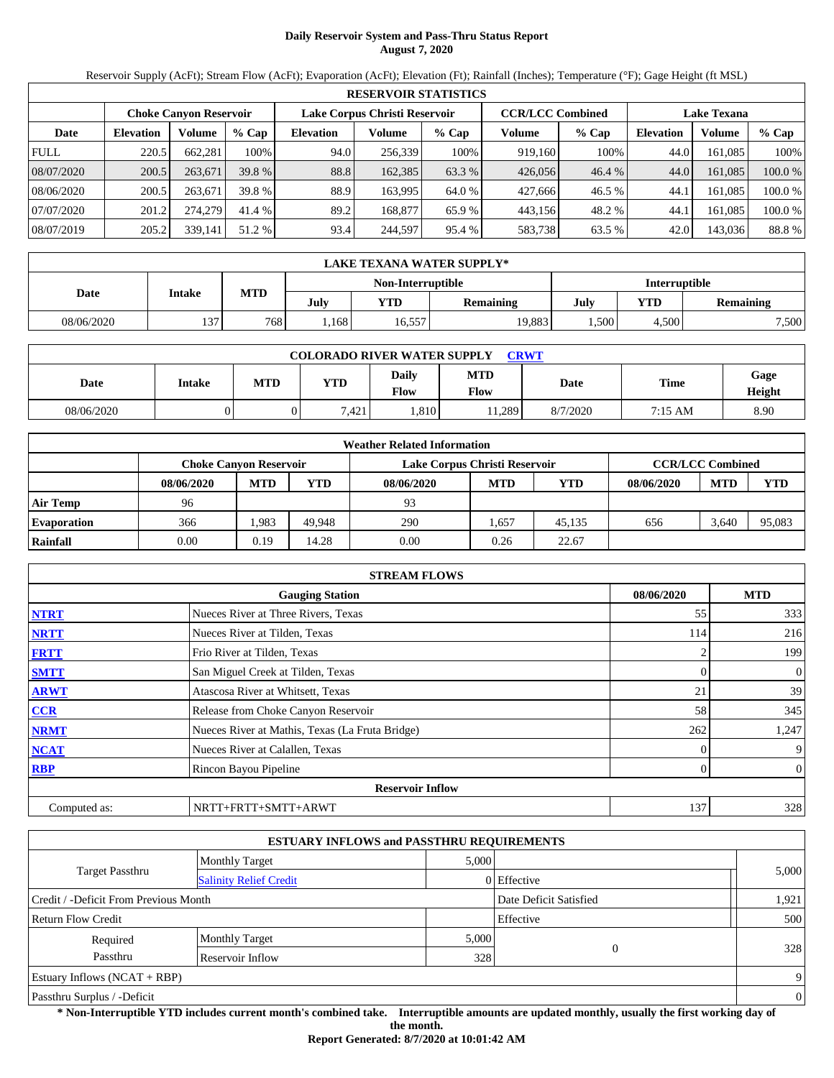# **Daily Reservoir System and Pass-Thru Status Report August 7, 2020**

Reservoir Supply (AcFt); Stream Flow (AcFt); Evaporation (AcFt); Elevation (Ft); Rainfall (Inches); Temperature (°F); Gage Height (ft MSL)

|             | <b>RESERVOIR STATISTICS</b> |                               |         |                               |         |         |                         |        |                    |         |         |  |  |
|-------------|-----------------------------|-------------------------------|---------|-------------------------------|---------|---------|-------------------------|--------|--------------------|---------|---------|--|--|
|             |                             | <b>Choke Canvon Reservoir</b> |         | Lake Corpus Christi Reservoir |         |         | <b>CCR/LCC Combined</b> |        | <b>Lake Texana</b> |         |         |  |  |
| Date        | <b>Elevation</b>            | Volume                        | $%$ Cap | <b>Elevation</b>              | Volume  | $%$ Cap | Volume                  | % Cap  | <b>Elevation</b>   | Volume  | $%$ Cap |  |  |
| <b>FULL</b> | 220.5                       | 662.281                       | 100%    | 94.0                          | 256,339 | 100%    | 919,160                 | 100%   | 44.0               | 161.085 | 100%    |  |  |
| 08/07/2020  | 200.5                       | 263,671                       | 39.8 %  | 88.8                          | 162,385 | 63.3 %  | 426,056                 | 46.4%  | 44.0               | 161.085 | 100.0 % |  |  |
| 08/06/2020  | 200.5                       | 263,671                       | 39.8 %  | 88.9                          | 163.995 | 64.0 %  | 427,666                 | 46.5 % | 44.1               | 161.085 | 100.0 % |  |  |
| 07/07/2020  | 201.2                       | 274,279                       | 41.4 %  | 89.2                          | 168,877 | 65.9 %  | 443.156                 | 48.2 % | 44.1               | 161.085 | 100.0 % |  |  |
| 08/07/2019  | 205.2                       | 339,141                       | 51.2 %  | 93.4                          | 244,597 | 95.4 %  | 583,738                 | 63.5 % | 42.0               | 143,036 | 88.8%   |  |  |

|            | LAKE TEXANA WATER SUPPLY*          |                    |      |           |        |                   |           |       |  |  |  |  |
|------------|------------------------------------|--------------------|------|-----------|--------|-------------------|-----------|-------|--|--|--|--|
|            | Interruptible<br>Non-Interruptible |                    |      |           |        |                   |           |       |  |  |  |  |
| Date       | Intake                             | MTD<br>VTD<br>July |      | Remaining | July   | YTD               | Remaining |       |  |  |  |  |
| 08/06/2020 | 137                                | 768                | .168 | 16,557    | 19.883 | .500 <sup>1</sup> | 4,500     | 7,500 |  |  |  |  |

| <b>COLORADO RIVER WATER SUPPLY</b><br><b>CRWT</b> |        |            |            |               |             |          |             |                |  |  |  |
|---------------------------------------------------|--------|------------|------------|---------------|-------------|----------|-------------|----------------|--|--|--|
| Date                                              | Intake | <b>MTD</b> | <b>YTD</b> | Daily<br>Flow | MTD<br>Flow | Date     | <b>Time</b> | Gage<br>Height |  |  |  |
| 08/06/2020                                        |        |            | .421       | .810          | .289        | 8/7/2020 | 7:15 AM     | 8.90           |  |  |  |

| <b>Weather Related Information</b> |                               |            |            |                               |                         |        |            |            |            |  |  |
|------------------------------------|-------------------------------|------------|------------|-------------------------------|-------------------------|--------|------------|------------|------------|--|--|
|                                    | <b>Choke Canvon Reservoir</b> |            |            | Lake Corpus Christi Reservoir | <b>CCR/LCC Combined</b> |        |            |            |            |  |  |
|                                    | 08/06/2020                    | <b>MTD</b> | <b>YTD</b> | 08/06/2020                    | <b>MTD</b>              | YTD    | 08/06/2020 | <b>MTD</b> | <b>YTD</b> |  |  |
| <b>Air Temp</b>                    | 96                            |            |            | 93                            |                         |        |            |            |            |  |  |
| <b>Evaporation</b>                 | 366                           | .983       | 49.948     | 290                           | .657                    | 45.135 | 656        | 3.640      | 95,083     |  |  |
| Rainfall                           | 0.00                          | 0.19       | 14.28      | 0.00                          | 0.26                    | 22.67  |            |            |            |  |  |

|              | <b>STREAM FLOWS</b>                             |            |                |  |  |  |  |  |  |  |
|--------------|-------------------------------------------------|------------|----------------|--|--|--|--|--|--|--|
|              | <b>Gauging Station</b>                          | 08/06/2020 | <b>MTD</b>     |  |  |  |  |  |  |  |
| <b>NTRT</b>  | Nueces River at Three Rivers, Texas             | 55         | 333            |  |  |  |  |  |  |  |
| <b>NRTT</b>  | Nueces River at Tilden, Texas                   | 114        | 216            |  |  |  |  |  |  |  |
| <b>FRTT</b>  | Frio River at Tilden, Texas                     |            | 199            |  |  |  |  |  |  |  |
| <b>SMTT</b>  | San Miguel Creek at Tilden, Texas               |            | $\overline{0}$ |  |  |  |  |  |  |  |
| <b>ARWT</b>  | Atascosa River at Whitsett, Texas               | 21         | 39             |  |  |  |  |  |  |  |
| <b>CCR</b>   | Release from Choke Canyon Reservoir             | 58         | 345            |  |  |  |  |  |  |  |
| <b>NRMT</b>  | Nueces River at Mathis, Texas (La Fruta Bridge) | 262        | 1,247          |  |  |  |  |  |  |  |
| <b>NCAT</b>  | Nueces River at Calallen, Texas                 |            | 9              |  |  |  |  |  |  |  |
| <b>RBP</b>   | Rincon Bayou Pipeline                           |            | $\overline{0}$ |  |  |  |  |  |  |  |
|              | <b>Reservoir Inflow</b>                         |            |                |  |  |  |  |  |  |  |
| Computed as: | NRTT+FRTT+SMTT+ARWT                             | 137        | 328            |  |  |  |  |  |  |  |

|                                       | <b>ESTUARY INFLOWS and PASSTHRU REQUIREMENTS</b> |       |                        |                |
|---------------------------------------|--------------------------------------------------|-------|------------------------|----------------|
|                                       | <b>Monthly Target</b>                            | 5,000 |                        |                |
| Target Passthru                       | <b>Salinity Relief Credit</b>                    |       | 0 Effective            | 5,000          |
| Credit / -Deficit From Previous Month |                                                  |       | Date Deficit Satisfied | 1,921          |
| Return Flow Credit                    |                                                  |       | Effective              | 500            |
| Required                              | <b>Monthly Target</b>                            | 5,000 |                        |                |
| Passthru                              | Reservoir Inflow                                 | 328   | $\overline{0}$         | 328            |
| Estuary Inflows $(NCAT + RBP)$        |                                                  |       |                        | 9              |
| Passthru Surplus / -Deficit           |                                                  |       |                        | $\overline{0}$ |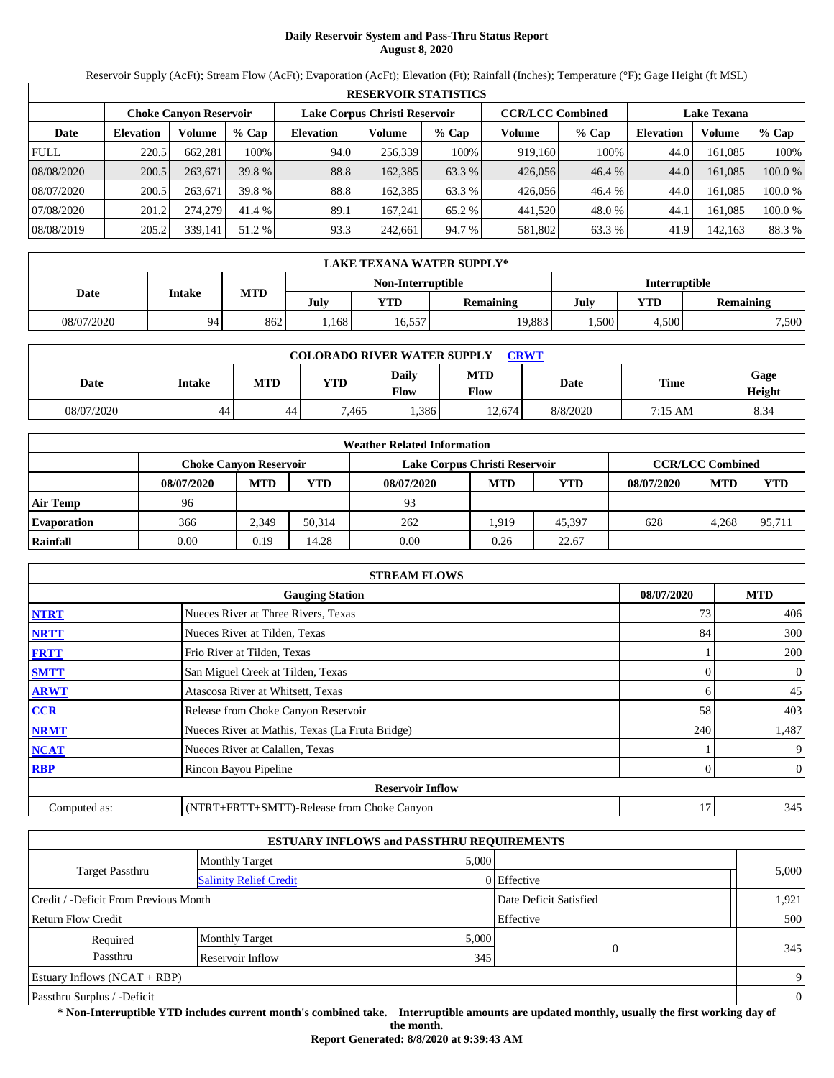# **Daily Reservoir System and Pass-Thru Status Report August 8, 2020**

Reservoir Supply (AcFt); Stream Flow (AcFt); Evaporation (AcFt); Elevation (Ft); Rainfall (Inches); Temperature (°F); Gage Height (ft MSL)

|             | <b>RESERVOIR STATISTICS</b> |                               |         |                               |         |         |                         |         |                    |         |         |  |  |
|-------------|-----------------------------|-------------------------------|---------|-------------------------------|---------|---------|-------------------------|---------|--------------------|---------|---------|--|--|
|             |                             | <b>Choke Canvon Reservoir</b> |         | Lake Corpus Christi Reservoir |         |         | <b>CCR/LCC Combined</b> |         | <b>Lake Texana</b> |         |         |  |  |
| Date        | <b>Elevation</b>            | Volume                        | $%$ Cap | <b>Elevation</b>              | Volume  | $%$ Cap | Volume                  | $%$ Cap | <b>Elevation</b>   | Volume  | % Cap   |  |  |
| <b>FULL</b> | 220.5                       | 662.281                       | 100%    | 94.0                          | 256,339 | 100%    | 919.160                 | 100%    | 44.0               | 161.085 | 100%    |  |  |
| 08/08/2020  | 200.5                       | 263,671                       | 39.8 %  | 88.8                          | 162,385 | 63.3 %  | 426,056                 | 46.4%   | 44.0               | 161.085 | 100.0 % |  |  |
| 08/07/2020  | 200.5                       | 263,671                       | 39.8 %  | 88.8                          | 162.385 | 63.3 %  | 426,056                 | 46.4 %  | 44.0               | 161.085 | 100.0 % |  |  |
| 07/08/2020  | 201.2                       | 274,279                       | 41.4 %  | 89.1                          | 167.241 | 65.2 %  | 441,520                 | 48.0 %  | 44.1               | 161.085 | 100.0%  |  |  |
| 08/08/2019  | 205.2                       | 339,141                       | 51.2 %  | 93.3                          | 242,661 | 94.7 %  | 581,802                 | 63.3 %  | 41.9               | 142.163 | 88.3 %  |  |  |

|            | LAKE TEXANA WATER SUPPLY* |                                    |      |            |                  |      |       |                  |  |  |  |  |
|------------|---------------------------|------------------------------------|------|------------|------------------|------|-------|------------------|--|--|--|--|
|            |                           | Interruptible<br>Non-Interruptible |      |            |                  |      |       |                  |  |  |  |  |
| Date       | Intake                    | MTD                                | July | <b>YTD</b> | <b>Remaining</b> | July | YTD   | <b>Remaining</b> |  |  |  |  |
| 08/07/2020 | 94                        | 862                                | .168 | 16,557     | 19,883           | .500 | 4.500 | 7,500            |  |  |  |  |

| <b>COLORADO RIVER WATER SUPPLY</b><br><b>CRWT</b> |        |            |      |               |             |             |             |                |  |  |  |
|---------------------------------------------------|--------|------------|------|---------------|-------------|-------------|-------------|----------------|--|--|--|
| Date                                              | Intake | <b>MTD</b> | YTD  | Daily<br>Flow | MTD<br>Flow | <b>Date</b> | <b>Time</b> | Gage<br>Height |  |  |  |
| 08/07/2020                                        | 44     | 44         | .465 | .386          | 12.674      | 8/8/2020    | 7:15 AM     | 8.34           |  |  |  |

| <b>Weather Related Information</b> |                                                                |            |            |            |            |        |            |                         |            |  |  |
|------------------------------------|----------------------------------------------------------------|------------|------------|------------|------------|--------|------------|-------------------------|------------|--|--|
|                                    | Lake Corpus Christi Reservoir<br><b>Choke Canvon Reservoir</b> |            |            |            |            |        |            | <b>CCR/LCC Combined</b> |            |  |  |
|                                    | 08/07/2020                                                     | <b>MTD</b> | <b>YTD</b> | 08/07/2020 | <b>MTD</b> | YTD    | 08/07/2020 | <b>MTD</b>              | <b>YTD</b> |  |  |
| <b>Air Temp</b>                    | 96                                                             |            |            | 93         |            |        |            |                         |            |  |  |
| <b>Evaporation</b>                 | 366                                                            | 2.349      | 50.314     | 262        | .919       | 45.397 | 628        | 4.268                   | 95,711     |  |  |
| Rainfall                           | 0.00                                                           | 0.19       | 14.28      | 0.00       | 0.26       | 22.67  |            |                         |            |  |  |

|              | <b>STREAM FLOWS</b>                             |            |                |  |  |  |  |  |  |  |
|--------------|-------------------------------------------------|------------|----------------|--|--|--|--|--|--|--|
|              | <b>Gauging Station</b>                          | 08/07/2020 | <b>MTD</b>     |  |  |  |  |  |  |  |
| <b>NTRT</b>  | Nueces River at Three Rivers, Texas             | 73         | 406            |  |  |  |  |  |  |  |
| <b>NRTT</b>  | Nueces River at Tilden, Texas                   | 84         | 300            |  |  |  |  |  |  |  |
| <b>FRTT</b>  | Frio River at Tilden, Texas                     |            | 200            |  |  |  |  |  |  |  |
| <b>SMTT</b>  | San Miguel Creek at Tilden, Texas               | 0          | 0              |  |  |  |  |  |  |  |
| <b>ARWT</b>  | Atascosa River at Whitsett, Texas               | 6.         | 45             |  |  |  |  |  |  |  |
| <b>CCR</b>   | Release from Choke Canyon Reservoir             | 58         | 403            |  |  |  |  |  |  |  |
| <b>NRMT</b>  | Nueces River at Mathis, Texas (La Fruta Bridge) | 240        | 1,487          |  |  |  |  |  |  |  |
| <b>NCAT</b>  | Nueces River at Calallen, Texas                 |            | 9              |  |  |  |  |  |  |  |
| <b>RBP</b>   | Rincon Bayou Pipeline                           |            | $\overline{0}$ |  |  |  |  |  |  |  |
|              | <b>Reservoir Inflow</b>                         |            |                |  |  |  |  |  |  |  |
| Computed as: | (NTRT+FRTT+SMTT)-Release from Choke Canyon      | 17         | 345            |  |  |  |  |  |  |  |

| <b>ESTUARY INFLOWS and PASSTHRU REQUIREMENTS</b> |                               |       |                        |       |  |  |  |  |  |
|--------------------------------------------------|-------------------------------|-------|------------------------|-------|--|--|--|--|--|
|                                                  | <b>Monthly Target</b>         |       | 5,000                  |       |  |  |  |  |  |
| <b>Target Passthru</b>                           | <b>Salinity Relief Credit</b> |       | 0 Effective            | 5,000 |  |  |  |  |  |
| Credit / -Deficit From Previous Month            |                               |       | Date Deficit Satisfied | 1,921 |  |  |  |  |  |
| Effective<br>Return Flow Credit                  |                               |       |                        |       |  |  |  |  |  |
| Required                                         | <b>Monthly Target</b>         | 5,000 |                        |       |  |  |  |  |  |
| Passthru<br>Reservoir Inflow                     |                               | 345   | 0                      | 345   |  |  |  |  |  |
| <b>Estuary Inflows (NCAT + RBP)</b>              |                               |       |                        |       |  |  |  |  |  |
| Passthru Surplus / -Deficit                      |                               |       |                        |       |  |  |  |  |  |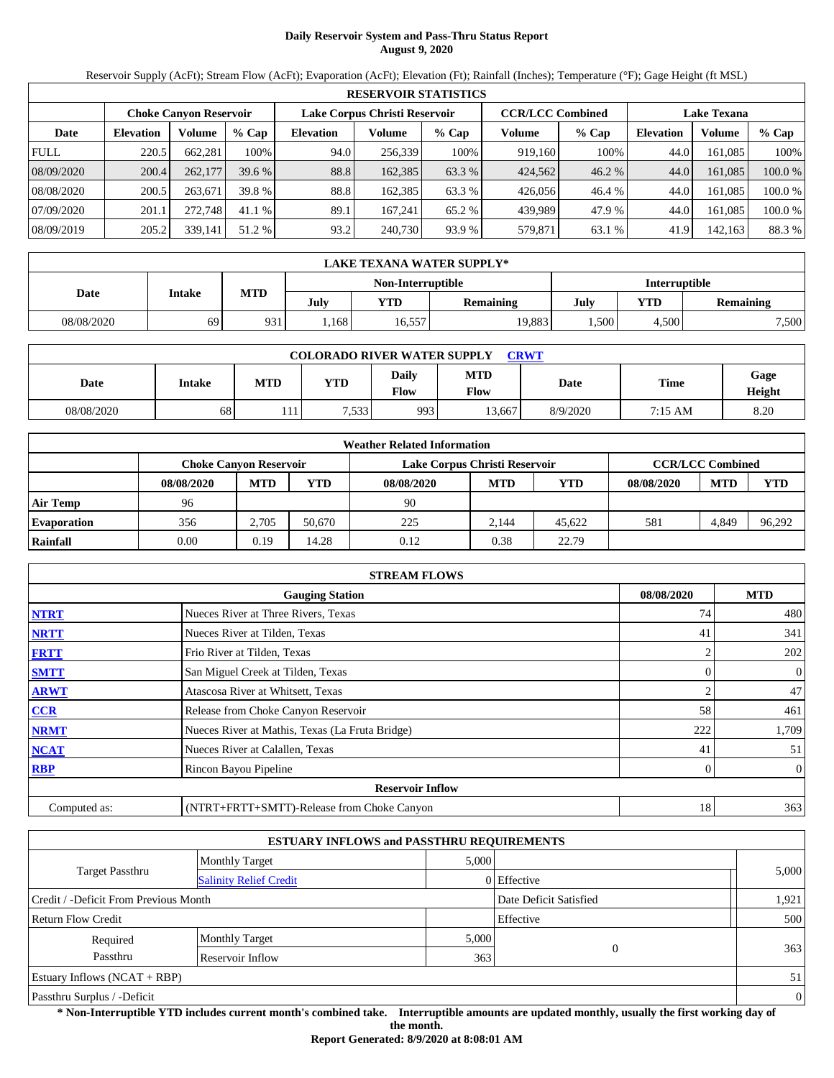# **Daily Reservoir System and Pass-Thru Status Report August 9, 2020**

Reservoir Supply (AcFt); Stream Flow (AcFt); Evaporation (AcFt); Elevation (Ft); Rainfall (Inches); Temperature (°F); Gage Height (ft MSL)

|             | <b>RESERVOIR STATISTICS</b> |                               |         |                               |         |         |                         |         |                    |         |         |  |  |
|-------------|-----------------------------|-------------------------------|---------|-------------------------------|---------|---------|-------------------------|---------|--------------------|---------|---------|--|--|
|             |                             | <b>Choke Canvon Reservoir</b> |         | Lake Corpus Christi Reservoir |         |         | <b>CCR/LCC Combined</b> |         | <b>Lake Texana</b> |         |         |  |  |
| Date        | <b>Elevation</b>            | Volume                        | $%$ Cap | <b>Elevation</b>              | Volume  | $%$ Cap | Volume                  | $%$ Cap | <b>Elevation</b>   | Volume  | % Cap   |  |  |
| <b>FULL</b> | 220.5                       | 662.281                       | 100%    | 94.0                          | 256,339 | 100%    | 919.160                 | 100%    | 44.0               | 161.085 | 100%    |  |  |
| 08/09/2020  | 200.4                       | 262,177                       | 39.6%   | 88.8                          | 162,385 | 63.3 %  | 424,562                 | 46.2%   | 44.0               | 161.085 | 100.0%  |  |  |
| 08/08/2020  | 200.5                       | 263,671                       | 39.8 %  | 88.8                          | 162.385 | 63.3 %  | 426,056                 | 46.4 %  | 44.0               | 161.085 | 100.0 % |  |  |
| 07/09/2020  | 201.1                       | 272,748                       | 41.1 %  | 89.1                          | 167.241 | 65.2 %  | 439.989                 | 47.9 %  | 44.0               | 161.085 | 100.0%  |  |  |
| 08/09/2019  | 205.2                       | 339,141                       | 51.2 %  | 93.2                          | 240,730 | 93.9 %  | 579,871                 | 63.1 %  | 41.9               | 142,163 | 88.3%   |  |  |

|            | LAKE TEXANA WATER SUPPLY* |     |      |                   |                  |               |       |                  |  |  |  |  |
|------------|---------------------------|-----|------|-------------------|------------------|---------------|-------|------------------|--|--|--|--|
|            |                           |     |      | Non-Interruptible |                  | Interruptible |       |                  |  |  |  |  |
| Date       | Intake                    | MTD | July | YTD               | <b>Remaining</b> | July          | YTD   | <b>Remaining</b> |  |  |  |  |
| 08/08/2020 | 69                        | 931 | .168 | 16,557            | 19,883           | .500          | 4.500 | 7,500            |  |  |  |  |

| <b>COLORADO RIVER WATER SUPPLY</b><br>CRWT |        |            |      |                      |                           |          |             |                |  |  |  |
|--------------------------------------------|--------|------------|------|----------------------|---------------------------|----------|-------------|----------------|--|--|--|
| <b>Date</b>                                | Intake | <b>MTD</b> | YTD  | Daily<br><b>Flow</b> | <b>MTD</b><br><b>Flow</b> | Date     | <b>Time</b> | Gage<br>Height |  |  |  |
| 08/08/2020                                 | 68     | 11         | .533 | 993                  | 13,667                    | 8/9/2020 | 7:15 AM     | 8.20           |  |  |  |

| <b>Weather Related Information</b> |            |                                                                                           |        |            |            |            |            |            |        |  |  |
|------------------------------------|------------|-------------------------------------------------------------------------------------------|--------|------------|------------|------------|------------|------------|--------|--|--|
|                                    |            | <b>CCR/LCC Combined</b><br>Lake Corpus Christi Reservoir<br><b>Choke Canyon Reservoir</b> |        |            |            |            |            |            |        |  |  |
|                                    | 08/08/2020 | <b>MTD</b>                                                                                | YTD    | 08/08/2020 | <b>MTD</b> | <b>YTD</b> | 08/08/2020 | <b>MTD</b> | YTD    |  |  |
| Air Temp                           | 96         |                                                                                           |        | 90         |            |            |            |            |        |  |  |
| <b>Evaporation</b>                 | 356        | 2.705                                                                                     | 50.670 | 225        | 2.144      | 45.622     | 581        | 4.849      | 96,292 |  |  |
| Rainfall                           | 0.00       | 0.19                                                                                      | 14.28  | 0.12       | 0.38       | 22.79      |            |            |        |  |  |

| <b>STREAM FLOWS</b> |                                                 |            |                  |  |  |  |  |  |  |
|---------------------|-------------------------------------------------|------------|------------------|--|--|--|--|--|--|
|                     | 08/08/2020                                      | <b>MTD</b> |                  |  |  |  |  |  |  |
| <b>NTRT</b>         | Nueces River at Three Rivers, Texas             | 74         | 480              |  |  |  |  |  |  |
| <b>NRTT</b>         | Nueces River at Tilden, Texas                   | 41         | 341              |  |  |  |  |  |  |
| <b>FRTT</b>         | Frio River at Tilden, Texas                     |            | 202              |  |  |  |  |  |  |
| <b>SMTT</b>         | San Miguel Creek at Tilden, Texas               | 0          | $\boldsymbol{0}$ |  |  |  |  |  |  |
| <b>ARWT</b>         | Atascosa River at Whitsett, Texas               |            | 47               |  |  |  |  |  |  |
| <b>CCR</b>          | Release from Choke Canyon Reservoir             | 58         | 461              |  |  |  |  |  |  |
| <b>NRMT</b>         | Nueces River at Mathis, Texas (La Fruta Bridge) | 222        | 1,709            |  |  |  |  |  |  |
| <b>NCAT</b>         | Nueces River at Calallen, Texas                 | 41         | 51               |  |  |  |  |  |  |
| <b>RBP</b>          | Rincon Bayou Pipeline                           |            | $\overline{0}$   |  |  |  |  |  |  |
|                     | <b>Reservoir Inflow</b>                         |            |                  |  |  |  |  |  |  |
| Computed as:        | (NTRT+FRTT+SMTT)-Release from Choke Canyon      | 18         | 363              |  |  |  |  |  |  |

| <b>ESTUARY INFLOWS and PASSTHRU REQUIREMENTS</b> |                               |       |                        |       |  |  |  |  |  |
|--------------------------------------------------|-------------------------------|-------|------------------------|-------|--|--|--|--|--|
|                                                  | <b>Monthly Target</b>         | 5,000 |                        |       |  |  |  |  |  |
| <b>Target Passthru</b>                           | <b>Salinity Relief Credit</b> |       | 0 Effective            | 5,000 |  |  |  |  |  |
| Credit / -Deficit From Previous Month            |                               |       | Date Deficit Satisfied | 1,921 |  |  |  |  |  |
| <b>Return Flow Credit</b>                        | Effective                     | 500   |                        |       |  |  |  |  |  |
| Required                                         | <b>Monthly Target</b>         | 5,000 |                        |       |  |  |  |  |  |
| Passthru<br>Reservoir Inflow                     |                               | 363   | $\overline{0}$         | 363   |  |  |  |  |  |
| Estuary Inflows $(NCAT + RBP)$                   |                               |       |                        |       |  |  |  |  |  |
| Passthru Surplus / -Deficit                      |                               |       |                        |       |  |  |  |  |  |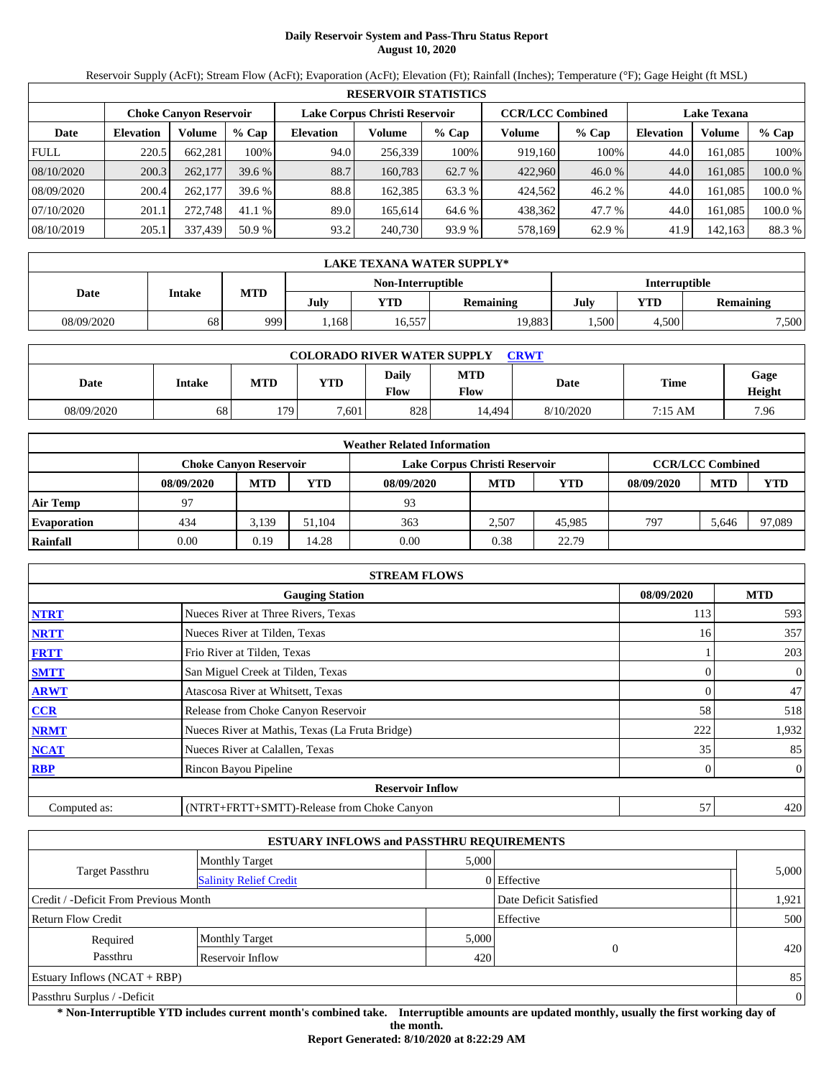# **Daily Reservoir System and Pass-Thru Status Report August 10, 2020**

Reservoir Supply (AcFt); Stream Flow (AcFt); Evaporation (AcFt); Elevation (Ft); Rainfall (Inches); Temperature (°F); Gage Height (ft MSL)

|             | <b>RESERVOIR STATISTICS</b> |                               |         |                               |         |         |                         |        |                    |         |         |  |  |
|-------------|-----------------------------|-------------------------------|---------|-------------------------------|---------|---------|-------------------------|--------|--------------------|---------|---------|--|--|
|             |                             | <b>Choke Canvon Reservoir</b> |         | Lake Corpus Christi Reservoir |         |         | <b>CCR/LCC Combined</b> |        | <b>Lake Texana</b> |         |         |  |  |
| Date        | <b>Elevation</b>            | Volume                        | $%$ Cap | <b>Elevation</b>              | Volume  | $%$ Cap | Volume                  | % Cap  | <b>Elevation</b>   | Volume  | $%$ Cap |  |  |
| <b>FULL</b> | 220.5                       | 662.281                       | 100%    | 94.0                          | 256.339 | 100%    | 919,160                 | 100%   | 44.0               | 161.085 | 100%    |  |  |
| 08/10/2020  | 200.3                       | 262,177                       | 39.6%   | 88.7                          | 160.783 | 62.7 %  | 422,960                 | 46.0%  | 44.0               | 161.085 | 100.0 % |  |  |
| 08/09/2020  | 200.4                       | 262,177                       | 39.6 %  | 88.8                          | 162.385 | 63.3 %  | 424.562                 | 46.2 % | 44.0               | 161.085 | 100.0 % |  |  |
| 07/10/2020  | 201.1                       | 272,748                       | 41.1 %  | 89.0                          | 165.614 | 64.6 %  | 438,362                 | 47.7 % | 44.0               | 161.085 | 100.0 % |  |  |
| 08/10/2019  | 205.1                       | 337,439                       | 50.9 %  | 93.2                          | 240,730 | 93.9 %  | 578,169                 | 62.9 % | 41.9               | 142,163 | 88.3 %  |  |  |

|            | LAKE TEXANA WATER SUPPLY* |            |      |                   |                  |               |       |                  |  |  |  |
|------------|---------------------------|------------|------|-------------------|------------------|---------------|-------|------------------|--|--|--|
|            |                           |            |      | Non-Interruptible |                  | Interruptible |       |                  |  |  |  |
| Date       | Intake                    | <b>MTD</b> | July | YTD               | <b>Remaining</b> | July          | YTD   | <b>Remaining</b> |  |  |  |
| 08/09/2020 | 68                        | 999        | .168 | 16,557            | 19,883           | .500          | 4.500 | 7,500            |  |  |  |

| <b>COLORADO RIVER WATER SUPPLY</b><br><b>CRWT</b> |        |            |       |               |                    |           |         |                |  |  |  |
|---------------------------------------------------|--------|------------|-------|---------------|--------------------|-----------|---------|----------------|--|--|--|
| Date                                              | Intake | <b>MTD</b> | YTD   | Daily<br>Flow | <b>MTD</b><br>Flow | Date      | Time    | Gage<br>Height |  |  |  |
| 08/09/2020                                        | 68     | 179        | 7.601 | 8281          | 14.494             | 8/10/2020 | 7:15 AM | 7.96           |  |  |  |

| <b>Weather Related Information</b> |                               |            |            |            |                                                          |        |            |            |            |  |  |
|------------------------------------|-------------------------------|------------|------------|------------|----------------------------------------------------------|--------|------------|------------|------------|--|--|
|                                    | <b>Choke Canvon Reservoir</b> |            |            |            | <b>CCR/LCC Combined</b><br>Lake Corpus Christi Reservoir |        |            |            |            |  |  |
|                                    | 08/09/2020                    | <b>MTD</b> | <b>YTD</b> | 08/09/2020 | <b>MTD</b>                                               | YTD    | 08/09/2020 | <b>MTD</b> | <b>YTD</b> |  |  |
| <b>Air Temp</b>                    | 97                            |            |            | 93         |                                                          |        |            |            |            |  |  |
| <b>Evaporation</b>                 | 434                           | 3.139      | 51.104     | 363        | 2.507                                                    | 45,985 | 797        | 5.646      | 97,089     |  |  |
| Rainfall                           | 0.00                          | 0.19       | 14.28      | 0.00       | 0.38                                                     | 22.79  |            |            |            |  |  |

| <b>STREAM FLOWS</b> |                                                 |            |                  |  |  |  |  |  |  |
|---------------------|-------------------------------------------------|------------|------------------|--|--|--|--|--|--|
|                     | 08/09/2020                                      | <b>MTD</b> |                  |  |  |  |  |  |  |
| <b>NTRT</b>         | Nueces River at Three Rivers, Texas             | 113        | 593              |  |  |  |  |  |  |
| <b>NRTT</b>         | Nueces River at Tilden, Texas                   | 16         | 357              |  |  |  |  |  |  |
| <b>FRTT</b>         | Frio River at Tilden, Texas                     |            | 203              |  |  |  |  |  |  |
| <b>SMTT</b>         | San Miguel Creek at Tilden, Texas               | 0          | $\boldsymbol{0}$ |  |  |  |  |  |  |
| <b>ARWT</b>         | Atascosa River at Whitsett, Texas               |            | 47               |  |  |  |  |  |  |
| <b>CCR</b>          | Release from Choke Canyon Reservoir             | 58         | 518              |  |  |  |  |  |  |
| <b>NRMT</b>         | Nueces River at Mathis, Texas (La Fruta Bridge) | 222        | 1,932            |  |  |  |  |  |  |
| <b>NCAT</b>         | Nueces River at Calallen, Texas                 | 35         | 85               |  |  |  |  |  |  |
| <b>RBP</b>          | Rincon Bayou Pipeline                           |            | $\overline{0}$   |  |  |  |  |  |  |
|                     | <b>Reservoir Inflow</b>                         |            |                  |  |  |  |  |  |  |
| Computed as:        | (NTRT+FRTT+SMTT)-Release from Choke Canyon      | 57         | 420              |  |  |  |  |  |  |

| <b>ESTUARY INFLOWS and PASSTHRU REQUIREMENTS</b> |                               |       |                        |       |  |  |  |  |  |
|--------------------------------------------------|-------------------------------|-------|------------------------|-------|--|--|--|--|--|
|                                                  | <b>Monthly Target</b>         | 5,000 |                        |       |  |  |  |  |  |
| <b>Target Passthru</b>                           | <b>Salinity Relief Credit</b> |       | 0 Effective            | 5,000 |  |  |  |  |  |
| Credit / -Deficit From Previous Month            |                               |       | Date Deficit Satisfied | 1,921 |  |  |  |  |  |
| Effective<br><b>Return Flow Credit</b>           |                               |       |                        |       |  |  |  |  |  |
| Required                                         | <b>Monthly Target</b>         | 5,000 |                        |       |  |  |  |  |  |
| Passthru<br>Reservoir Inflow                     |                               | 420   | $\overline{0}$         | 420   |  |  |  |  |  |
| Estuary Inflows $(NCAT + RBP)$                   |                               |       |                        |       |  |  |  |  |  |
| Passthru Surplus / -Deficit                      |                               |       |                        |       |  |  |  |  |  |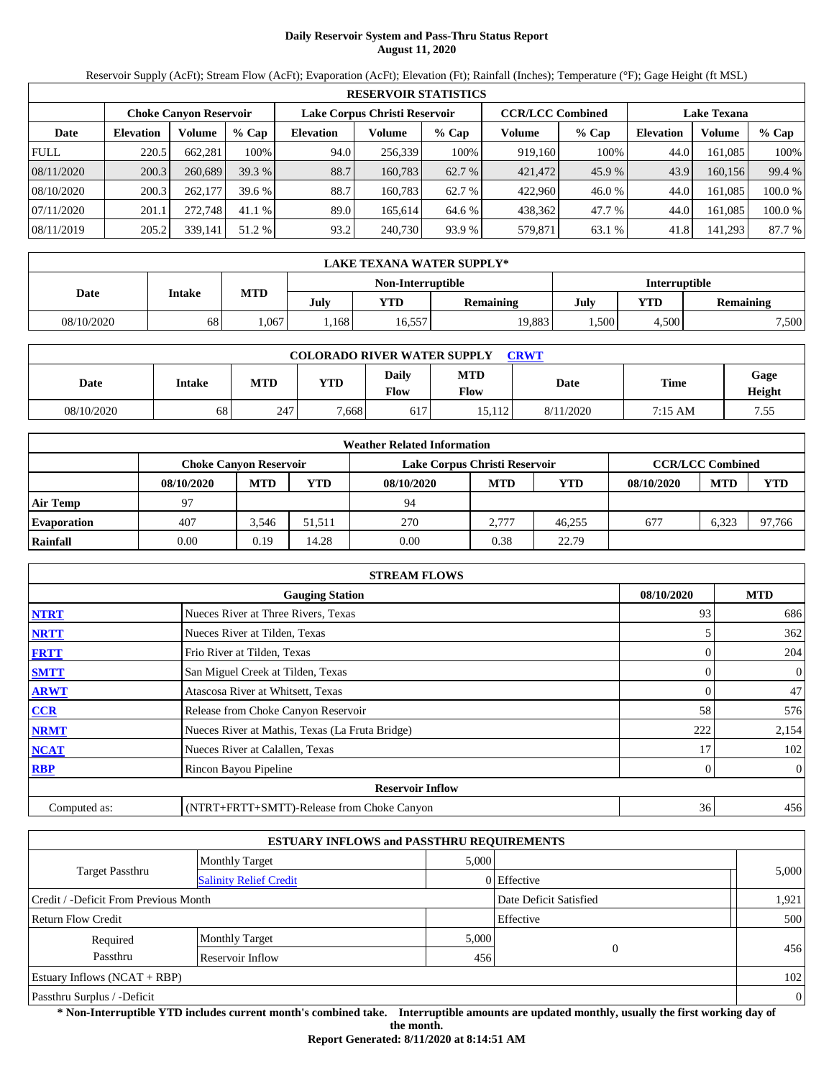# **Daily Reservoir System and Pass-Thru Status Report August 11, 2020**

Reservoir Supply (AcFt); Stream Flow (AcFt); Evaporation (AcFt); Elevation (Ft); Rainfall (Inches); Temperature (°F); Gage Height (ft MSL)

|             | <b>RESERVOIR STATISTICS</b> |                               |         |                               |         |         |                         |         |                    |         |         |  |  |
|-------------|-----------------------------|-------------------------------|---------|-------------------------------|---------|---------|-------------------------|---------|--------------------|---------|---------|--|--|
|             |                             | <b>Choke Canvon Reservoir</b> |         | Lake Corpus Christi Reservoir |         |         | <b>CCR/LCC Combined</b> |         | <b>Lake Texana</b> |         |         |  |  |
| Date        | <b>Elevation</b>            | Volume                        | $%$ Cap | <b>Elevation</b>              | Volume  | $%$ Cap | Volume                  | $%$ Cap | <b>Elevation</b>   | Volume  | % Cap   |  |  |
| <b>FULL</b> | 220.5                       | 662.281                       | 100%    | 94.0                          | 256,339 | 100%    | 919.160                 | 100%    | 44.0               | 161.085 | 100%    |  |  |
| 08/11/2020  | 200.3                       | 260,689                       | 39.3 %  | 88.7                          | 160.783 | 62.7 %  | 421,472                 | 45.9%   | 43.9               | 160.156 | 99.4 %  |  |  |
| 08/10/2020  | 200.3                       | 262,177                       | 39.6 %  | 88.7                          | 160.783 | 62.7 %  | 422,960                 | 46.0 %  | 44.0               | 161.085 | 100.0 % |  |  |
| 07/11/2020  | 201.1                       | 272,748                       | 41.1 %  | 89.0                          | 165.614 | 64.6 %  | 438,362                 | 47.7 %  | 44.0               | 161.085 | 100.0%  |  |  |
| 08/11/2019  | 205.2                       | 339,141                       | 51.2 %  | 93.2                          | 240,730 | 93.9 %  | 579,871                 | 63.1 %  | 41.8               | 141.293 | 87.7 %  |  |  |

|            | <b>LAKE TEXANA WATER SUPPLY*</b>   |      |      |            |           |             |       |                  |  |  |  |  |
|------------|------------------------------------|------|------|------------|-----------|-------------|-------|------------------|--|--|--|--|
|            | Interruptible<br>Non-Interruptible |      |      |            |           |             |       |                  |  |  |  |  |
| Date       | Intake                             | MTD  | July | <b>YTD</b> | Remaining | YTD<br>July |       | <b>Remaining</b> |  |  |  |  |
| 08/10/2020 | 68                                 | .067 | .168 | 16,557     | 19,883    | .500        | 4.500 | 7,500            |  |  |  |  |

| <b>COLORADO RIVER WATER SUPPLY</b><br><b>CRWT</b> |        |     |       |               |                    |           |         |                       |  |  |  |
|---------------------------------------------------|--------|-----|-------|---------------|--------------------|-----------|---------|-----------------------|--|--|--|
| Date                                              | Intake | MTD | YTD   | Daily<br>Flow | <b>MTD</b><br>Flow | Date      | Time    | Gage<br><b>Height</b> |  |  |  |
| 08/10/2020                                        | 68     | 247 | 7.668 | 617           | 15.112             | 8/11/2020 | 7:15 AM | 7.55                  |  |  |  |

|                    | <b>Weather Related Information</b>                                                        |            |            |            |            |            |            |            |            |  |  |  |
|--------------------|-------------------------------------------------------------------------------------------|------------|------------|------------|------------|------------|------------|------------|------------|--|--|--|
|                    | <b>CCR/LCC Combined</b><br>Lake Corpus Christi Reservoir<br><b>Choke Canvon Reservoir</b> |            |            |            |            |            |            |            |            |  |  |  |
|                    | 08/10/2020                                                                                | <b>MTD</b> | <b>YTD</b> | 08/10/2020 | <b>MTD</b> | <b>YTD</b> | 08/10/2020 | <b>MTD</b> | <b>YTD</b> |  |  |  |
| <b>Air Temp</b>    | 97                                                                                        |            |            | 94         |            |            |            |            |            |  |  |  |
| <b>Evaporation</b> | 407                                                                                       | 3.546      | 51.511     | 270        | 2.777      | 46.255     | 677        | 6.323      | 97.766     |  |  |  |
| Rainfall           | 0.00                                                                                      | 0.19       | 14.28      | 0.00       | 0.38       | 22.79      |            |            |            |  |  |  |

|              | <b>STREAM FLOWS</b>                             |            |            |                |  |  |  |  |  |  |
|--------------|-------------------------------------------------|------------|------------|----------------|--|--|--|--|--|--|
|              |                                                 | 08/10/2020 | <b>MTD</b> |                |  |  |  |  |  |  |
| <b>NTRT</b>  | Nueces River at Three Rivers, Texas             |            | 93         | 686            |  |  |  |  |  |  |
| <b>NRTT</b>  | Nueces River at Tilden, Texas                   |            |            | 362            |  |  |  |  |  |  |
| <b>FRTT</b>  | Frio River at Tilden, Texas                     |            | 0          | 204            |  |  |  |  |  |  |
| <b>SMTT</b>  | San Miguel Creek at Tilden, Texas               |            |            | $\overline{0}$ |  |  |  |  |  |  |
| <b>ARWT</b>  | Atascosa River at Whitsett, Texas               |            |            | 47             |  |  |  |  |  |  |
| <b>CCR</b>   | Release from Choke Canyon Reservoir             |            | 58         | 576            |  |  |  |  |  |  |
| <b>NRMT</b>  | Nueces River at Mathis, Texas (La Fruta Bridge) |            | 222        | 2,154          |  |  |  |  |  |  |
| <b>NCAT</b>  | Nueces River at Calallen, Texas                 |            | 17         | 102            |  |  |  |  |  |  |
| <b>RBP</b>   | Rincon Bayou Pipeline                           |            |            | $\overline{0}$ |  |  |  |  |  |  |
|              | <b>Reservoir Inflow</b>                         |            |            |                |  |  |  |  |  |  |
| Computed as: | (NTRT+FRTT+SMTT)-Release from Choke Canyon      |            | 36         | 456            |  |  |  |  |  |  |

|                                       |                               | <b>ESTUARY INFLOWS and PASSTHRU REQUIREMENTS</b> |                        |                |
|---------------------------------------|-------------------------------|--------------------------------------------------|------------------------|----------------|
|                                       | <b>Monthly Target</b>         | 5,000                                            |                        |                |
| Target Passthru                       | <b>Salinity Relief Credit</b> |                                                  | 0 Effective            | 5,000          |
| Credit / -Deficit From Previous Month |                               |                                                  | Date Deficit Satisfied | 1,921          |
| <b>Return Flow Credit</b>             |                               |                                                  | Effective              | 500            |
| Required                              | <b>Monthly Target</b>         | 5,000                                            |                        |                |
| Passthru                              | Reservoir Inflow              | 456                                              | 0                      | 456            |
| Estuary Inflows $(NCAT + RBP)$        |                               |                                                  |                        | 102            |
| Passthru Surplus / -Deficit           |                               |                                                  |                        | $\overline{0}$ |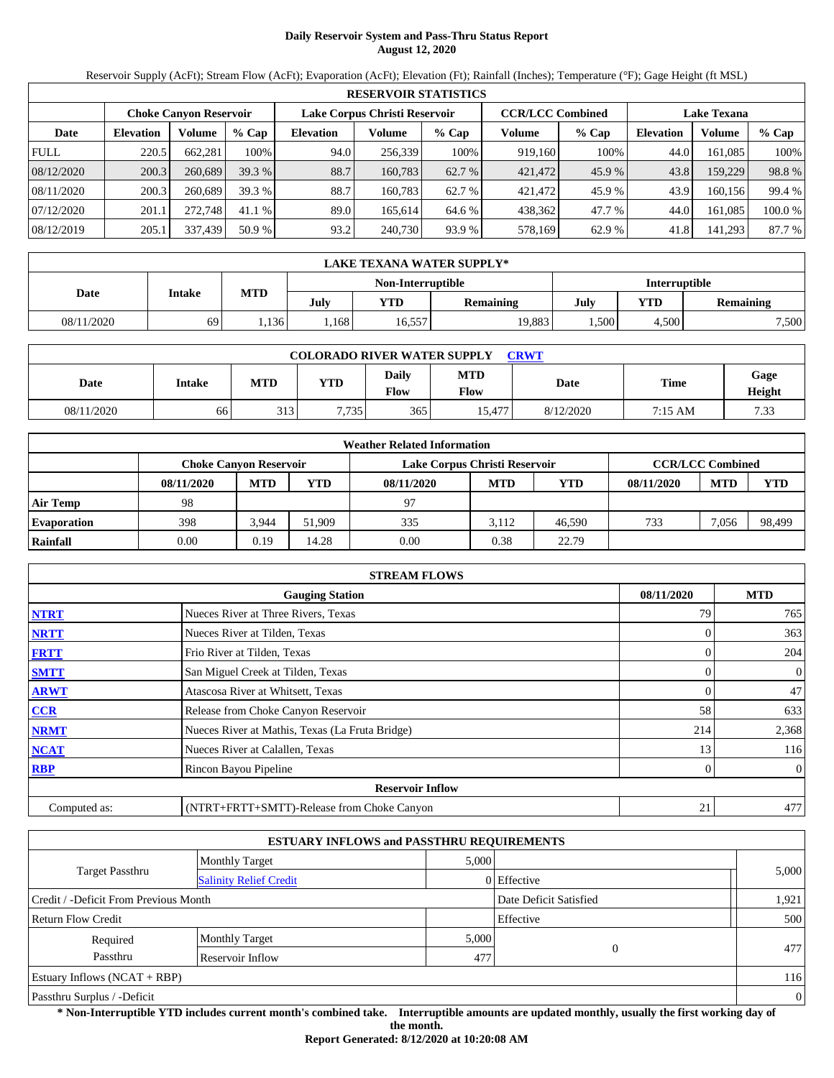# **Daily Reservoir System and Pass-Thru Status Report August 12, 2020**

Reservoir Supply (AcFt); Stream Flow (AcFt); Evaporation (AcFt); Elevation (Ft); Rainfall (Inches); Temperature (°F); Gage Height (ft MSL)

|             | <b>RESERVOIR STATISTICS</b> |                               |         |                               |         |         |                         |         |                    |         |        |  |  |
|-------------|-----------------------------|-------------------------------|---------|-------------------------------|---------|---------|-------------------------|---------|--------------------|---------|--------|--|--|
|             |                             | <b>Choke Canvon Reservoir</b> |         | Lake Corpus Christi Reservoir |         |         | <b>CCR/LCC Combined</b> |         | <b>Lake Texana</b> |         |        |  |  |
| Date        | <b>Elevation</b>            | Volume                        | $%$ Cap | <b>Elevation</b>              | Volume  | $%$ Cap | Volume                  | $%$ Cap | <b>Elevation</b>   | Volume  | % Cap  |  |  |
| <b>FULL</b> | 220.5                       | 662.281                       | 100%    | 94.0                          | 256,339 | 100%    | 919.160                 | 100%    | 44.0               | 161.085 | 100%   |  |  |
| 08/12/2020  | 200.3                       | 260,689                       | 39.3 %  | 88.7                          | 160.783 | 62.7 %  | 421,472                 | 45.9%   | 43.8               | 159,229 | 98.8%  |  |  |
| 08/11/2020  | 200.3                       | 260,689                       | 39.3 %  | 88.7                          | 160.783 | 62.7 %  | 421,472                 | 45.9 %  | 43.9               | 160.156 | 99.4 % |  |  |
| 07/12/2020  | 201.1                       | 272,748                       | 41.1 %  | 89.0                          | 165.614 | 64.6 %  | 438,362                 | 47.7 %  | 44.0               | 161.085 | 100.0% |  |  |
| 08/12/2019  | 205.1                       | 337,439                       | 50.9 %  | 93.2                          | 240,730 | 93.9 %  | 578,169                 | 62.9 %  | 41.8               | 141.293 | 87.7 % |  |  |

|            | <b>LAKE TEXANA WATER SUPPLY*</b>   |      |      |            |           |             |       |                  |  |  |  |  |
|------------|------------------------------------|------|------|------------|-----------|-------------|-------|------------------|--|--|--|--|
|            | Interruptible<br>Non-Interruptible |      |      |            |           |             |       |                  |  |  |  |  |
| Date       | Intake                             | MTD  | July | <b>YTD</b> | Remaining | YTD<br>July |       | <b>Remaining</b> |  |  |  |  |
| 08/11/2020 | 69                                 | .136 | .168 | 16,557     | 19,883    | .500        | 4.500 | 7,500            |  |  |  |  |

| <b>COLORADO RIVER WATER SUPPLY</b><br>CRWT |               |            |            |                             |                    |           |         |                |  |  |  |
|--------------------------------------------|---------------|------------|------------|-----------------------------|--------------------|-----------|---------|----------------|--|--|--|
| Date                                       | <b>Intake</b> | <b>MTD</b> | <b>YTD</b> | <b>Daily</b><br><b>Flow</b> | <b>MTD</b><br>Flow | Date      | Time    | Gage<br>Height |  |  |  |
| 08/11/2020                                 | 66            | 313        | 7.735      | 365                         | 15.477             | 8/12/2020 | 7:15 AM | 7.33           |  |  |  |

|                    | <b>Weather Related Information</b>                                                        |            |            |            |            |            |            |            |            |  |  |  |
|--------------------|-------------------------------------------------------------------------------------------|------------|------------|------------|------------|------------|------------|------------|------------|--|--|--|
|                    | <b>CCR/LCC Combined</b><br>Lake Corpus Christi Reservoir<br><b>Choke Canvon Reservoir</b> |            |            |            |            |            |            |            |            |  |  |  |
|                    | 08/11/2020                                                                                | <b>MTD</b> | <b>YTD</b> | 08/11/2020 | <b>MTD</b> | <b>YTD</b> | 08/11/2020 | <b>MTD</b> | <b>YTD</b> |  |  |  |
| Air Temp           | 98                                                                                        |            |            | 97         |            |            |            |            |            |  |  |  |
| <b>Evaporation</b> | 398                                                                                       | 3,944      | 51.909     | 335        | 3.112      | 46.590     | 733        | 7.056      | 98,499     |  |  |  |
| Rainfall           | 0.00                                                                                      | 0.19       | 14.28      | 0.00       | 0.38       | 22.79      |            |            |            |  |  |  |

|              | <b>STREAM FLOWS</b>                             |            |                |  |  |  |  |  |  |
|--------------|-------------------------------------------------|------------|----------------|--|--|--|--|--|--|
|              | <b>Gauging Station</b>                          | 08/11/2020 | <b>MTD</b>     |  |  |  |  |  |  |
| <b>NTRT</b>  | Nueces River at Three Rivers, Texas             | 79         | 765            |  |  |  |  |  |  |
| <b>NRTT</b>  | Nueces River at Tilden, Texas                   |            | 363            |  |  |  |  |  |  |
| <b>FRTT</b>  | Frio River at Tilden, Texas                     |            | 204            |  |  |  |  |  |  |
| <b>SMTT</b>  | San Miguel Creek at Tilden, Texas               | 0          | 0              |  |  |  |  |  |  |
| <b>ARWT</b>  | Atascosa River at Whitsett, Texas               |            | 47             |  |  |  |  |  |  |
| <b>CCR</b>   | Release from Choke Canyon Reservoir             | 58         | 633            |  |  |  |  |  |  |
| <b>NRMT</b>  | Nueces River at Mathis, Texas (La Fruta Bridge) | 214        | 2,368          |  |  |  |  |  |  |
| <b>NCAT</b>  | Nueces River at Calallen, Texas                 | 13         | 116            |  |  |  |  |  |  |
| <b>RBP</b>   | Rincon Bayou Pipeline                           |            | $\overline{0}$ |  |  |  |  |  |  |
|              | <b>Reservoir Inflow</b>                         |            |                |  |  |  |  |  |  |
| Computed as: | (NTRT+FRTT+SMTT)-Release from Choke Canyon      | 21         | 477            |  |  |  |  |  |  |

|                                       | <b>ESTUARY INFLOWS and PASSTHRU REQUIREMENTS</b> |           |                        |              |  |  |
|---------------------------------------|--------------------------------------------------|-----------|------------------------|--------------|--|--|
|                                       | <b>Monthly Target</b>                            | 5,000     |                        |              |  |  |
| <b>Target Passthru</b>                | <b>Salinity Relief Credit</b>                    |           | 0 Effective            | 5,000        |  |  |
| Credit / -Deficit From Previous Month |                                                  |           | Date Deficit Satisfied | 1,921        |  |  |
| <b>Return Flow Credit</b>             |                                                  | Effective | 500                    |              |  |  |
| Required                              | <b>Monthly Target</b>                            | 5,000     |                        |              |  |  |
| Passthru                              | Reservoir Inflow                                 | 477       | $\overline{0}$         | 477          |  |  |
| Estuary Inflows $(NCAT + RBP)$        |                                                  |           |                        |              |  |  |
| Passthru Surplus / -Deficit           |                                                  |           |                        | $\mathbf{0}$ |  |  |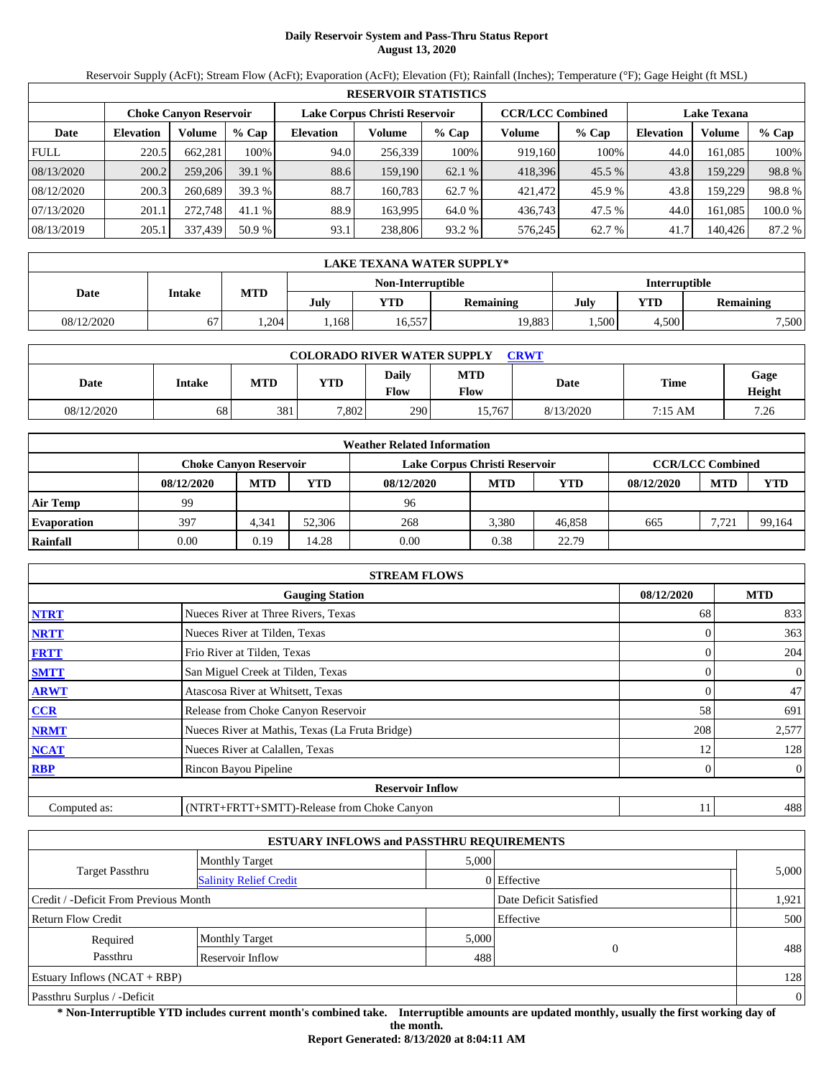# **Daily Reservoir System and Pass-Thru Status Report August 13, 2020**

Reservoir Supply (AcFt); Stream Flow (AcFt); Evaporation (AcFt); Elevation (Ft); Rainfall (Inches); Temperature (°F); Gage Height (ft MSL)

|             | <b>RESERVOIR STATISTICS</b> |                               |         |                               |         |         |                         |         |                    |         |        |  |
|-------------|-----------------------------|-------------------------------|---------|-------------------------------|---------|---------|-------------------------|---------|--------------------|---------|--------|--|
|             |                             | <b>Choke Canvon Reservoir</b> |         | Lake Corpus Christi Reservoir |         |         | <b>CCR/LCC Combined</b> |         | <b>Lake Texana</b> |         |        |  |
| Date        | <b>Elevation</b>            | Volume                        | $%$ Cap | <b>Elevation</b>              | Volume  | $%$ Cap | Volume                  | $%$ Cap | <b>Elevation</b>   | Volume  | % Cap  |  |
| <b>FULL</b> | 220.5                       | 662.281                       | 100%    | 94.0                          | 256,339 | 100%    | 919.160                 | 100%    | 44.0               | 161.085 | 100%   |  |
| 08/13/2020  | 200.2                       | 259,206                       | 39.1%   | 88.6                          | 159,190 | 62.1 %  | 418,396                 | 45.5 %  | 43.8               | 159,229 | 98.8%  |  |
| 08/12/2020  | 200.3                       | 260.689                       | 39.3 %  | 88.7                          | 160.783 | 62.7 %  | 421,472                 | 45.9 %  | 43.8               | 159.229 | 98.8%  |  |
| 07/13/2020  | 201.1                       | 272,748                       | 41.1 %  | 88.9                          | 163.995 | 64.0 %  | 436,743                 | 47.5 %  | 44.0               | 161.085 | 100.0% |  |
| 08/13/2019  | 205.1                       | 337,439                       | 50.9 %  | 93.1                          | 238,806 | 93.2 %  | 576.245                 | 62.7 %  | 41.7               | 140.426 | 87.2 % |  |

|            | LAKE TEXANA WATER SUPPLY* |      |      |                   |           |      |               |                  |  |  |
|------------|---------------------------|------|------|-------------------|-----------|------|---------------|------------------|--|--|
|            |                           |      |      | Non-Interruptible |           |      | Interruptible |                  |  |  |
|            | MTD<br>Intake<br>Date     |      |      |                   | Remaining | July | YTD           | <b>Remaining</b> |  |  |
| 08/12/2020 | 67                        | .204 | .168 | 16,557            | 19,883    | .500 | 4.500         | 7,500            |  |  |

| <b>COLORADO RIVER WATER SUPPLY</b><br>CRWT |               |            |            |                             |                    |           |         |                |  |  |
|--------------------------------------------|---------------|------------|------------|-----------------------------|--------------------|-----------|---------|----------------|--|--|
| Date                                       | <b>Intake</b> | <b>MTD</b> | <b>YTD</b> | <b>Daily</b><br><b>Flow</b> | <b>MTD</b><br>Flow | Date      | Time    | Gage<br>Height |  |  |
| 08/12/2020                                 | 68            | 381        | 7.802      | 290                         | 15.767             | 8/13/2020 | 7:15 AM | 7.26           |  |  |

| <b>Weather Related Information</b> |            |                                                                                           |            |            |            |        |            |            |            |  |  |
|------------------------------------|------------|-------------------------------------------------------------------------------------------|------------|------------|------------|--------|------------|------------|------------|--|--|
|                                    |            | <b>CCR/LCC Combined</b><br>Lake Corpus Christi Reservoir<br><b>Choke Canvon Reservoir</b> |            |            |            |        |            |            |            |  |  |
|                                    | 08/12/2020 | <b>MTD</b>                                                                                | <b>YTD</b> | 08/12/2020 | <b>MTD</b> | YTD    | 08/12/2020 | <b>MTD</b> | <b>YTD</b> |  |  |
| <b>Air Temp</b>                    | 99         |                                                                                           |            | 96         |            |        |            |            |            |  |  |
| <b>Evaporation</b>                 | 397        | 4.341                                                                                     | 52,306     | 268        | 3.380      | 46.858 | 665        | 7.721      | 99,164     |  |  |
| Rainfall                           | 0.00       | 0.19                                                                                      | 14.28      | 0.00       | 0.38       | 22.79  |            |            |            |  |  |

|                                                    | <b>STREAM FLOWS</b>                             |     |                |  |  |  |  |  |  |
|----------------------------------------------------|-------------------------------------------------|-----|----------------|--|--|--|--|--|--|
| <b>MTD</b><br>08/12/2020<br><b>Gauging Station</b> |                                                 |     |                |  |  |  |  |  |  |
| <b>NTRT</b>                                        | Nueces River at Three Rivers, Texas             | 68  | 833            |  |  |  |  |  |  |
| <b>NRTT</b>                                        | Nueces River at Tilden, Texas                   |     | 363            |  |  |  |  |  |  |
| <b>FRTT</b>                                        | Frio River at Tilden, Texas                     | 0   | 204            |  |  |  |  |  |  |
| <b>SMTT</b>                                        | San Miguel Creek at Tilden, Texas               | 0   | $\overline{0}$ |  |  |  |  |  |  |
| <b>ARWT</b>                                        | Atascosa River at Whitsett, Texas               |     | 47             |  |  |  |  |  |  |
| <b>CCR</b>                                         | Release from Choke Canyon Reservoir             | 58  | 691            |  |  |  |  |  |  |
| <b>NRMT</b>                                        | Nueces River at Mathis, Texas (La Fruta Bridge) | 208 | 2,577          |  |  |  |  |  |  |
| <b>NCAT</b>                                        | Nueces River at Calallen, Texas                 | 12  | 128            |  |  |  |  |  |  |
| <b>RBP</b>                                         | Rincon Bayou Pipeline                           | 0   | $\overline{0}$ |  |  |  |  |  |  |
|                                                    | <b>Reservoir Inflow</b>                         |     |                |  |  |  |  |  |  |
| Computed as:                                       | (NTRT+FRTT+SMTT)-Release from Choke Canyon      | 11  | 488            |  |  |  |  |  |  |

| <b>ESTUARY INFLOWS and PASSTHRU REQUIREMENTS</b> |                               |       |                        |                |  |  |  |  |
|--------------------------------------------------|-------------------------------|-------|------------------------|----------------|--|--|--|--|
|                                                  | <b>Monthly Target</b>         | 5,000 |                        |                |  |  |  |  |
| Target Passthru                                  | <b>Salinity Relief Credit</b> |       | 0 Effective            | 5,000          |  |  |  |  |
| Credit / -Deficit From Previous Month            |                               |       | Date Deficit Satisfied | 1,921          |  |  |  |  |
| Effective<br>Return Flow Credit                  |                               |       |                        |                |  |  |  |  |
| Required                                         | <b>Monthly Target</b>         | 5,000 |                        |                |  |  |  |  |
| Passthru                                         | Reservoir Inflow              | 488   | $\overline{0}$         | 488            |  |  |  |  |
| Estuary Inflows $(NCAT + RBP)$                   |                               |       |                        | 128            |  |  |  |  |
| Passthru Surplus / -Deficit                      |                               |       |                        | $\overline{0}$ |  |  |  |  |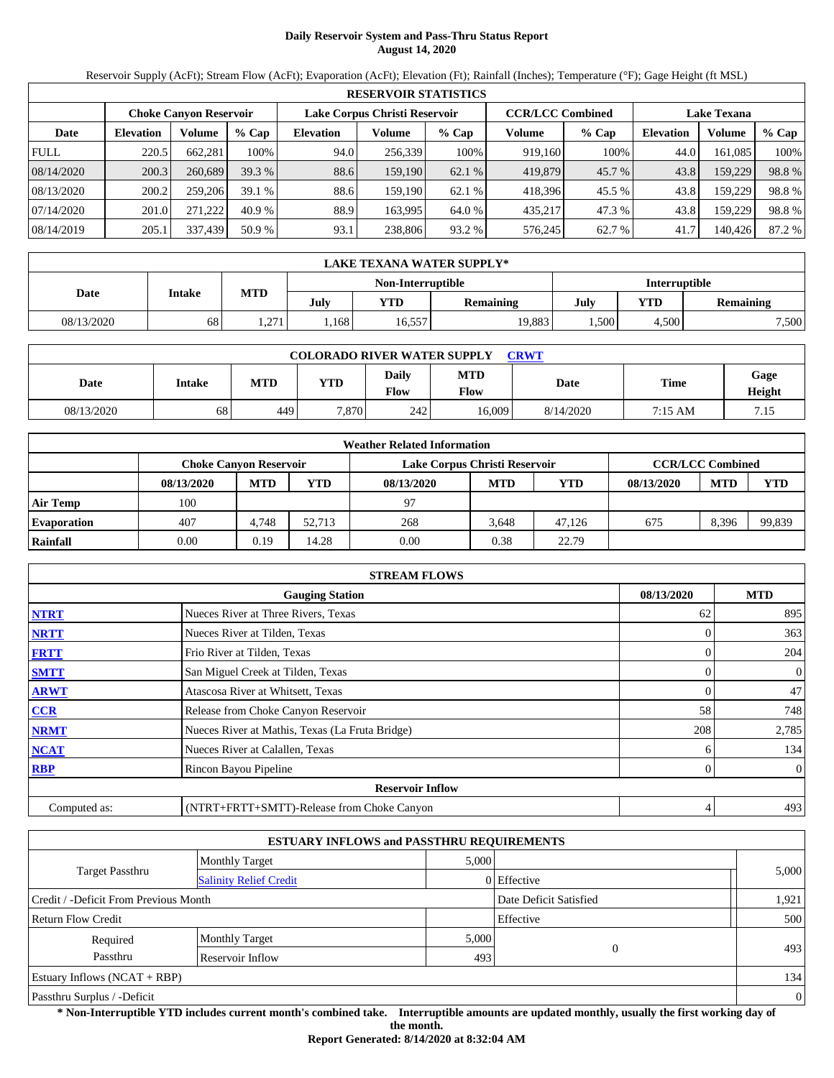# **Daily Reservoir System and Pass-Thru Status Report August 14, 2020**

Reservoir Supply (AcFt); Stream Flow (AcFt); Evaporation (AcFt); Elevation (Ft); Rainfall (Inches); Temperature (°F); Gage Height (ft MSL)

| <b>RESERVOIR STATISTICS</b> |                  |                               |         |                               |         |         |                         |         |                    |         |        |
|-----------------------------|------------------|-------------------------------|---------|-------------------------------|---------|---------|-------------------------|---------|--------------------|---------|--------|
|                             |                  | <b>Choke Canyon Reservoir</b> |         | Lake Corpus Christi Reservoir |         |         | <b>CCR/LCC Combined</b> |         | <b>Lake Texana</b> |         |        |
| Date                        | <b>Elevation</b> | Volume                        | $%$ Cap | <b>Elevation</b>              | Volume  | $%$ Cap | Volume                  | $%$ Cap | <b>Elevation</b>   | Volume  | % Cap  |
| <b>FULL</b>                 | 220.5            | 662.281                       | 100%    | 94.0                          | 256,339 | 100%    | 919,160                 | 100%    | 44.0               | 161.085 | 100%   |
| 08/14/2020                  | 200.3            | 260,689                       | 39.3%   | 88.6                          | 159,190 | 62.1 %  | 419,879                 | 45.7 %  | 43.8               | 159,229 | 98.8%  |
| 08/13/2020                  | 200.2            | 259,206                       | 39.1%   | 88.6                          | 159.190 | 62.1%   | 418.396                 | 45.5 %  | 43.8               | 159.229 | 98.8%  |
| 07/14/2020                  | 201.0            | 271.222                       | 40.9%   | 88.9                          | 163.995 | 64.0 %  | 435.217                 | 47.3 %  | 43.8               | 159.229 | 98.8%  |
| 08/14/2019                  | 205.1            | 337,439                       | 50.9 %  | 93.1                          | 238,806 | 93.2 %  | 576,245                 | 62.7 %  | 41.7               | 140.426 | 87.2 % |

|            | <b>LAKE TEXANA WATER SUPPLY*</b> |      |      |                   |               |      |       |                  |  |  |
|------------|----------------------------------|------|------|-------------------|---------------|------|-------|------------------|--|--|
|            |                                  |      |      | Non-Interruptible | Interruptible |      |       |                  |  |  |
| Date       | Intake                           | MTD  | July | <b>YTD</b>        | Remaining     | July | YTD   | <b>Remaining</b> |  |  |
| 08/13/2020 | 68                               | .271 | .168 | 16,557            | 19,883        | .500 | 4,500 | 7,500            |  |  |

| <b>COLORADO RIVER WATER SUPPLY</b><br>CRWT |               |            |            |                             |                    |           |         |                |  |  |
|--------------------------------------------|---------------|------------|------------|-----------------------------|--------------------|-----------|---------|----------------|--|--|
| Date                                       | <b>Intake</b> | <b>MTD</b> | <b>YTD</b> | <b>Daily</b><br><b>Flow</b> | <b>MTD</b><br>Flow | Date      | Time    | Gage<br>Height |  |  |
| 08/13/2020                                 | 68            | 449        | 7.870      | 242                         | 16.009             | 8/14/2020 | 7:15 AM | 7.15           |  |  |

| <b>Weather Related Information</b> |            |                                                                                           |            |            |            |            |            |            |            |  |
|------------------------------------|------------|-------------------------------------------------------------------------------------------|------------|------------|------------|------------|------------|------------|------------|--|
|                                    |            | <b>CCR/LCC Combined</b><br>Lake Corpus Christi Reservoir<br><b>Choke Canvon Reservoir</b> |            |            |            |            |            |            |            |  |
|                                    | 08/13/2020 | <b>MTD</b>                                                                                | <b>YTD</b> | 08/13/2020 | <b>MTD</b> | <b>YTD</b> | 08/13/2020 | <b>MTD</b> | <b>YTD</b> |  |
| <b>Air Temp</b>                    | 100        |                                                                                           |            | 97         |            |            |            |            |            |  |
| <b>Evaporation</b>                 | 407        | 4.748                                                                                     | 52.713     | 268        | 3.648      | 47.126     | 675        | 8.396      | 99,839     |  |
| Rainfall                           | 0.00       | 0.19                                                                                      | 14.28      | 0.00       | 0.38       | 22.79      |            |            |            |  |

|                                                    | <b>STREAM FLOWS</b>                             |  |     |                |  |  |  |  |  |
|----------------------------------------------------|-------------------------------------------------|--|-----|----------------|--|--|--|--|--|
| <b>MTD</b><br>08/13/2020<br><b>Gauging Station</b> |                                                 |  |     |                |  |  |  |  |  |
| <b>NTRT</b>                                        | Nueces River at Three Rivers, Texas             |  | 62  | 895            |  |  |  |  |  |
| <b>NRTT</b>                                        | Nueces River at Tilden, Texas                   |  |     | 363            |  |  |  |  |  |
| <b>FRTT</b>                                        | Frio River at Tilden, Texas                     |  |     | 204            |  |  |  |  |  |
| <b>SMTT</b>                                        | San Miguel Creek at Tilden, Texas               |  | 0   | 0              |  |  |  |  |  |
| <b>ARWT</b>                                        | Atascosa River at Whitsett, Texas               |  |     | 47             |  |  |  |  |  |
| <b>CCR</b>                                         | Release from Choke Canyon Reservoir             |  | 58  | 748            |  |  |  |  |  |
| <b>NRMT</b>                                        | Nueces River at Mathis, Texas (La Fruta Bridge) |  | 208 | 2,785          |  |  |  |  |  |
| <b>NCAT</b>                                        | Nueces River at Calallen, Texas                 |  |     | 134            |  |  |  |  |  |
| <b>RBP</b>                                         | Rincon Bayou Pipeline                           |  |     | $\overline{0}$ |  |  |  |  |  |
|                                                    | <b>Reservoir Inflow</b>                         |  |     |                |  |  |  |  |  |
| Computed as:                                       | (NTRT+FRTT+SMTT)-Release from Choke Canyon      |  | 4   | 493            |  |  |  |  |  |

|                                       |                               | <b>ESTUARY INFLOWS and PASSTHRU REQUIREMENTS</b> |                        |                |
|---------------------------------------|-------------------------------|--------------------------------------------------|------------------------|----------------|
|                                       | <b>Monthly Target</b>         | 5,000                                            |                        |                |
| <b>Target Passthru</b>                | <b>Salinity Relief Credit</b> |                                                  | 0 Effective            | 5,000          |
| Credit / -Deficit From Previous Month |                               |                                                  | Date Deficit Satisfied | 1,921          |
| Return Flow Credit                    |                               |                                                  | Effective              | 500            |
| Required                              | <b>Monthly Target</b>         | 5,000                                            |                        |                |
| Passthru                              | <b>Reservoir Inflow</b>       | 493                                              | 0                      | 493            |
| Estuary Inflows $(NCAT + RBP)$        |                               |                                                  |                        | 134            |
| Passthru Surplus / -Deficit           |                               |                                                  |                        | $\overline{0}$ |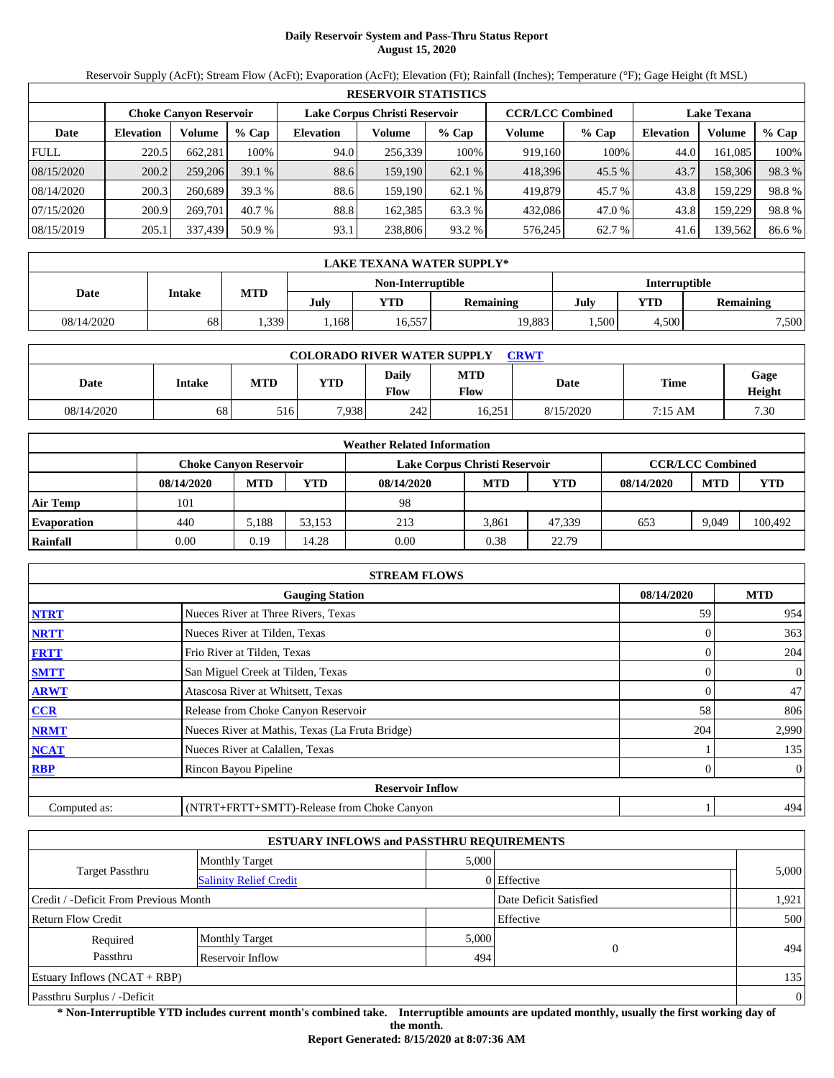# **Daily Reservoir System and Pass-Thru Status Report August 15, 2020**

Reservoir Supply (AcFt); Stream Flow (AcFt); Evaporation (AcFt); Elevation (Ft); Rainfall (Inches); Temperature (°F); Gage Height (ft MSL)

|             | <b>RESERVOIR STATISTICS</b> |                               |         |                               |         |         |                         |         |                    |         |        |  |  |  |
|-------------|-----------------------------|-------------------------------|---------|-------------------------------|---------|---------|-------------------------|---------|--------------------|---------|--------|--|--|--|
|             |                             | <b>Choke Canyon Reservoir</b> |         | Lake Corpus Christi Reservoir |         |         | <b>CCR/LCC Combined</b> |         | <b>Lake Texana</b> |         |        |  |  |  |
| Date        | <b>Elevation</b>            | Volume                        | $%$ Cap | <b>Elevation</b>              | Volume  | $%$ Cap | Volume                  | $%$ Cap | <b>Elevation</b>   | Volume  | % Cap  |  |  |  |
| <b>FULL</b> | 220.5                       | 662.281                       | 100%    | 94.0                          | 256,339 | 100%    | 919,160                 | 100%    | 44.0               | 161.085 | 100%   |  |  |  |
| 08/15/2020  | 200.2                       | 259,206                       | 39.1%   | 88.6                          | 159,190 | 62.1 %  | 418,396                 | 45.5 %  | 43.7               | 158,306 | 98.3%  |  |  |  |
| 08/14/2020  | 200.3                       | 260,689                       | 39.3 %  | 88.6                          | 159.190 | 62.1%   | 419.879                 | 45.7 %  | 43.8               | 159.229 | 98.8%  |  |  |  |
| 07/15/2020  | 200.9                       | 269.701                       | 40.7 %  | 88.8                          | 162.385 | 63.3 %  | 432,086                 | 47.0 %  | 43.8               | 159.229 | 98.8%  |  |  |  |
| 08/15/2019  | 205.1                       | 337,439                       | 50.9 %  | 93.1                          | 238,806 | 93.2 %  | 576,245                 | 62.7 %  | 41.6               | 139,562 | 86.6 % |  |  |  |

|                                    | LAKE TEXANA WATER SUPPLY* |            |      |        |                  |      |                  |       |  |  |  |  |
|------------------------------------|---------------------------|------------|------|--------|------------------|------|------------------|-------|--|--|--|--|
| Interruptible<br>Non-Interruptible |                           |            |      |        |                  |      |                  |       |  |  |  |  |
| Date                               | <b>Intake</b>             | <b>MTD</b> | July | YTD    | <b>Remaining</b> | July | <b>Remaining</b> |       |  |  |  |  |
| 08/14/2020                         | 68                        | .339       | .168 | 16,557 | 19.883           | .500 | 4.500            | 7,500 |  |  |  |  |

| <b>COLORADO RIVER WATER SUPPLY</b><br>CRWT |        |            |            |               |                           |           |             |                |  |  |  |
|--------------------------------------------|--------|------------|------------|---------------|---------------------------|-----------|-------------|----------------|--|--|--|
| Date                                       | Intake | <b>MTD</b> | <b>YTD</b> | Daily<br>Flow | <b>MTD</b><br><b>Flow</b> | Date      | <b>Time</b> | Gage<br>Height |  |  |  |
| 08/14/2020                                 | 68     | 516        | 7.938      | 242           | 16.251                    | 8/15/2020 | 7:15 AM     | 7.30           |  |  |  |

|                    | <b>Weather Related Information</b>                                                        |            |        |            |            |            |            |            |            |  |  |  |
|--------------------|-------------------------------------------------------------------------------------------|------------|--------|------------|------------|------------|------------|------------|------------|--|--|--|
|                    | <b>CCR/LCC Combined</b><br>Lake Corpus Christi Reservoir<br><b>Choke Canvon Reservoir</b> |            |        |            |            |            |            |            |            |  |  |  |
|                    | 08/14/2020                                                                                | <b>MTD</b> | YTD    | 08/14/2020 | <b>MTD</b> | <b>YTD</b> | 08/14/2020 | <b>MTD</b> | <b>YTD</b> |  |  |  |
| <b>Air Temp</b>    | 101                                                                                       |            |        | 98         |            |            |            |            |            |  |  |  |
| <b>Evaporation</b> | 440                                                                                       | 5.188      | 53.153 | 213        | 3.861      | 47.339     | 653        | 9.049      | 100,492    |  |  |  |
| Rainfall           | 0.00                                                                                      | 0.19       | 14.28  | 0.00       | 0.38       | 22.79      |            |            |            |  |  |  |

|                                      | <b>STREAM FLOWS</b>                             |     |                |  |  |  |  |  |  |
|--------------------------------------|-------------------------------------------------|-----|----------------|--|--|--|--|--|--|
| 08/14/2020<br><b>Gauging Station</b> |                                                 |     |                |  |  |  |  |  |  |
| <b>NTRT</b>                          | Nueces River at Three Rivers, Texas             | 59  | 954            |  |  |  |  |  |  |
| <b>NRTT</b>                          | Nueces River at Tilden, Texas                   |     | 363            |  |  |  |  |  |  |
| <b>FRTT</b>                          | Frio River at Tilden, Texas                     |     | 204            |  |  |  |  |  |  |
| <b>SMTT</b>                          | San Miguel Creek at Tilden, Texas               |     | $\mathbf{0}$   |  |  |  |  |  |  |
| <b>ARWT</b>                          | Atascosa River at Whitsett, Texas               |     | 47             |  |  |  |  |  |  |
| <b>CCR</b>                           | Release from Choke Canyon Reservoir             | 58  | 806            |  |  |  |  |  |  |
| <b>NRMT</b>                          | Nueces River at Mathis, Texas (La Fruta Bridge) | 204 | 2,990          |  |  |  |  |  |  |
| <b>NCAT</b>                          | Nueces River at Calallen, Texas                 |     | 135            |  |  |  |  |  |  |
| <b>RBP</b>                           | Rincon Bayou Pipeline                           |     | $\overline{0}$ |  |  |  |  |  |  |
|                                      | <b>Reservoir Inflow</b>                         |     |                |  |  |  |  |  |  |
| Computed as:                         | (NTRT+FRTT+SMTT)-Release from Choke Canyon      |     | 494            |  |  |  |  |  |  |

| <b>ESTUARY INFLOWS and PASSTHRU REQUIREMENTS</b> |                               |       |                        |                |  |  |  |  |  |
|--------------------------------------------------|-------------------------------|-------|------------------------|----------------|--|--|--|--|--|
|                                                  | <b>Monthly Target</b>         | 5,000 |                        |                |  |  |  |  |  |
| Target Passthru                                  | <b>Salinity Relief Credit</b> |       | 0 Effective            | 5,000          |  |  |  |  |  |
| Credit / -Deficit From Previous Month            |                               |       | Date Deficit Satisfied | 1,921          |  |  |  |  |  |
| Return Flow Credit                               |                               |       | Effective              | 500            |  |  |  |  |  |
| Required                                         | <b>Monthly Target</b>         | 5,000 |                        |                |  |  |  |  |  |
| Passthru<br>Reservoir Inflow                     |                               | 494   | $\overline{0}$         | 494            |  |  |  |  |  |
| Estuary Inflows $(NCAT + RBP)$                   |                               |       |                        |                |  |  |  |  |  |
| Passthru Surplus / -Deficit                      |                               |       |                        | $\overline{0}$ |  |  |  |  |  |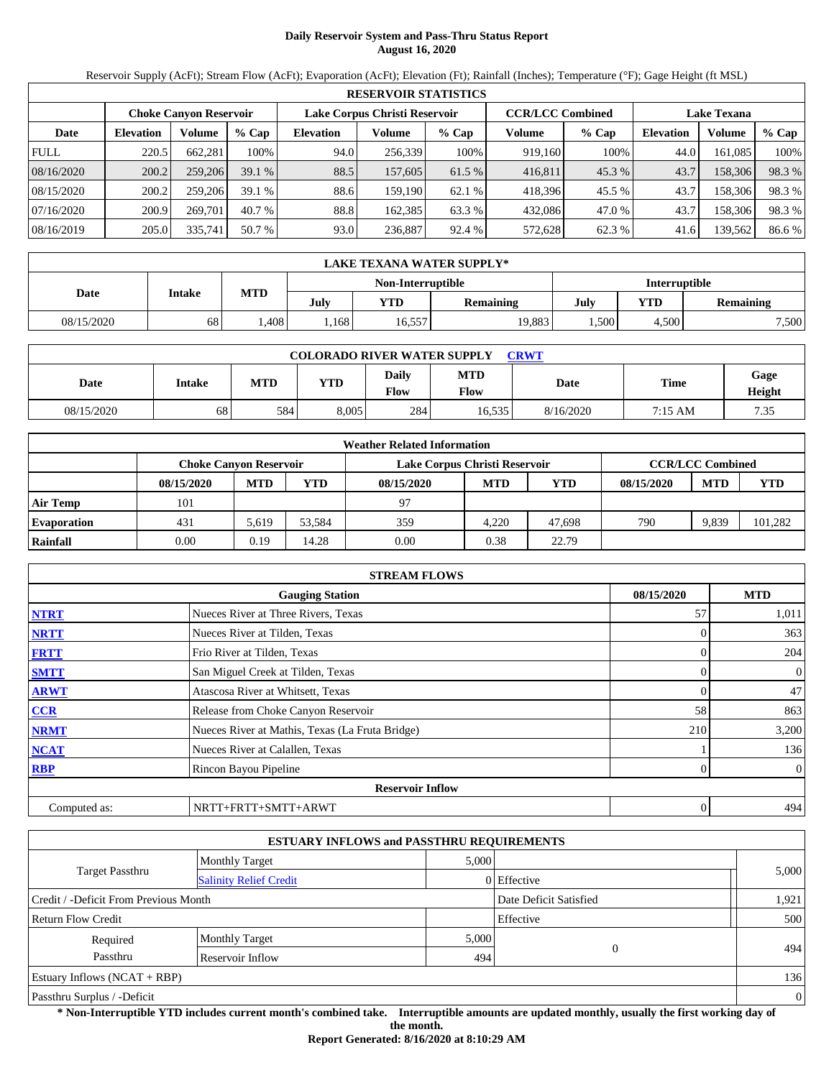# **Daily Reservoir System and Pass-Thru Status Report August 16, 2020**

Reservoir Supply (AcFt); Stream Flow (AcFt); Evaporation (AcFt); Elevation (Ft); Rainfall (Inches); Temperature (°F); Gage Height (ft MSL)

|             | <b>RESERVOIR STATISTICS</b> |                               |         |                               |         |         |                         |         |                    |         |        |  |  |  |
|-------------|-----------------------------|-------------------------------|---------|-------------------------------|---------|---------|-------------------------|---------|--------------------|---------|--------|--|--|--|
|             |                             | <b>Choke Canyon Reservoir</b> |         | Lake Corpus Christi Reservoir |         |         | <b>CCR/LCC Combined</b> |         | <b>Lake Texana</b> |         |        |  |  |  |
| Date        | <b>Elevation</b>            | Volume                        | $%$ Cap | <b>Elevation</b>              | Volume  | $%$ Cap | Volume                  | $%$ Cap | <b>Elevation</b>   | Volume  | % Cap  |  |  |  |
| <b>FULL</b> | 220.5                       | 662.281                       | 100%    | 94.0                          | 256,339 | 100%    | 919,160                 | 100%    | 44.0               | 161.085 | 100%   |  |  |  |
| 08/16/2020  | 200.2                       | 259,206                       | 39.1%   | 88.5                          | 157,605 | 61.5 %  | 416,811                 | 45.3 %  | 43.7               | 158,306 | 98.3%  |  |  |  |
| 08/15/2020  | 200.2                       | 259,206                       | 39.1%   | 88.6                          | 159.190 | 62.1%   | 418.396                 | 45.5 %  | 43.7               | 158,306 | 98.3%  |  |  |  |
| 07/16/2020  | 200.9                       | 269.701                       | 40.7 %  | 88.8                          | 162.385 | 63.3 %  | 432,086                 | 47.0 %  | 43.7               | 158,306 | 98.3%  |  |  |  |
| 08/16/2019  | 205.0                       | 335,741                       | 50.7 %  | 93.0                          | 236,887 | 92.4 %  | 572,628                 | 62.3 %  | 41.6               | 139,562 | 86.6 % |  |  |  |

|            | LAKE TEXANA WATER SUPPLY* |            |      |                   |                  |      |                  |       |  |  |  |  |
|------------|---------------------------|------------|------|-------------------|------------------|------|------------------|-------|--|--|--|--|
|            |                           |            |      | Non-Interruptible | Interruptible    |      |                  |       |  |  |  |  |
| Date       | Intake                    | <b>MTD</b> | July | YTD               | <b>Remaining</b> | July | <b>Remaining</b> |       |  |  |  |  |
| 08/15/2020 | 68                        | .408       | .168 | 16,557            | 19,883           | .500 | 4.500            | 7,500 |  |  |  |  |

| <b>COLORADO RIVER WATER SUPPLY</b><br>CRWT |        |            |            |               |                           |           |             |                |  |  |  |
|--------------------------------------------|--------|------------|------------|---------------|---------------------------|-----------|-------------|----------------|--|--|--|
| Date                                       | Intake | <b>MTD</b> | <b>YTD</b> | Daily<br>Flow | <b>MTD</b><br><b>Flow</b> | Date      | <b>Time</b> | Gage<br>Height |  |  |  |
| 08/15/2020                                 | 68     | 584        | 8.005      | 284           | 16.535                    | 8/16/2020 | 7:15 AM     | 7.35           |  |  |  |

|                    | <b>Weather Related Information</b>                                                        |            |        |            |            |            |            |            |            |  |  |  |
|--------------------|-------------------------------------------------------------------------------------------|------------|--------|------------|------------|------------|------------|------------|------------|--|--|--|
|                    | <b>CCR/LCC Combined</b><br>Lake Corpus Christi Reservoir<br><b>Choke Canvon Reservoir</b> |            |        |            |            |            |            |            |            |  |  |  |
|                    | 08/15/2020                                                                                | <b>MTD</b> | YTD    | 08/15/2020 | <b>MTD</b> | <b>YTD</b> | 08/15/2020 | <b>MTD</b> | <b>YTD</b> |  |  |  |
| <b>Air Temp</b>    | 101                                                                                       |            |        | 97         |            |            |            |            |            |  |  |  |
| <b>Evaporation</b> | 431                                                                                       | 5.619      | 53.584 | 359        | 4.220      | 47.698     | 790        | 9.839      | 101,282    |  |  |  |
| Rainfall           | 0.00                                                                                      | 0.19       | 14.28  | 0.00       | 0.38       | 22.79      |            |            |            |  |  |  |

|                                                    | <b>STREAM FLOWS</b>                             |     |                |  |  |  |  |  |  |  |
|----------------------------------------------------|-------------------------------------------------|-----|----------------|--|--|--|--|--|--|--|
| 08/15/2020<br><b>MTD</b><br><b>Gauging Station</b> |                                                 |     |                |  |  |  |  |  |  |  |
| <b>NTRT</b>                                        | Nueces River at Three Rivers, Texas             | 57  | 1,011          |  |  |  |  |  |  |  |
| <b>NRTT</b>                                        | Nueces River at Tilden, Texas                   |     | 363            |  |  |  |  |  |  |  |
| <b>FRTT</b>                                        | Frio River at Tilden, Texas                     |     | 204            |  |  |  |  |  |  |  |
| <b>SMTT</b>                                        | San Miguel Creek at Tilden, Texas               |     | $\overline{0}$ |  |  |  |  |  |  |  |
| <b>ARWT</b>                                        | Atascosa River at Whitsett, Texas               |     | 47             |  |  |  |  |  |  |  |
| <b>CCR</b>                                         | Release from Choke Canyon Reservoir             | 58  | 863            |  |  |  |  |  |  |  |
| <b>NRMT</b>                                        | Nueces River at Mathis, Texas (La Fruta Bridge) | 210 | 3,200          |  |  |  |  |  |  |  |
| <b>NCAT</b>                                        | Nueces River at Calallen, Texas                 |     | 136            |  |  |  |  |  |  |  |
| <b>RBP</b>                                         | Rincon Bayou Pipeline                           |     | $\overline{0}$ |  |  |  |  |  |  |  |
|                                                    | <b>Reservoir Inflow</b>                         |     |                |  |  |  |  |  |  |  |
| Computed as:                                       | NRTT+FRTT+SMTT+ARWT                             | 0   | 494            |  |  |  |  |  |  |  |

| <b>ESTUARY INFLOWS and PASSTHRU REQUIREMENTS</b> |                               |       |                        |                |  |  |  |  |  |
|--------------------------------------------------|-------------------------------|-------|------------------------|----------------|--|--|--|--|--|
|                                                  | <b>Monthly Target</b>         | 5,000 |                        |                |  |  |  |  |  |
| Target Passthru                                  | <b>Salinity Relief Credit</b> |       | 0 Effective            | 5,000          |  |  |  |  |  |
| Credit / -Deficit From Previous Month            |                               |       | Date Deficit Satisfied | 1,921          |  |  |  |  |  |
| Return Flow Credit                               |                               |       | Effective              | 500            |  |  |  |  |  |
| Required                                         | <b>Monthly Target</b>         | 5,000 |                        |                |  |  |  |  |  |
| Passthru                                         | Reservoir Inflow              | 494   | $\overline{0}$         | 494            |  |  |  |  |  |
| Estuary Inflows $(NCAT + RBP)$                   |                               |       |                        | 136            |  |  |  |  |  |
| Passthru Surplus / -Deficit                      |                               |       |                        | $\overline{0}$ |  |  |  |  |  |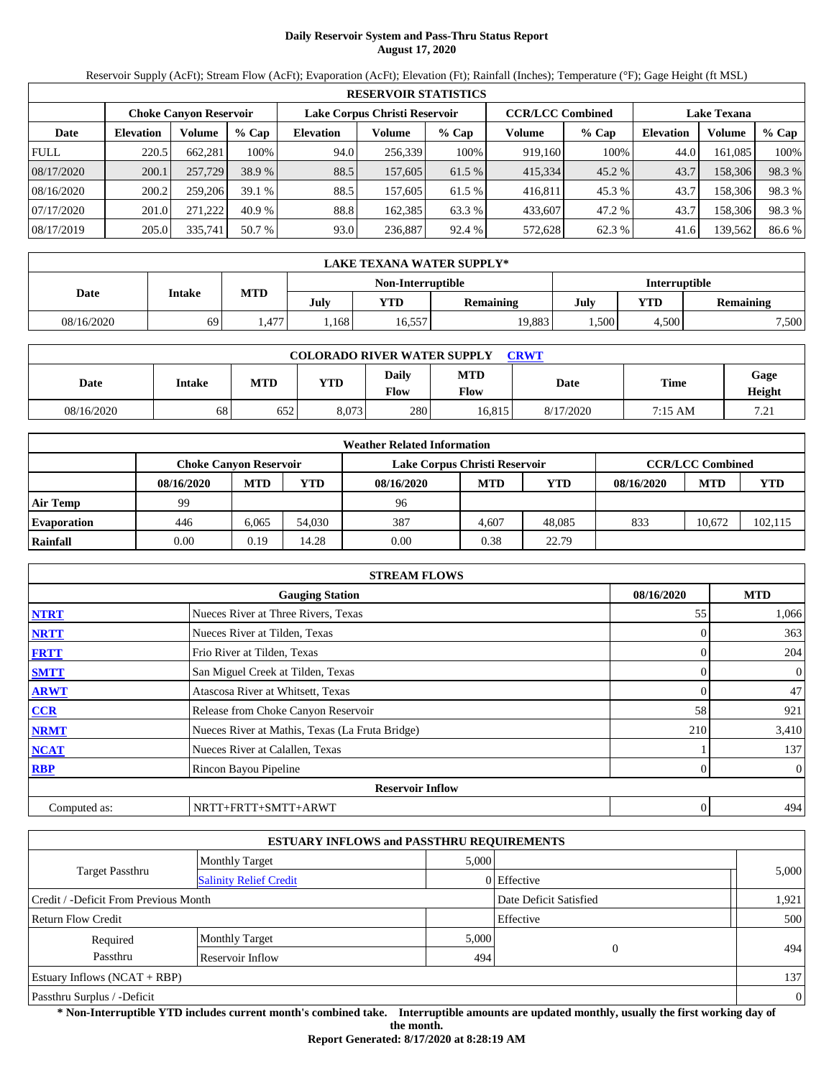# **Daily Reservoir System and Pass-Thru Status Report August 17, 2020**

Reservoir Supply (AcFt); Stream Flow (AcFt); Evaporation (AcFt); Elevation (Ft); Rainfall (Inches); Temperature (°F); Gage Height (ft MSL)

|             | <b>RESERVOIR STATISTICS</b> |                        |         |                  |                               |         |                         |        |                    |         |        |  |
|-------------|-----------------------------|------------------------|---------|------------------|-------------------------------|---------|-------------------------|--------|--------------------|---------|--------|--|
|             |                             | Choke Canvon Reservoir |         |                  | Lake Corpus Christi Reservoir |         | <b>CCR/LCC Combined</b> |        | <b>Lake Texana</b> |         |        |  |
| Date        | <b>Elevation</b>            | Volume                 | $%$ Cap | <b>Elevation</b> | Volume                        | $%$ Cap | Volume                  | % Cap  | <b>Elevation</b>   | Volume  | % Cap  |  |
| <b>FULL</b> | 220.5                       | 662,281                | 100%    | 94.0             | 256.339                       | 100%    | 919,160                 | 100%   | 44.0               | 161,085 | 100%   |  |
| 08/17/2020  | 200.1                       | 257,729                | 38.9 %  | 88.5             | 157,605                       | 61.5 %  | 415,334                 | 45.2 % | 43.7               | 158,306 | 98.3 % |  |
| 08/16/2020  | 200.2                       | 259,206                | 39.1%   | 88.5             | 157,605                       | 61.5 %  | 416.811                 | 45.3 % | 43.7               | 158,306 | 98.3 % |  |
| 07/17/2020  | 201.0                       | 271.222                | 40.9%   | 88.8             | 162.385                       | 63.3 %  | 433,607                 | 47.2 % | 43.7               | 158,306 | 98.3%  |  |
| 08/17/2019  | 205.0                       | 335,741                | 50.7 %  | 93.0             | 236,887                       | 92.4 %  | 572,628                 | 62.3 % | 41.6               | 139,562 | 86.6 % |  |

|            | LAKE TEXANA WATER SUPPLY* |      |      |                                    |           |      |                  |       |  |  |
|------------|---------------------------|------|------|------------------------------------|-----------|------|------------------|-------|--|--|
|            |                           |      |      | Interruptible<br>Non-Interruptible |           |      |                  |       |  |  |
| Date       | Intake                    | MTD  | July | <b>YTD</b>                         | Remaining | July | <b>Remaining</b> |       |  |  |
| 08/16/2020 | 69                        | .477 | .168 | 16,557                             | 19,883    | .500 | 4.500            | 7,500 |  |  |

| <b>COLORADO RIVER WATER SUPPLY</b><br><b>CRWT</b> |        |            |       |                      |                           |           |             |                |  |  |
|---------------------------------------------------|--------|------------|-------|----------------------|---------------------------|-----------|-------------|----------------|--|--|
| Date                                              | Intake | <b>MTD</b> | YTD   | Daily<br><b>Flow</b> | <b>MTD</b><br><b>Flow</b> | Date      | <b>Time</b> | Gage<br>Height |  |  |
| 08/16/2020                                        | 68     | 652        | 8.073 | 280                  | 16.815                    | 8/17/2020 | 7:15 AM     | 72<br>. د ۱    |  |  |

|                    | <b>Weather Related Information</b> |                                                                                           |        |            |            |            |            |            |            |  |  |  |
|--------------------|------------------------------------|-------------------------------------------------------------------------------------------|--------|------------|------------|------------|------------|------------|------------|--|--|--|
|                    |                                    | <b>CCR/LCC Combined</b><br>Lake Corpus Christi Reservoir<br><b>Choke Canvon Reservoir</b> |        |            |            |            |            |            |            |  |  |  |
|                    | 08/16/2020                         | <b>MTD</b>                                                                                | YTD    | 08/16/2020 | <b>MTD</b> | <b>YTD</b> | 08/16/2020 | <b>MTD</b> | <b>YTD</b> |  |  |  |
| <b>Air Temp</b>    | 99                                 |                                                                                           |        | 96         |            |            |            |            |            |  |  |  |
| <b>Evaporation</b> | 446                                | 6.065                                                                                     | 54,030 | 387        | 4.607      | 48,085     | 833        | 10.672     | 102,115    |  |  |  |
| Rainfall           | 0.00                               | 0.19                                                                                      | 14.28  | 0.00       | 0.38       | 22.79      |            |            |            |  |  |  |

| <b>STREAM FLOWS</b> |                                                    |     |                |  |  |  |  |  |  |
|---------------------|----------------------------------------------------|-----|----------------|--|--|--|--|--|--|
|                     | 08/16/2020<br><b>MTD</b><br><b>Gauging Station</b> |     |                |  |  |  |  |  |  |
| <b>NTRT</b>         | Nueces River at Three Rivers, Texas                | 55  | 1,066          |  |  |  |  |  |  |
| <b>NRTT</b>         | Nueces River at Tilden, Texas                      |     | 363            |  |  |  |  |  |  |
| <b>FRTT</b>         | Frio River at Tilden, Texas                        |     | 204            |  |  |  |  |  |  |
| <b>SMTT</b>         | San Miguel Creek at Tilden, Texas                  |     | $\mathbf{0}$   |  |  |  |  |  |  |
| <b>ARWT</b>         | Atascosa River at Whitsett, Texas                  |     | 47             |  |  |  |  |  |  |
| CCR                 | Release from Choke Canyon Reservoir                | 58  | 921            |  |  |  |  |  |  |
| <b>NRMT</b>         | Nueces River at Mathis, Texas (La Fruta Bridge)    | 210 | 3,410          |  |  |  |  |  |  |
| <b>NCAT</b>         | Nueces River at Calallen, Texas                    |     | 137            |  |  |  |  |  |  |
| <b>RBP</b>          | Rincon Bayou Pipeline                              |     | $\overline{0}$ |  |  |  |  |  |  |
|                     | <b>Reservoir Inflow</b>                            |     |                |  |  |  |  |  |  |
| Computed as:        | NRTT+FRTT+SMTT+ARWT                                |     | 494<br>0       |  |  |  |  |  |  |

|                                       |                               | <b>ESTUARY INFLOWS and PASSTHRU REQUIREMENTS</b> |                        |                |  |
|---------------------------------------|-------------------------------|--------------------------------------------------|------------------------|----------------|--|
|                                       | <b>Monthly Target</b>         | 5,000                                            |                        |                |  |
| <b>Target Passthru</b>                | <b>Salinity Relief Credit</b> |                                                  | 0 Effective            | 5,000          |  |
| Credit / -Deficit From Previous Month |                               |                                                  | Date Deficit Satisfied | 1,921          |  |
| Return Flow Credit                    |                               |                                                  | Effective              | 500            |  |
| Required                              | <b>Monthly Target</b>         | 5,000                                            |                        |                |  |
| Passthru                              | Reservoir Inflow              | 494                                              | $\overline{0}$         | 494            |  |
| Estuary Inflows $(NCAT + RBP)$        |                               |                                                  |                        | 137            |  |
| Passthru Surplus / -Deficit           |                               |                                                  |                        | $\overline{0}$ |  |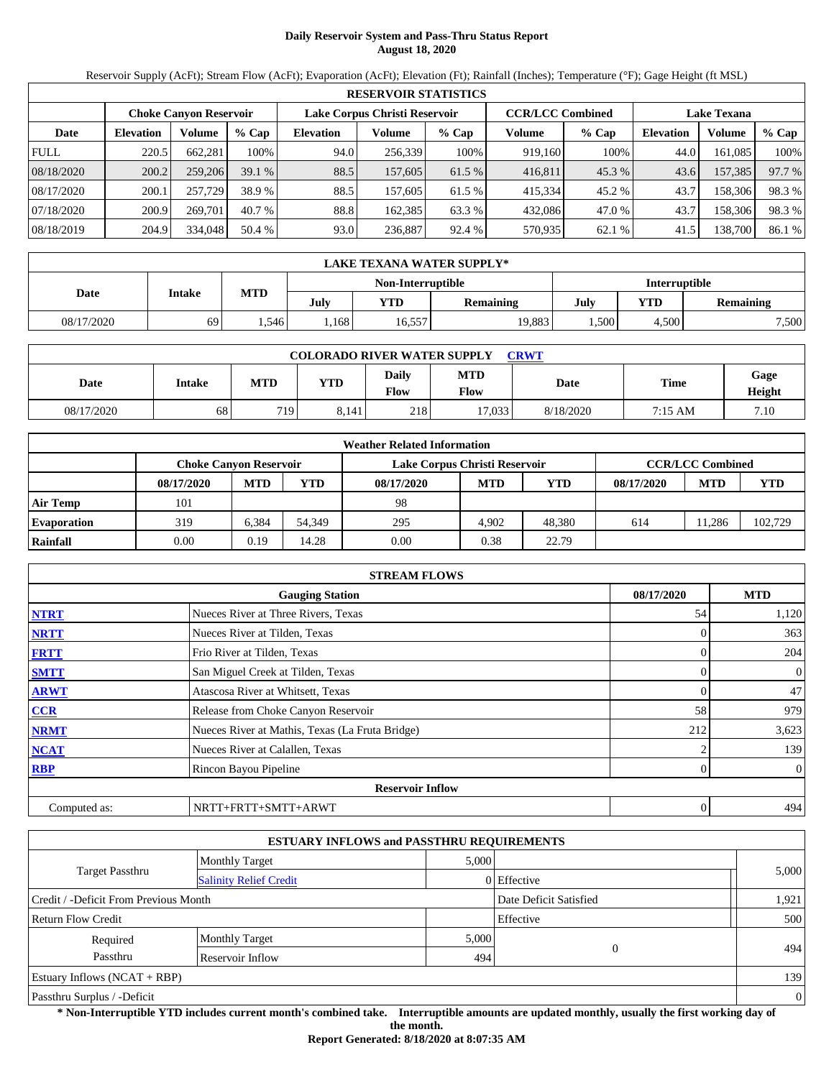# **Daily Reservoir System and Pass-Thru Status Report August 18, 2020**

Reservoir Supply (AcFt); Stream Flow (AcFt); Evaporation (AcFt); Elevation (Ft); Rainfall (Inches); Temperature (°F); Gage Height (ft MSL)

|             | <b>RESERVOIR STATISTICS</b> |                               |         |                  |                               |         |                         |         |                    |         |        |  |  |
|-------------|-----------------------------|-------------------------------|---------|------------------|-------------------------------|---------|-------------------------|---------|--------------------|---------|--------|--|--|
|             |                             | <b>Choke Canyon Reservoir</b> |         |                  | Lake Corpus Christi Reservoir |         | <b>CCR/LCC Combined</b> |         | <b>Lake Texana</b> |         |        |  |  |
| Date        | <b>Elevation</b>            | Volume                        | $%$ Cap | <b>Elevation</b> | Volume                        | $%$ Cap | Volume                  | $%$ Cap | <b>Elevation</b>   | Volume  | % Cap  |  |  |
| <b>FULL</b> | 220.5                       | 662.281                       | 100%    | 94.0             | 256,339                       | 100%    | 919,160                 | 100%    | 44.0               | 161.085 | 100%   |  |  |
| 08/18/2020  | 200.2                       | 259,206                       | 39.1%   | 88.5             | 157,605                       | 61.5 %  | 416,811                 | 45.3 %  | 43.6               | 157,385 | 97.7 % |  |  |
| 08/17/2020  | 200.1                       | 257,729                       | 38.9 %  | 88.5             | 157,605                       | 61.5 %  | 415,334                 | 45.2 %  | 43.7               | 158,306 | 98.3%  |  |  |
| 07/18/2020  | 200.9                       | 269.701                       | 40.7 %  | 88.8             | 162.385                       | 63.3 %  | 432,086                 | 47.0 %  | 43.7               | 158,306 | 98.3%  |  |  |
| 08/18/2019  | 204.9                       | 334,048                       | 50.4 %  | 93.0             | 236,887                       | 92.4 %  | 570,935                 | 62.1 %  | 41.5               | 138,700 | 86.1 % |  |  |

|            | LAKE TEXANA WATER SUPPLY* |            |      |                   |                  |               |           |  |  |  |  |
|------------|---------------------------|------------|------|-------------------|------------------|---------------|-----------|--|--|--|--|
|            |                           |            |      | Non-Interruptible |                  | Interruptible |           |  |  |  |  |
| Date       | Intake                    | <b>MTD</b> | July | YTD               | <b>Remaining</b> | July          | Remaining |  |  |  |  |
| 08/17/2020 | 69                        | .546       | .168 | 16,557            | 19,883           | 4.500<br>.500 |           |  |  |  |  |

| <b>COLORADO RIVER WATER SUPPLY</b><br>CRWT |        |            |            |               |                           |           |             |                |  |  |
|--------------------------------------------|--------|------------|------------|---------------|---------------------------|-----------|-------------|----------------|--|--|
| Date                                       | Intake | <b>MTD</b> | <b>YTD</b> | Daily<br>Flow | <b>MTD</b><br><b>Flow</b> | Date      | <b>Time</b> | Gage<br>Height |  |  |
| 08/17/2020                                 | 68     | 719        | 8.141      | 218           | 17.033                    | 8/18/2020 | 7:15 AM     | 7.10           |  |  |

|                    | <b>Weather Related Information</b>                                                        |            |        |            |            |            |            |            |            |  |  |  |
|--------------------|-------------------------------------------------------------------------------------------|------------|--------|------------|------------|------------|------------|------------|------------|--|--|--|
|                    | <b>CCR/LCC Combined</b><br>Lake Corpus Christi Reservoir<br><b>Choke Canvon Reservoir</b> |            |        |            |            |            |            |            |            |  |  |  |
|                    | 08/17/2020                                                                                | <b>MTD</b> | YTD    | 08/17/2020 | <b>MTD</b> | <b>YTD</b> | 08/17/2020 | <b>MTD</b> | <b>YTD</b> |  |  |  |
| <b>Air Temp</b>    | 101                                                                                       |            |        | 98         |            |            |            |            |            |  |  |  |
| <b>Evaporation</b> | 319                                                                                       | 6.384      | 54.349 | 295        | 4.902      | 48.380     | 614        | 1.286      | 102,729    |  |  |  |
| Rainfall           | 0.00                                                                                      | 0.19       | 14.28  | 0.00       | 0.38       | 22.79      |            |            |            |  |  |  |

|                                                    | <b>STREAM FLOWS</b>                             |  |     |                |  |  |  |  |  |
|----------------------------------------------------|-------------------------------------------------|--|-----|----------------|--|--|--|--|--|
| 08/17/2020<br><b>MTD</b><br><b>Gauging Station</b> |                                                 |  |     |                |  |  |  |  |  |
| <b>NTRT</b>                                        | Nueces River at Three Rivers, Texas             |  | 54  | 1,120          |  |  |  |  |  |
| <b>NRTT</b>                                        | Nueces River at Tilden, Texas                   |  |     | 363            |  |  |  |  |  |
| <b>FRTT</b>                                        | Frio River at Tilden, Texas                     |  |     | 204            |  |  |  |  |  |
| <b>SMTT</b>                                        | San Miguel Creek at Tilden, Texas               |  |     | $\mathbf{0}$   |  |  |  |  |  |
| <b>ARWT</b>                                        | Atascosa River at Whitsett, Texas               |  |     | 47             |  |  |  |  |  |
| <b>CCR</b>                                         | Release from Choke Canyon Reservoir             |  | 58  | 979            |  |  |  |  |  |
| <b>NRMT</b>                                        | Nueces River at Mathis, Texas (La Fruta Bridge) |  | 212 | 3,623          |  |  |  |  |  |
| <b>NCAT</b>                                        | Nueces River at Calallen, Texas                 |  |     | 139            |  |  |  |  |  |
| <b>RBP</b>                                         | Rincon Bayou Pipeline                           |  |     | $\overline{0}$ |  |  |  |  |  |
|                                                    | <b>Reservoir Inflow</b>                         |  |     |                |  |  |  |  |  |
| Computed as:                                       | NRTT+FRTT+SMTT+ARWT                             |  | 0   | 494            |  |  |  |  |  |

|                                       | <b>ESTUARY INFLOWS and PASSTHRU REQUIREMENTS</b> |       |                        |                |
|---------------------------------------|--------------------------------------------------|-------|------------------------|----------------|
|                                       | <b>Monthly Target</b>                            | 5,000 |                        |                |
| Target Passthru                       | <b>Salinity Relief Credit</b>                    |       | 0 Effective            | 5,000          |
| Credit / -Deficit From Previous Month |                                                  |       | Date Deficit Satisfied | 1,921          |
| Return Flow Credit                    |                                                  |       | Effective              | 500            |
| Required                              | <b>Monthly Target</b>                            | 5,000 |                        |                |
| Passthru                              | Reservoir Inflow                                 | 494   | $\overline{0}$         | 494            |
| Estuary Inflows $(NCAT + RBP)$        |                                                  |       |                        | 139            |
| Passthru Surplus / -Deficit           |                                                  |       |                        | $\overline{0}$ |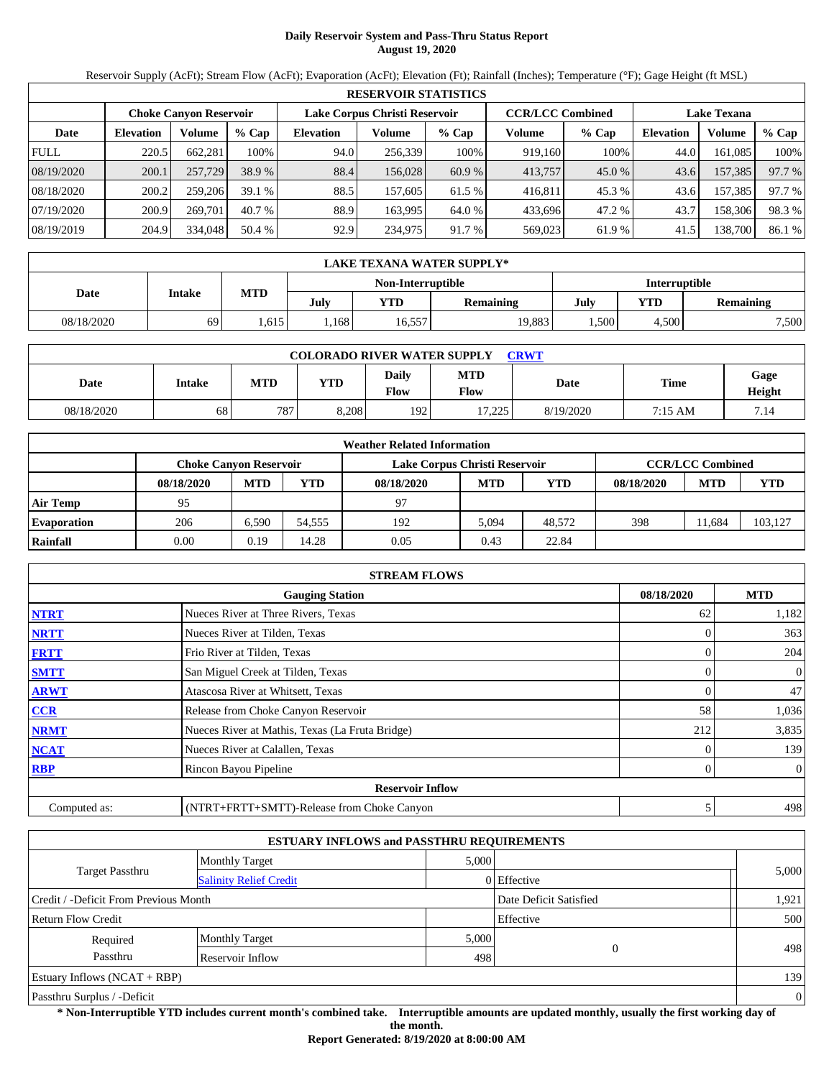# **Daily Reservoir System and Pass-Thru Status Report August 19, 2020**

Reservoir Supply (AcFt); Stream Flow (AcFt); Evaporation (AcFt); Elevation (Ft); Rainfall (Inches); Temperature (°F); Gage Height (ft MSL)

|             | <b>RESERVOIR STATISTICS</b> |                               |         |                               |         |         |                         |         |                    |         |        |  |  |
|-------------|-----------------------------|-------------------------------|---------|-------------------------------|---------|---------|-------------------------|---------|--------------------|---------|--------|--|--|
|             |                             | <b>Choke Canvon Reservoir</b> |         | Lake Corpus Christi Reservoir |         |         | <b>CCR/LCC Combined</b> |         | <b>Lake Texana</b> |         |        |  |  |
| Date        | <b>Elevation</b>            | Volume                        | $%$ Cap | <b>Elevation</b>              | Volume  | $%$ Cap | Volume                  | $%$ Cap | <b>Elevation</b>   | Volume  | % Cap  |  |  |
| <b>FULL</b> | 220.5                       | 662,281                       | 100%    | 94.0                          | 256,339 | 100%    | 919,160                 | 100%    | 44.0               | 161.085 | 100%   |  |  |
| 08/19/2020  | 200.1                       | 257,729                       | 38.9 %  | 88.4                          | 156,028 | 60.9 %  | 413,757                 | 45.0 %  | 43.6               | 157,385 | 97.7 % |  |  |
| 08/18/2020  | 200.2                       | 259,206                       | 39.1%   | 88.5                          | 157.605 | 61.5 %  | 416,811                 | 45.3 %  | 43.6               | 157.385 | 97.7 % |  |  |
| 07/19/2020  | 200.9                       | 269,701                       | 40.7 %  | 88.9                          | 163.995 | 64.0 %  | 433,696                 | 47.2 %  | 43.7               | 158,306 | 98.3%  |  |  |
| 08/19/2019  | 204.9                       | 334,048                       | 50.4 %  | 92.9                          | 234,975 | 91.7 %  | 569,023                 | 61.9 %  | 41.5               | 138,700 | 86.1 % |  |  |

|            | LAKE TEXANA WATER SUPPLY* |      |      |                   |           |               |       |                  |  |  |  |
|------------|---------------------------|------|------|-------------------|-----------|---------------|-------|------------------|--|--|--|
|            |                           |      |      | Non-Interruptible |           | Interruptible |       |                  |  |  |  |
| Date       | Intake                    | MTD  | July | <b>YTD</b>        | Remaining | July          | YTD   | <b>Remaining</b> |  |  |  |
| 08/18/2020 | 69                        | .615 | .168 | 16,557            | 19,883    | .500          | 4.500 | 7,500            |  |  |  |

| <b>COLORADO RIVER WATER SUPPLY</b><br><b>CRWT</b> |        |     |            |                      |                           |           |         |                |  |  |  |
|---------------------------------------------------|--------|-----|------------|----------------------|---------------------------|-----------|---------|----------------|--|--|--|
| Date                                              | Intake | MTD | <b>YTD</b> | Daily<br><b>Flow</b> | <b>MTD</b><br><b>Flow</b> | Date      | Time    | Gage<br>Height |  |  |  |
| 08/18/2020                                        | 68     | 787 | 8,208      | 192                  | 17.225<br>ن کے گ          | 8/19/2020 | 7:15 AM | 7.14           |  |  |  |

| <b>Weather Related Information</b> |                               |            |        |                               |                         |            |            |            |         |  |  |
|------------------------------------|-------------------------------|------------|--------|-------------------------------|-------------------------|------------|------------|------------|---------|--|--|
|                                    | <b>Choke Canvon Reservoir</b> |            |        | Lake Corpus Christi Reservoir | <b>CCR/LCC Combined</b> |            |            |            |         |  |  |
|                                    | 08/18/2020                    | <b>MTD</b> | YTD    | 08/18/2020                    | <b>MTD</b>              | <b>YTD</b> | 08/18/2020 | <b>MTD</b> | YTD     |  |  |
| <b>Air Temp</b>                    | 95                            |            |        | 97                            |                         |            |            |            |         |  |  |
| <b>Evaporation</b>                 | 206                           | 6.590      | 54.555 | 192                           | 5.094                   | 48,572     | 398        | 1.684      | 103,127 |  |  |
| Rainfall                           | 0.00                          | 0.19       | 14.28  | 0.05                          | 0.43                    | 22.84      |            |            |         |  |  |

| <b>STREAM FLOWS</b>                  |                                                 |     |                  |  |  |  |  |  |  |
|--------------------------------------|-------------------------------------------------|-----|------------------|--|--|--|--|--|--|
| 08/18/2020<br><b>Gauging Station</b> |                                                 |     |                  |  |  |  |  |  |  |
| <b>NTRT</b>                          | Nueces River at Three Rivers, Texas             | 62  | 1,182            |  |  |  |  |  |  |
| <b>NRTT</b>                          | Nueces River at Tilden, Texas                   |     | 363              |  |  |  |  |  |  |
| <b>FRTT</b>                          | Frio River at Tilden, Texas                     |     | 204              |  |  |  |  |  |  |
| <b>SMTT</b>                          | San Miguel Creek at Tilden, Texas               |     | $\mathbf{0}$     |  |  |  |  |  |  |
| <b>ARWT</b>                          | Atascosa River at Whitsett, Texas               |     | 47               |  |  |  |  |  |  |
| CCR                                  | Release from Choke Canyon Reservoir             | 58  | 1,036            |  |  |  |  |  |  |
| <b>NRMT</b>                          | Nueces River at Mathis, Texas (La Fruta Bridge) | 212 | 3,835            |  |  |  |  |  |  |
| <b>NCAT</b>                          | Nueces River at Calallen, Texas                 |     | 139              |  |  |  |  |  |  |
| <b>RBP</b>                           | Rincon Bayou Pipeline                           |     | $\boldsymbol{0}$ |  |  |  |  |  |  |
|                                      | <b>Reservoir Inflow</b>                         |     |                  |  |  |  |  |  |  |
| Computed as:                         | (NTRT+FRTT+SMTT)-Release from Choke Canyon      |     | 498              |  |  |  |  |  |  |

| <b>ESTUARY INFLOWS and PASSTHRU REQUIREMENTS</b> |                               |       |                        |                |  |  |  |  |  |
|--------------------------------------------------|-------------------------------|-------|------------------------|----------------|--|--|--|--|--|
|                                                  | <b>Monthly Target</b>         | 5,000 |                        |                |  |  |  |  |  |
| <b>Target Passthru</b>                           | <b>Salinity Relief Credit</b> |       | 0 Effective            | 5,000          |  |  |  |  |  |
| Credit / -Deficit From Previous Month            |                               |       | Date Deficit Satisfied | 1,921          |  |  |  |  |  |
| <b>Return Flow Credit</b>                        | Effective                     | 500   |                        |                |  |  |  |  |  |
| Required                                         | <b>Monthly Target</b>         | 5,000 |                        |                |  |  |  |  |  |
| Passthru                                         | Reservoir Inflow              | 498   | $\theta$               | 498            |  |  |  |  |  |
| Estuary Inflows $(NCAT + RBP)$                   |                               |       |                        |                |  |  |  |  |  |
| Passthru Surplus / -Deficit                      |                               |       |                        | $\overline{0}$ |  |  |  |  |  |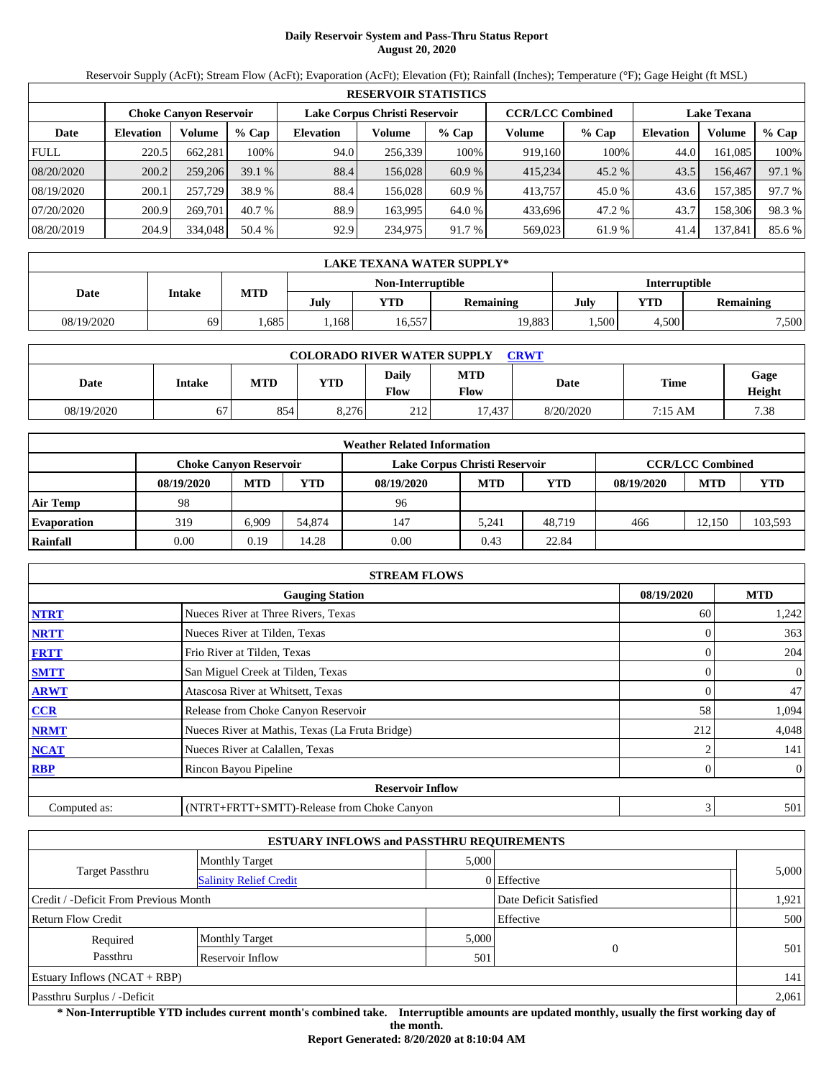# **Daily Reservoir System and Pass-Thru Status Report August 20, 2020**

Reservoir Supply (AcFt); Stream Flow (AcFt); Evaporation (AcFt); Elevation (Ft); Rainfall (Inches); Temperature (°F); Gage Height (ft MSL)

|             | <b>RESERVOIR STATISTICS</b> |                        |         |                               |         |         |                         |         |                    |         |        |  |  |
|-------------|-----------------------------|------------------------|---------|-------------------------------|---------|---------|-------------------------|---------|--------------------|---------|--------|--|--|
|             |                             | Choke Canvon Reservoir |         | Lake Corpus Christi Reservoir |         |         | <b>CCR/LCC Combined</b> |         | <b>Lake Texana</b> |         |        |  |  |
| Date        | <b>Elevation</b>            | Volume                 | $%$ Cap | <b>Elevation</b>              | Volume  | $%$ Cap | Volume                  | $%$ Cap | <b>Elevation</b>   | Volume  | % Cap  |  |  |
| <b>FULL</b> | 220.5                       | 662,281                | 100%    | 94.0                          | 256,339 | 100%    | 919.160                 | 100%    | 44.0               | 161.085 | 100%   |  |  |
| 08/20/2020  | 200.2                       | 259,206                | 39.1%   | 88.4                          | 156,028 | 60.9 %  | 415.234                 | 45.2 %  | 43.5               | 156,467 | 97.1 % |  |  |
| 08/19/2020  | 200.1                       | 257,729                | 38.9 %  | 88.4                          | 156.028 | 60.9 %  | 413.757                 | 45.0 %  | 43.6               | 157,385 | 97.7 % |  |  |
| 07/20/2020  | 200.9                       | 269,701                | 40.7 %  | 88.9                          | 163.995 | 64.0 %  | 433.696                 | 47.2 %  | 43.7               | 158,306 | 98.3%  |  |  |
| 08/20/2019  | 204.9                       | 334,048                | 50.4 %  | 92.9                          | 234,975 | 91.7 %  | 569,023                 | 61.9 %  | 41.4               | 137,841 | 85.6 % |  |  |

|            | LAKE TEXANA WATER SUPPLY* |      |      |                   |                  |               |       |                  |  |  |  |
|------------|---------------------------|------|------|-------------------|------------------|---------------|-------|------------------|--|--|--|
|            |                           |      |      | Non-Interruptible |                  | Interruptible |       |                  |  |  |  |
| Date       | Intake                    | MTD  | July | YTD               | <b>Remaining</b> | July          | YTD   | <b>Remaining</b> |  |  |  |
| 08/19/2020 | 69                        | .685 | .168 | 16,557            | 19,883           | .500          | 4.500 | 7,500            |  |  |  |

| <b>COLORADO RIVER WATER SUPPLY</b><br><b>CRWT</b> |               |            |       |                             |                           |           |             |                |  |  |
|---------------------------------------------------|---------------|------------|-------|-----------------------------|---------------------------|-----------|-------------|----------------|--|--|
| Date                                              | <b>Intake</b> | <b>MTD</b> | YTD   | <b>Daily</b><br><b>Flow</b> | <b>MTD</b><br><b>Flow</b> | Date      | <b>Time</b> | Gage<br>Height |  |  |
| 08/19/2020                                        | 67            | 854        | 8.276 | 212                         | 17.437                    | 8/20/2020 | 7:15 AM     | 7.38           |  |  |

| <b>Weather Related Information</b> |                               |            |        |                               |                         |            |            |            |         |  |  |
|------------------------------------|-------------------------------|------------|--------|-------------------------------|-------------------------|------------|------------|------------|---------|--|--|
|                                    | <b>Choke Canvon Reservoir</b> |            |        | Lake Corpus Christi Reservoir | <b>CCR/LCC Combined</b> |            |            |            |         |  |  |
|                                    | 08/19/2020                    | <b>MTD</b> | YTD    | 08/19/2020                    | <b>MTD</b>              | <b>YTD</b> | 08/19/2020 | <b>MTD</b> | YTD     |  |  |
| <b>Air Temp</b>                    | 98                            |            |        | 96                            |                         |            |            |            |         |  |  |
| <b>Evaporation</b>                 | 319                           | 6.909      | 54,874 | 147                           | 5.241                   | 48.719     | 466        | 12.150     | 103,593 |  |  |
| Rainfall                           | 0.00                          | 0.19       | 14.28  | 0.00                          | 0.43                    | 22.84      |            |            |         |  |  |

| <b>STREAM FLOWS</b>                  |                                                 |     |                  |  |  |  |  |  |  |
|--------------------------------------|-------------------------------------------------|-----|------------------|--|--|--|--|--|--|
| 08/19/2020<br><b>Gauging Station</b> |                                                 |     |                  |  |  |  |  |  |  |
| <b>NTRT</b>                          | Nueces River at Three Rivers, Texas             | 60  | 1,242            |  |  |  |  |  |  |
| <b>NRTT</b>                          | Nueces River at Tilden, Texas                   |     | 363              |  |  |  |  |  |  |
| <b>FRTT</b>                          | Frio River at Tilden, Texas                     |     | 204              |  |  |  |  |  |  |
| <b>SMTT</b>                          | San Miguel Creek at Tilden, Texas               |     | $\mathbf{0}$     |  |  |  |  |  |  |
| <b>ARWT</b>                          | Atascosa River at Whitsett, Texas               |     | 47               |  |  |  |  |  |  |
| CCR                                  | Release from Choke Canyon Reservoir             | 58  | 1,094            |  |  |  |  |  |  |
| <b>NRMT</b>                          | Nueces River at Mathis, Texas (La Fruta Bridge) | 212 | 4,048            |  |  |  |  |  |  |
| <b>NCAT</b>                          | Nueces River at Calallen, Texas                 |     | 141              |  |  |  |  |  |  |
| <b>RBP</b>                           | Rincon Bayou Pipeline                           |     | $\boldsymbol{0}$ |  |  |  |  |  |  |
|                                      | <b>Reservoir Inflow</b>                         |     |                  |  |  |  |  |  |  |
| Computed as:                         | (NTRT+FRTT+SMTT)-Release from Choke Canyon      | s   | 501              |  |  |  |  |  |  |

| <b>ESTUARY INFLOWS and PASSTHRU REQUIREMENTS</b> |                               |       |                        |       |  |  |  |  |  |
|--------------------------------------------------|-------------------------------|-------|------------------------|-------|--|--|--|--|--|
|                                                  | <b>Monthly Target</b>         | 5,000 |                        |       |  |  |  |  |  |
| <b>Target Passthru</b>                           | <b>Salinity Relief Credit</b> |       | 0 Effective            | 5,000 |  |  |  |  |  |
| Credit / -Deficit From Previous Month            |                               |       | Date Deficit Satisfied | 1,921 |  |  |  |  |  |
| <b>Return Flow Credit</b>                        |                               |       | Effective              | 500   |  |  |  |  |  |
| Required                                         | <b>Monthly Target</b>         | 5,000 |                        |       |  |  |  |  |  |
| Passthru                                         | Reservoir Inflow              | 501   | $\mathbf{0}$           | 501   |  |  |  |  |  |
| Estuary Inflows $(NCAT + RBP)$                   |                               |       |                        | 141   |  |  |  |  |  |
| Passthru Surplus / -Deficit                      |                               |       |                        | 2,061 |  |  |  |  |  |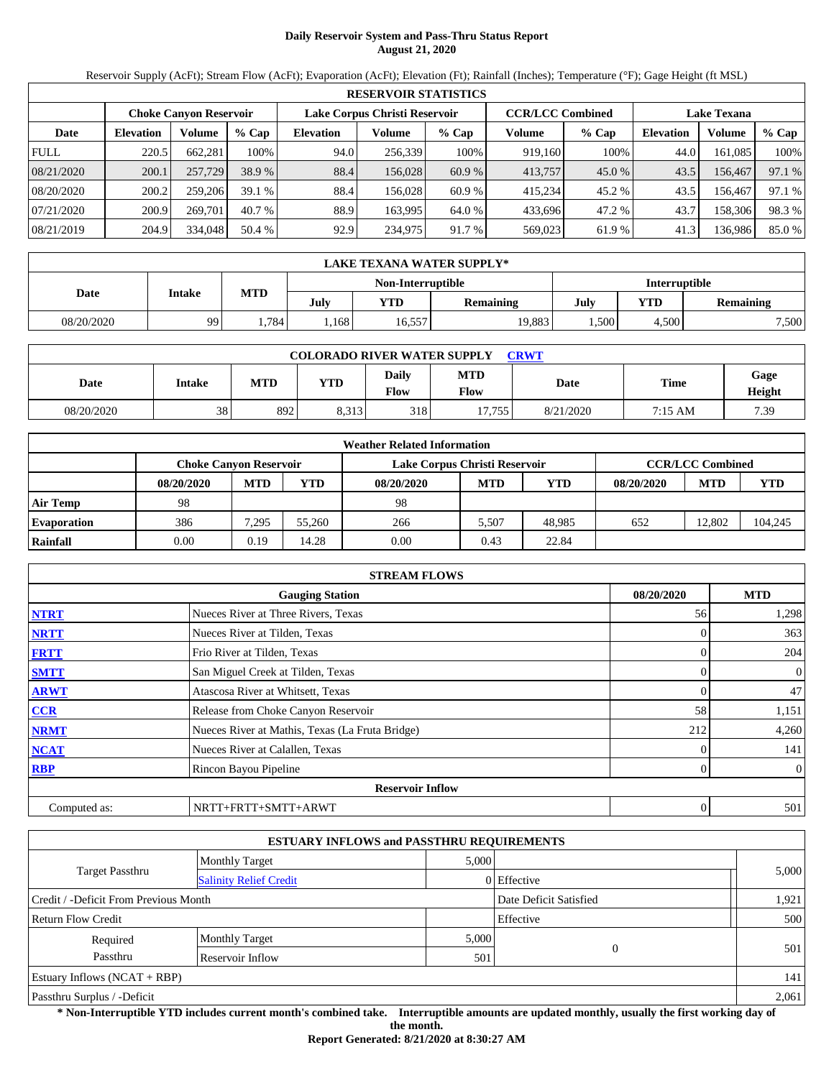# **Daily Reservoir System and Pass-Thru Status Report August 21, 2020**

Reservoir Supply (AcFt); Stream Flow (AcFt); Evaporation (AcFt); Elevation (Ft); Rainfall (Inches); Temperature (°F); Gage Height (ft MSL)

|             | <b>RESERVOIR STATISTICS</b> |                               |         |                               |         |         |                         |         |                    |         |        |  |  |
|-------------|-----------------------------|-------------------------------|---------|-------------------------------|---------|---------|-------------------------|---------|--------------------|---------|--------|--|--|
|             |                             | <b>Choke Canyon Reservoir</b> |         | Lake Corpus Christi Reservoir |         |         | <b>CCR/LCC Combined</b> |         | <b>Lake Texana</b> |         |        |  |  |
| Date        | <b>Elevation</b>            | Volume                        | $%$ Cap | <b>Elevation</b>              | Volume  | $%$ Cap | Volume                  | $%$ Cap | <b>Elevation</b>   | Volume  | % Cap  |  |  |
| <b>FULL</b> | 220.5                       | 662.281                       | 100%    | 94.0                          | 256,339 | 100%    | 919,160                 | 100%    | 44.0               | 161.085 | 100%   |  |  |
| 08/21/2020  | 200.1                       | 257,729                       | 38.9 %  | 88.4                          | 156,028 | 60.9 %  | 413,757                 | 45.0 %  | 43.5               | 156.467 | 97.1 % |  |  |
| 08/20/2020  | 200.2                       | 259,206                       | 39.1%   | 88.4                          | 156.028 | 60.9 %  | 415.234                 | 45.2 %  | 43.5               | 156.467 | 97.1 % |  |  |
| 07/21/2020  | 200.9                       | 269,701                       | 40.7 %  | 88.9                          | 163.995 | 64.0 %  | 433.696                 | 47.2 %  | 43.7               | 158.306 | 98.3 % |  |  |
| 08/21/2019  | 204.9                       | 334,048                       | 50.4 %  | 92.9                          | 234,975 | 91.7 %  | 569,023                 | 61.9%   | 41.3               | 136,986 | 85.0%  |  |  |

|            | LAKE TEXANA WATER SUPPLY* |            |      |        |                   |      |                  |               |  |  |  |
|------------|---------------------------|------------|------|--------|-------------------|------|------------------|---------------|--|--|--|
|            |                           |            |      |        | Non-Interruptible |      |                  | Interruptible |  |  |  |
| Date       | Intake                    | <b>MTD</b> | July | YTD    | <b>Remaining</b>  | July | <b>Remaining</b> |               |  |  |  |
| 08/20/2020 | 99                        | .784       | .168 | 16,557 | 19,883            | .500 | 4.500            | 7,500         |  |  |  |

| <b>COLORADO RIVER WATER SUPPLY</b><br>CRWT |        |            |            |               |                           |           |             |                |  |  |
|--------------------------------------------|--------|------------|------------|---------------|---------------------------|-----------|-------------|----------------|--|--|
| Date                                       | Intake | <b>MTD</b> | <b>YTD</b> | Daily<br>Flow | <b>MTD</b><br><b>Flow</b> | Date      | <b>Time</b> | Gage<br>Height |  |  |
| 08/20/2020                                 | 38     | 892        | 8.313      | 318           | 17.755                    | 8/21/2020 | 7:15 AM     | 7.39           |  |  |

|                    | <b>Weather Related Information</b>                                                        |            |        |            |            |            |            |            |         |  |  |  |
|--------------------|-------------------------------------------------------------------------------------------|------------|--------|------------|------------|------------|------------|------------|---------|--|--|--|
|                    | <b>CCR/LCC Combined</b><br>Lake Corpus Christi Reservoir<br><b>Choke Canvon Reservoir</b> |            |        |            |            |            |            |            |         |  |  |  |
|                    | 08/20/2020                                                                                | <b>MTD</b> | YTD    | 08/20/2020 | <b>MTD</b> | <b>YTD</b> | 08/20/2020 | <b>MTD</b> | YTD     |  |  |  |
| <b>Air Temp</b>    | 98                                                                                        |            |        | 98         |            |            |            |            |         |  |  |  |
| <b>Evaporation</b> | 386                                                                                       | 7.295      | 55,260 | 266        | 5.507      | 48.985     | 652        | 12.802     | 104,245 |  |  |  |
| Rainfall           | 0.00                                                                                      | 0.19       | 14.28  | 0.00       | 0.43       | 22.84      |            |            |         |  |  |  |

|              | <b>STREAM FLOWS</b>                             |  |            |                |  |  |  |  |  |
|--------------|-------------------------------------------------|--|------------|----------------|--|--|--|--|--|
|              | <b>Gauging Station</b>                          |  | 08/20/2020 | <b>MTD</b>     |  |  |  |  |  |
| <b>NTRT</b>  | Nueces River at Three Rivers, Texas             |  | 56         | 1,298          |  |  |  |  |  |
| <b>NRTT</b>  | Nueces River at Tilden, Texas                   |  |            | 363            |  |  |  |  |  |
| <b>FRTT</b>  | Frio River at Tilden, Texas                     |  |            | 204            |  |  |  |  |  |
| <b>SMTT</b>  | San Miguel Creek at Tilden, Texas               |  |            | $\overline{0}$ |  |  |  |  |  |
| <b>ARWT</b>  | Atascosa River at Whitsett, Texas               |  |            | 47             |  |  |  |  |  |
| <b>CCR</b>   | Release from Choke Canyon Reservoir             |  | 58         | 1,151          |  |  |  |  |  |
| <b>NRMT</b>  | Nueces River at Mathis, Texas (La Fruta Bridge) |  | 212        | 4,260          |  |  |  |  |  |
| <b>NCAT</b>  | Nueces River at Calallen, Texas                 |  |            | 141            |  |  |  |  |  |
| <b>RBP</b>   | Rincon Bayou Pipeline                           |  |            | $\overline{0}$ |  |  |  |  |  |
|              | <b>Reservoir Inflow</b>                         |  |            |                |  |  |  |  |  |
| Computed as: | NRTT+FRTT+SMTT+ARWT                             |  | 0          | 501            |  |  |  |  |  |

| <b>ESTUARY INFLOWS and PASSTHRU REQUIREMENTS</b> |                               |       |                        |       |  |  |  |  |  |
|--------------------------------------------------|-------------------------------|-------|------------------------|-------|--|--|--|--|--|
|                                                  | <b>Monthly Target</b>         | 5,000 |                        |       |  |  |  |  |  |
| <b>Target Passthru</b>                           | <b>Salinity Relief Credit</b> |       | 0 Effective            | 5,000 |  |  |  |  |  |
| Credit / -Deficit From Previous Month            |                               |       | Date Deficit Satisfied | 1,921 |  |  |  |  |  |
| Return Flow Credit                               |                               |       | Effective              | 500   |  |  |  |  |  |
| Required                                         | <b>Monthly Target</b>         | 5,000 |                        |       |  |  |  |  |  |
| Passthru                                         | <b>Reservoir Inflow</b>       | 501   | 0                      | 501   |  |  |  |  |  |
| Estuary Inflows $(NCAT + RBP)$                   |                               |       |                        | 141   |  |  |  |  |  |
| Passthru Surplus / -Deficit                      |                               |       |                        | 2,061 |  |  |  |  |  |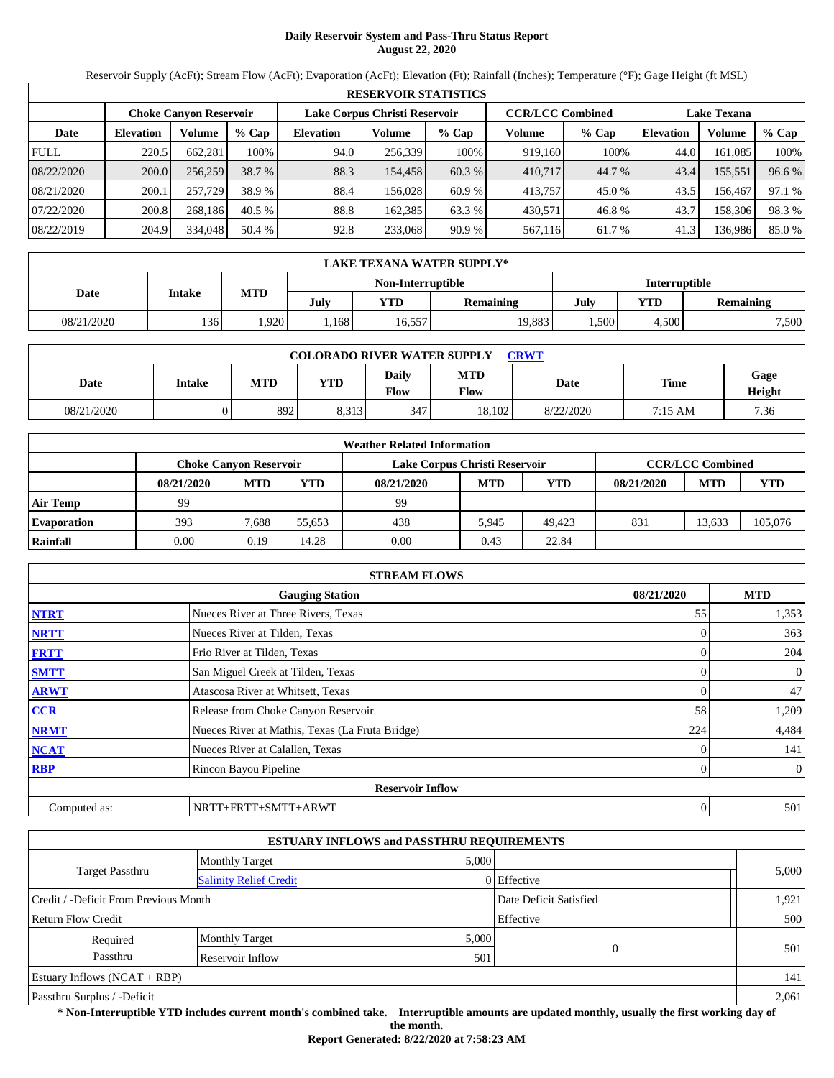# **Daily Reservoir System and Pass-Thru Status Report August 22, 2020**

Reservoir Supply (AcFt); Stream Flow (AcFt); Evaporation (AcFt); Elevation (Ft); Rainfall (Inches); Temperature (°F); Gage Height (ft MSL)

|             | <b>RESERVOIR STATISTICS</b> |                               |         |                               |         |         |                         |         |                    |         |        |  |  |
|-------------|-----------------------------|-------------------------------|---------|-------------------------------|---------|---------|-------------------------|---------|--------------------|---------|--------|--|--|
|             |                             | <b>Choke Canyon Reservoir</b> |         | Lake Corpus Christi Reservoir |         |         | <b>CCR/LCC Combined</b> |         | <b>Lake Texana</b> |         |        |  |  |
| Date        | <b>Elevation</b>            | Volume                        | $%$ Cap | <b>Elevation</b>              | Volume  | $%$ Cap | Volume                  | $%$ Cap | <b>Elevation</b>   | Volume  | % Cap  |  |  |
| <b>FULL</b> | 220.5                       | 662.281                       | 100%    | 94.0                          | 256,339 | 100%    | 919,160                 | 100%    | 44.0               | 161.085 | 100%   |  |  |
| 08/22/2020  | 200.0                       | 256,259                       | 38.7 %  | 88.3                          | 154.458 | 60.3 %  | 410,717                 | 44.7 %  | 43.4               | 155,551 | 96.6 % |  |  |
| 08/21/2020  | 200.1                       | 257,729                       | 38.9 %  | 88.4                          | 156.028 | 60.9 %  | 413,757                 | 45.0 %  | 43.5               | 156.467 | 97.1 % |  |  |
| 07/22/2020  | 200.8                       | 268.186                       | 40.5%   | 88.8                          | 162.385 | 63.3 %  | 430.571                 | 46.8%   | 43.7               | 158.306 | 98.3%  |  |  |
| 08/22/2019  | 204.9                       | 334,048                       | 50.4 %  | 92.8                          | 233,068 | 90.9%   | 567,116                 | 61.7 %  | 41.3               | 136,986 | 85.0%  |  |  |

|                   | LAKE TEXANA WATER SUPPLY* |      |      |        |                  |      |           |               |  |  |  |
|-------------------|---------------------------|------|------|--------|------------------|------|-----------|---------------|--|--|--|
| Non-Interruptible |                           |      |      |        |                  |      |           | Interruptible |  |  |  |
| Date              | Intake                    | MTD  | July | YTD    | <b>Remaining</b> | July | Remaining |               |  |  |  |
| 08/21/2020        | 136                       | .920 | .168 | 16,557 | 19,883           | .500 | 4,500     | 7,500         |  |  |  |

| <b>COLORADO RIVER WATER SUPPLY</b><br><b>CRWT</b> |               |            |            |                             |                    |           |             |                |  |  |  |
|---------------------------------------------------|---------------|------------|------------|-----------------------------|--------------------|-----------|-------------|----------------|--|--|--|
| Date                                              | <b>Intake</b> | <b>MTD</b> | <b>YTD</b> | <b>Daily</b><br><b>Flow</b> | <b>MTD</b><br>Flow | Date      | <b>Time</b> | Gage<br>Height |  |  |  |
| 08/21/2020                                        |               | 892        | 8.313      | 347                         | 18,102             | 8/22/2020 | 7:15 AM     | 7.36           |  |  |  |

|                    | <b>Weather Related Information</b> |            |        |            |                                                          |            |            |            |         |  |  |  |
|--------------------|------------------------------------|------------|--------|------------|----------------------------------------------------------|------------|------------|------------|---------|--|--|--|
|                    | <b>Choke Canvon Reservoir</b>      |            |        |            | <b>CCR/LCC Combined</b><br>Lake Corpus Christi Reservoir |            |            |            |         |  |  |  |
|                    | 08/21/2020                         | <b>MTD</b> | YTD    | 08/21/2020 | <b>MTD</b>                                               | <b>YTD</b> | 08/21/2020 | <b>MTD</b> | YTD     |  |  |  |
| <b>Air Temp</b>    | 99                                 |            |        | 99         |                                                          |            |            |            |         |  |  |  |
| <b>Evaporation</b> | 393                                | 7.688      | 55.653 | 438        | 5.945                                                    | 49.423     | 831        | 13.633     | 105,076 |  |  |  |
| Rainfall           | 0.00                               | 0.19       | 14.28  | 0.00       | 0.43                                                     | 22.84      |            |            |         |  |  |  |

|              | <b>STREAM FLOWS</b>                             |            |                |  |  |  |  |  |  |  |
|--------------|-------------------------------------------------|------------|----------------|--|--|--|--|--|--|--|
|              | <b>Gauging Station</b>                          | 08/21/2020 | <b>MTD</b>     |  |  |  |  |  |  |  |
| <b>NTRT</b>  | Nueces River at Three Rivers, Texas             | 55         | 1,353          |  |  |  |  |  |  |  |
| <b>NRTT</b>  | Nueces River at Tilden, Texas                   |            | 363            |  |  |  |  |  |  |  |
| <b>FRTT</b>  | Frio River at Tilden, Texas                     |            | 204            |  |  |  |  |  |  |  |
| <b>SMTT</b>  | San Miguel Creek at Tilden, Texas               |            | $\mathbf{0}$   |  |  |  |  |  |  |  |
| <b>ARWT</b>  | Atascosa River at Whitsett, Texas               |            | 47             |  |  |  |  |  |  |  |
| <b>CCR</b>   | Release from Choke Canyon Reservoir             | 58         | 1,209          |  |  |  |  |  |  |  |
| <b>NRMT</b>  | Nueces River at Mathis, Texas (La Fruta Bridge) | 224        | 4,484          |  |  |  |  |  |  |  |
| <b>NCAT</b>  | Nueces River at Calallen, Texas                 |            | 141            |  |  |  |  |  |  |  |
| <b>RBP</b>   | Rincon Bayou Pipeline                           |            | $\overline{0}$ |  |  |  |  |  |  |  |
|              | <b>Reservoir Inflow</b>                         |            |                |  |  |  |  |  |  |  |
| Computed as: | NRTT+FRTT+SMTT+ARWT                             | 0          | 501            |  |  |  |  |  |  |  |

|                                       | <b>ESTUARY INFLOWS and PASSTHRU REQUIREMENTS</b> |       |                        |       |  |  |  |  |  |  |
|---------------------------------------|--------------------------------------------------|-------|------------------------|-------|--|--|--|--|--|--|
|                                       | <b>Monthly Target</b>                            | 5,000 |                        |       |  |  |  |  |  |  |
| Target Passthru                       | <b>Salinity Relief Credit</b>                    |       | 0 Effective            | 5,000 |  |  |  |  |  |  |
| Credit / -Deficit From Previous Month |                                                  |       | Date Deficit Satisfied | 1,921 |  |  |  |  |  |  |
| Return Flow Credit                    |                                                  |       | Effective              | 500   |  |  |  |  |  |  |
| Required                              | <b>Monthly Target</b>                            | 5,000 |                        |       |  |  |  |  |  |  |
| Passthru                              | Reservoir Inflow                                 | 501   | $\overline{0}$         | 501   |  |  |  |  |  |  |
| Estuary Inflows $(NCAT + RBP)$        |                                                  |       |                        | 141   |  |  |  |  |  |  |
| Passthru Surplus / -Deficit           |                                                  |       |                        |       |  |  |  |  |  |  |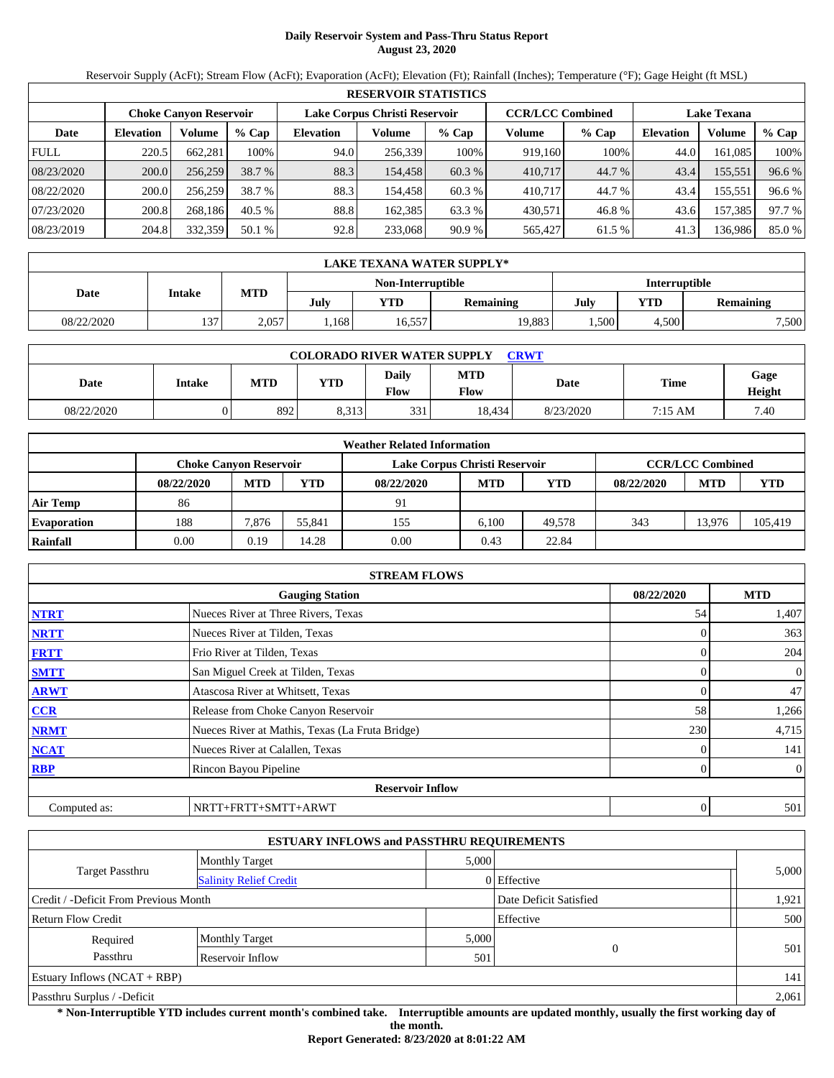# **Daily Reservoir System and Pass-Thru Status Report August 23, 2020**

Reservoir Supply (AcFt); Stream Flow (AcFt); Evaporation (AcFt); Elevation (Ft); Rainfall (Inches); Temperature (°F); Gage Height (ft MSL)

|             | <b>RESERVOIR STATISTICS</b>   |         |         |                               |         |         |                         |         |                    |         |        |  |  |
|-------------|-------------------------------|---------|---------|-------------------------------|---------|---------|-------------------------|---------|--------------------|---------|--------|--|--|
|             | <b>Choke Canyon Reservoir</b> |         |         | Lake Corpus Christi Reservoir |         |         | <b>CCR/LCC Combined</b> |         | <b>Lake Texana</b> |         |        |  |  |
| Date        | <b>Elevation</b>              | Volume  | $%$ Cap | <b>Elevation</b>              | Volume  | $%$ Cap | Volume                  | $%$ Cap | <b>Elevation</b>   | Volume  | % Cap  |  |  |
| <b>FULL</b> | 220.5                         | 662.281 | 100%    | 94.0                          | 256,339 | 100%    | 919,160                 | 100%    | 44.0               | 161.085 | 100%   |  |  |
| 08/23/2020  | 200.0                         | 256,259 | 38.7 %  | 88.3                          | 154.458 | 60.3 %  | 410,717                 | 44.7 %  | 43.4               | 155,551 | 96.6 % |  |  |
| 08/22/2020  | 200.0                         | 256,259 | 38.7 %  | 88.3                          | 154.458 | 60.3 %  | 410.717                 | 44.7 %  | 43.4               | 155,551 | 96.6 % |  |  |
| 07/23/2020  | 200.8                         | 268.186 | 40.5%   | 88.8                          | 162.385 | 63.3 %  | 430.571                 | 46.8%   | 43.6               | 157,385 | 97.7 % |  |  |
| 08/23/2019  | 204.8                         | 332,359 | 50.1 %  | 92.8                          | 233,068 | 90.9%   | 565,427                 | 61.5 %  | 41.3               | 136,986 | 85.0%  |  |  |

|            | <b>LAKE TEXANA WATER SUPPLY*</b> |       |      |                   |                  |      |                  |       |  |  |  |
|------------|----------------------------------|-------|------|-------------------|------------------|------|------------------|-------|--|--|--|
|            |                                  |       |      | Non-Interruptible | Interruptible    |      |                  |       |  |  |  |
| Date       | Intake                           | MTD   | July | <b>YTD</b>        | <b>Remaining</b> | July | YTD<br>Remaining |       |  |  |  |
| 08/22/2020 | 137                              | 2,057 | .168 | 16,557            | 19,883           | .500 | 4,500            | 7,500 |  |  |  |

| <b>COLORADO RIVER WATER SUPPLY</b><br><b>CRWT</b> |               |            |       |                             |                    |           |             |                |  |  |  |
|---------------------------------------------------|---------------|------------|-------|-----------------------------|--------------------|-----------|-------------|----------------|--|--|--|
| Date                                              | <b>Intake</b> | <b>MTD</b> | YTD   | <b>Daily</b><br><b>Flow</b> | <b>MTD</b><br>Flow | Date      | <b>Time</b> | Gage<br>Height |  |  |  |
| 08/22/2020                                        |               | 892        | 8.313 | 331                         | 18.434             | 8/23/2020 | 7:15 AM     | 7.40           |  |  |  |

| <b>Weather Related Information</b> |                               |            |        |                               |                         |            |            |            |         |  |  |
|------------------------------------|-------------------------------|------------|--------|-------------------------------|-------------------------|------------|------------|------------|---------|--|--|
|                                    | <b>Choke Canvon Reservoir</b> |            |        | Lake Corpus Christi Reservoir | <b>CCR/LCC Combined</b> |            |            |            |         |  |  |
|                                    | 08/22/2020                    | <b>MTD</b> | YTD    | 08/22/2020                    | <b>MTD</b>              | <b>YTD</b> | 08/22/2020 | <b>MTD</b> | YTD     |  |  |
| <b>Air Temp</b>                    | 86                            |            |        | 91                            |                         |            |            |            |         |  |  |
| <b>Evaporation</b>                 | 188                           | 7.876      | 55.841 | 155                           | 6.100                   | 49.578     | 343        | 13.976     | 105,419 |  |  |
| Rainfall                           | 0.00                          | 0.19       | 14.28  | 0.00                          | 0.43                    | 22.84      |            |            |         |  |  |

| <b>STREAM FLOWS</b>                  |                                                 |     |                |  |  |  |  |  |  |
|--------------------------------------|-------------------------------------------------|-----|----------------|--|--|--|--|--|--|
| 08/22/2020<br><b>Gauging Station</b> |                                                 |     |                |  |  |  |  |  |  |
| <b>NTRT</b>                          | Nueces River at Three Rivers, Texas             | 54  | 1,407          |  |  |  |  |  |  |
| <b>NRTT</b>                          | Nueces River at Tilden, Texas                   |     | 363            |  |  |  |  |  |  |
| <b>FRTT</b>                          | Frio River at Tilden, Texas                     |     | 204            |  |  |  |  |  |  |
| <b>SMTT</b>                          | San Miguel Creek at Tilden, Texas               |     | $\mathbf{0}$   |  |  |  |  |  |  |
| <b>ARWT</b>                          | Atascosa River at Whitsett, Texas               |     | 47             |  |  |  |  |  |  |
| <b>CCR</b>                           | Release from Choke Canyon Reservoir             | 58  | 1,266          |  |  |  |  |  |  |
| <b>NRMT</b>                          | Nueces River at Mathis, Texas (La Fruta Bridge) | 230 | 4,715          |  |  |  |  |  |  |
| <b>NCAT</b>                          | Nueces River at Calallen, Texas                 |     | 141            |  |  |  |  |  |  |
| <b>RBP</b>                           | Rincon Bayou Pipeline                           |     | $\overline{0}$ |  |  |  |  |  |  |
|                                      | <b>Reservoir Inflow</b>                         |     |                |  |  |  |  |  |  |
| Computed as:                         | NRTT+FRTT+SMTT+ARWT                             |     | 501<br>0       |  |  |  |  |  |  |

| <b>ESTUARY INFLOWS and PASSTHRU REQUIREMENTS</b> |                               |       |                        |       |  |  |  |  |  |
|--------------------------------------------------|-------------------------------|-------|------------------------|-------|--|--|--|--|--|
|                                                  | <b>Monthly Target</b>         | 5,000 |                        |       |  |  |  |  |  |
| <b>Target Passthru</b>                           | <b>Salinity Relief Credit</b> |       | 0 Effective            | 5,000 |  |  |  |  |  |
| Credit / -Deficit From Previous Month            |                               |       | Date Deficit Satisfied | 1,921 |  |  |  |  |  |
| <b>Return Flow Credit</b>                        |                               |       | Effective              | 500   |  |  |  |  |  |
| Required                                         | <b>Monthly Target</b>         | 5,000 |                        |       |  |  |  |  |  |
| Passthru                                         | Reservoir Inflow              | 501   | $\overline{0}$         | 501   |  |  |  |  |  |
| Estuary Inflows $(NCAT + RBP)$                   |                               |       |                        |       |  |  |  |  |  |
| Passthru Surplus / -Deficit                      |                               |       |                        |       |  |  |  |  |  |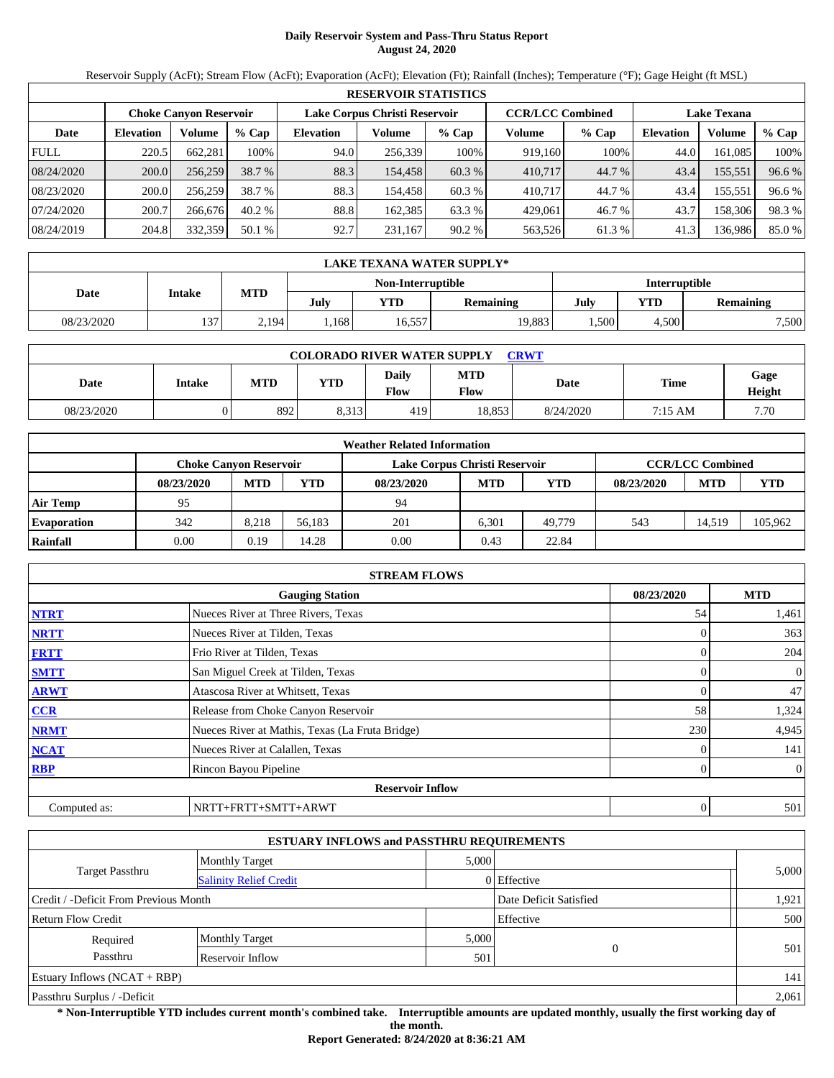# **Daily Reservoir System and Pass-Thru Status Report August 24, 2020**

Reservoir Supply (AcFt); Stream Flow (AcFt); Evaporation (AcFt); Elevation (Ft); Rainfall (Inches); Temperature (°F); Gage Height (ft MSL)

|             | <b>RESERVOIR STATISTICS</b>   |         |         |                               |         |         |                         |         |                    |         |        |  |  |
|-------------|-------------------------------|---------|---------|-------------------------------|---------|---------|-------------------------|---------|--------------------|---------|--------|--|--|
|             | <b>Choke Canyon Reservoir</b> |         |         | Lake Corpus Christi Reservoir |         |         | <b>CCR/LCC Combined</b> |         | <b>Lake Texana</b> |         |        |  |  |
| Date        | <b>Elevation</b>              | Volume  | $%$ Cap | <b>Elevation</b>              | Volume  | $%$ Cap | Volume                  | $%$ Cap | <b>Elevation</b>   | Volume  | % Cap  |  |  |
| <b>FULL</b> | 220.5                         | 662.281 | 100%    | 94.0                          | 256,339 | 100%    | 919,160                 | 100%    | 44.0               | 161.085 | 100%   |  |  |
| 08/24/2020  | 200.0                         | 256,259 | 38.7 %  | 88.3                          | 154.458 | 60.3 %  | 410,717                 | 44.7 %  | 43.4               | 155,551 | 96.6 % |  |  |
| 08/23/2020  | 200.0                         | 256,259 | 38.7 %  | 88.3                          | 154.458 | 60.3 %  | 410.717                 | 44.7 %  | 43.4               | 155,551 | 96.6 % |  |  |
| 07/24/2020  | 200.7                         | 266,676 | 40.2%   | 88.8                          | 162.385 | 63.3 %  | 429,061                 | 46.7 %  | 43.7               | 158.306 | 98.3%  |  |  |
| 08/24/2019  | 204.8                         | 332,359 | 50.1 %  | 92.7                          | 231,167 | 90.2%   | 563,526                 | 61.3%   | 41.3               | 136,986 | 85.0%  |  |  |

|            | LAKE TEXANA WATER SUPPLY* |            |      |                   |               |      |                         |       |  |  |  |
|------------|---------------------------|------------|------|-------------------|---------------|------|-------------------------|-------|--|--|--|
|            |                           |            |      | Non-Interruptible | Interruptible |      |                         |       |  |  |  |
| Date       | Intake                    | <b>MTD</b> | July | <b>YTD</b>        | Remaining     | July | YTD<br><b>Remaining</b> |       |  |  |  |
| 08/23/2020 | 137                       | .194       | .168 | 16,557            | 19,883        | .500 | 4.500                   | 7,500 |  |  |  |

| <b>COLORADO RIVER WATER SUPPLY</b><br><b>CRWT</b> |               |     |       |               |                           |           |         |                |  |  |  |
|---------------------------------------------------|---------------|-----|-------|---------------|---------------------------|-----------|---------|----------------|--|--|--|
| Date                                              | <b>Intake</b> | MTD | YTD   | Daily<br>Flow | <b>MTD</b><br><b>Flow</b> | Date      | Time    | Gage<br>Height |  |  |  |
| 08/23/2020                                        |               | 892 | 8.313 | 419           | 18.853                    | 8/24/2020 | 7:15 AM | 7.70           |  |  |  |

|                    | <b>Weather Related Information</b> |            |        |                               |                         |            |            |            |         |  |  |  |
|--------------------|------------------------------------|------------|--------|-------------------------------|-------------------------|------------|------------|------------|---------|--|--|--|
|                    | <b>Choke Canvon Reservoir</b>      |            |        | Lake Corpus Christi Reservoir | <b>CCR/LCC Combined</b> |            |            |            |         |  |  |  |
|                    | 08/23/2020                         | <b>MTD</b> | YTD    | 08/23/2020                    | <b>MTD</b>              | <b>YTD</b> | 08/23/2020 | <b>MTD</b> | YTD     |  |  |  |
| <b>Air Temp</b>    | 95                                 |            |        | 94                            |                         |            |            |            |         |  |  |  |
| <b>Evaporation</b> | 342                                | 8.218      | 56.183 | 201                           | 6.301                   | 49,779     | 543        | 14.519     | 105.962 |  |  |  |
| Rainfall           | 0.00                               | 0.19       | 14.28  | 0.00                          | 0.43                    | 22.84      |            |            |         |  |  |  |

|                                      | <b>STREAM FLOWS</b>                             |     |                |  |  |  |  |  |  |  |
|--------------------------------------|-------------------------------------------------|-----|----------------|--|--|--|--|--|--|--|
| <b>Gauging Station</b><br>08/23/2020 |                                                 |     |                |  |  |  |  |  |  |  |
| <b>NTRT</b>                          | Nueces River at Three Rivers, Texas             | 54  | 1,461          |  |  |  |  |  |  |  |
| <b>NRTT</b>                          | Nueces River at Tilden, Texas                   |     | 363            |  |  |  |  |  |  |  |
| <b>FRTT</b>                          | Frio River at Tilden, Texas                     |     | 204            |  |  |  |  |  |  |  |
| <b>SMTT</b>                          | San Miguel Creek at Tilden, Texas               |     | 0              |  |  |  |  |  |  |  |
| <b>ARWT</b>                          | Atascosa River at Whitsett, Texas               |     | 47             |  |  |  |  |  |  |  |
| CCR                                  | Release from Choke Canyon Reservoir             | 58  | 1,324          |  |  |  |  |  |  |  |
| <b>NRMT</b>                          | Nueces River at Mathis, Texas (La Fruta Bridge) | 230 | 4,945          |  |  |  |  |  |  |  |
| <b>NCAT</b>                          | Nueces River at Calallen, Texas                 |     | 141            |  |  |  |  |  |  |  |
| <b>RBP</b>                           | Rincon Bayou Pipeline                           |     | $\overline{0}$ |  |  |  |  |  |  |  |
|                                      | <b>Reservoir Inflow</b>                         |     |                |  |  |  |  |  |  |  |
| Computed as:                         | NRTT+FRTT+SMTT+ARWT                             |     | 501            |  |  |  |  |  |  |  |

| <b>ESTUARY INFLOWS and PASSTHRU REQUIREMENTS</b> |                               |       |                        |       |  |  |  |  |  |
|--------------------------------------------------|-------------------------------|-------|------------------------|-------|--|--|--|--|--|
|                                                  | <b>Monthly Target</b>         |       | 5,000                  |       |  |  |  |  |  |
| Target Passthru                                  | <b>Salinity Relief Credit</b> |       | 0 Effective            | 5,000 |  |  |  |  |  |
| Credit / -Deficit From Previous Month            |                               |       | Date Deficit Satisfied | 1,921 |  |  |  |  |  |
| Return Flow Credit                               |                               |       | Effective              | 500   |  |  |  |  |  |
| Required                                         | <b>Monthly Target</b>         | 5,000 |                        |       |  |  |  |  |  |
| Passthru                                         | Reservoir Inflow              | 501   | $\overline{0}$         | 501   |  |  |  |  |  |
| Estuary Inflows $(NCAT + RBP)$                   |                               |       |                        |       |  |  |  |  |  |
| Passthru Surplus / -Deficit                      |                               |       |                        | 2,061 |  |  |  |  |  |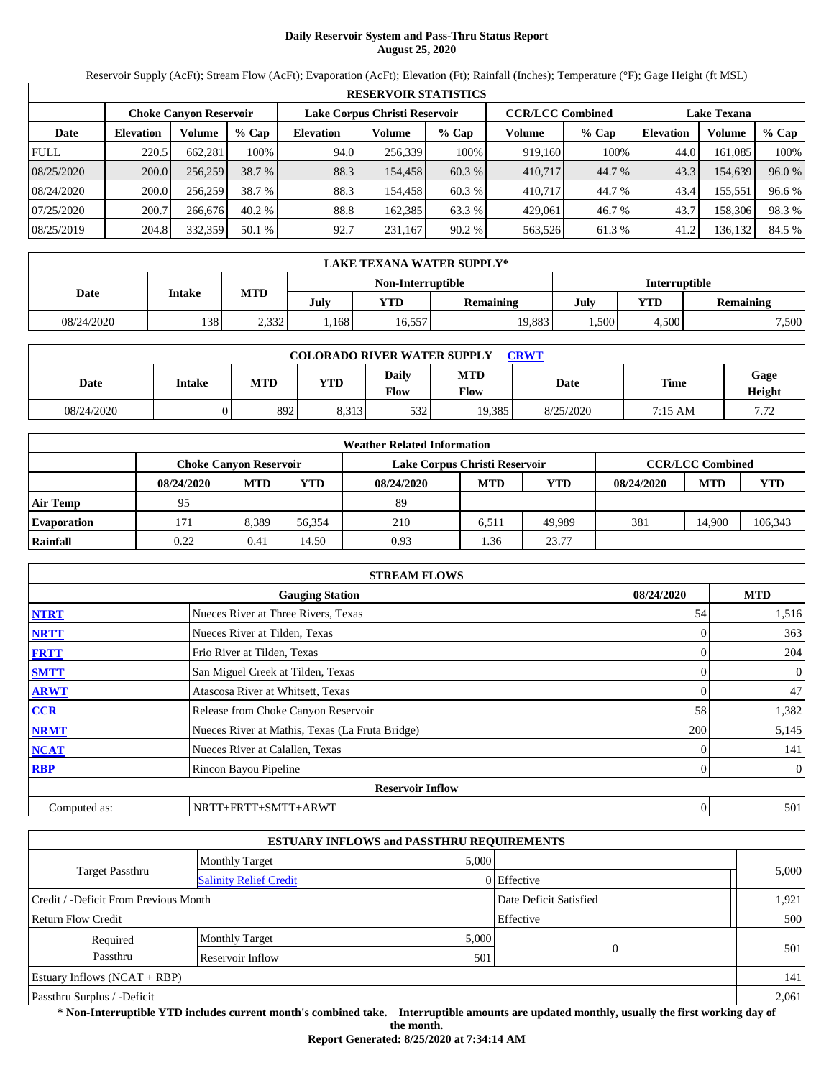# **Daily Reservoir System and Pass-Thru Status Report August 25, 2020**

Reservoir Supply (AcFt); Stream Flow (AcFt); Evaporation (AcFt); Elevation (Ft); Rainfall (Inches); Temperature (°F); Gage Height (ft MSL)

|             | <b>RESERVOIR STATISTICS</b> |                        |         |                               |         |         |                         |         |                    |         |        |  |  |  |
|-------------|-----------------------------|------------------------|---------|-------------------------------|---------|---------|-------------------------|---------|--------------------|---------|--------|--|--|--|
|             |                             | Choke Canvon Reservoir |         | Lake Corpus Christi Reservoir |         |         | <b>CCR/LCC Combined</b> |         | <b>Lake Texana</b> |         |        |  |  |  |
| Date        | <b>Elevation</b>            | Volume                 | $%$ Cap | <b>Elevation</b>              | Volume  | $%$ Cap | Volume                  | $%$ Cap | Elevation          | Volume  | % Cap  |  |  |  |
| <b>FULL</b> | 220.5                       | 662.281                | 100%    | 94.0                          | 256,339 | 100%    | 919,160                 | 100%    | 44.0               | 161.085 | 100%   |  |  |  |
| 08/25/2020  | 200.0                       | 256,259                | 38.7 %  | 88.3                          | 154,458 | 60.3 %  | 410,717                 | 44.7 %  | 43.3               | 154,639 | 96.0 % |  |  |  |
| 08/24/2020  | 200.0                       | 256.259                | 38.7 %  | 88.3                          | 154.458 | 60.3 %  | 410.717                 | 44.7 %  | 43.4               | 155,551 | 96.6 % |  |  |  |
| 07/25/2020  | 200.7                       | 266,676                | 40.2%   | 88.8                          | 162.385 | 63.3 %  | 429.061                 | 46.7 %  | 43.7               | 158,306 | 98.3%  |  |  |  |
| 08/25/2019  | 204.8                       | 332,359                | 50.1 %  | 92.7                          | 231,167 | 90.2 %  | 563,526                 | 61.3 %  | 41.2               | 136,132 | 84.5 % |  |  |  |

|            | LAKE TEXANA WATER SUPPLY* |       |      |                   |           |      |               |           |  |  |  |
|------------|---------------------------|-------|------|-------------------|-----------|------|---------------|-----------|--|--|--|
|            |                           |       |      | Non-Interruptible |           |      | Interruptible |           |  |  |  |
| Date       | Intake                    | MTD   | July | YTD               | Remaining | July | YTD           | Remaining |  |  |  |
| 08/24/2020 | 138                       | 2,332 | .168 | 16,557            | 19,883    | ,500 | 4.500         | 7,500     |  |  |  |

| <b>COLORADO RIVER WATER SUPPLY</b><br><b>CRWT</b> |        |     |            |                      |                           |           |         |                |  |  |  |
|---------------------------------------------------|--------|-----|------------|----------------------|---------------------------|-----------|---------|----------------|--|--|--|
| Date                                              | Intake | MTD | <b>YTD</b> | Daily<br><b>Flow</b> | <b>MTD</b><br><b>Flow</b> | Date      | Time    | Gage<br>Height |  |  |  |
| 08/24/2020                                        |        | 892 | 8,313      | 532                  | 19,385                    | 8/25/2020 | 7:15 AM | 7.72           |  |  |  |

|                    | <b>Weather Related Information</b> |            |        |                               |            |            |                         |            |         |  |  |  |
|--------------------|------------------------------------|------------|--------|-------------------------------|------------|------------|-------------------------|------------|---------|--|--|--|
|                    | <b>Choke Canvon Reservoir</b>      |            |        | Lake Corpus Christi Reservoir |            |            | <b>CCR/LCC Combined</b> |            |         |  |  |  |
|                    | 08/24/2020                         | <b>MTD</b> | YTD    | 08/24/2020                    | <b>MTD</b> | <b>YTD</b> | 08/24/2020              | <b>MTD</b> | YTD     |  |  |  |
| <b>Air Temp</b>    | 95                                 |            |        | 89                            |            |            |                         |            |         |  |  |  |
| <b>Evaporation</b> | 171                                | 8.389      | 56.354 | 210                           | 6.511      | 49.989     | 381                     | 14.900     | 106,343 |  |  |  |
| Rainfall           | 0.22                               | 0.41       | 14.50  | 0.93                          | 1.36       | 23.77      |                         |            |         |  |  |  |

|                                      | <b>STREAM FLOWS</b>                             |     |                |  |  |  |  |  |  |  |
|--------------------------------------|-------------------------------------------------|-----|----------------|--|--|--|--|--|--|--|
| 08/24/2020<br><b>Gauging Station</b> |                                                 |     |                |  |  |  |  |  |  |  |
| <b>NTRT</b>                          | Nueces River at Three Rivers, Texas             | 54  | 1,516          |  |  |  |  |  |  |  |
| <b>NRTT</b>                          | Nueces River at Tilden, Texas                   |     | 363            |  |  |  |  |  |  |  |
| <b>FRTT</b>                          | Frio River at Tilden, Texas                     |     | 204            |  |  |  |  |  |  |  |
| <b>SMTT</b>                          | San Miguel Creek at Tilden, Texas               |     | $\mathbf{0}$   |  |  |  |  |  |  |  |
| <b>ARWT</b>                          | Atascosa River at Whitsett, Texas               |     | 47             |  |  |  |  |  |  |  |
| <b>CCR</b>                           | Release from Choke Canyon Reservoir             | 58  | 1,382          |  |  |  |  |  |  |  |
| <b>NRMT</b>                          | Nueces River at Mathis, Texas (La Fruta Bridge) | 200 | 5,145          |  |  |  |  |  |  |  |
| <b>NCAT</b>                          | Nueces River at Calallen, Texas                 |     | 141            |  |  |  |  |  |  |  |
| <b>RBP</b>                           | Rincon Bayou Pipeline                           |     | $\overline{0}$ |  |  |  |  |  |  |  |
|                                      | <b>Reservoir Inflow</b>                         |     |                |  |  |  |  |  |  |  |
| Computed as:                         | NRTT+FRTT+SMTT+ARWT                             | 0   | 501            |  |  |  |  |  |  |  |

| <b>ESTUARY INFLOWS and PASSTHRU REQUIREMENTS</b> |                               |       |                        |       |  |  |  |  |  |
|--------------------------------------------------|-------------------------------|-------|------------------------|-------|--|--|--|--|--|
|                                                  | <b>Monthly Target</b>         | 5,000 |                        |       |  |  |  |  |  |
| Target Passthru                                  | <b>Salinity Relief Credit</b> |       | 0 Effective            | 5,000 |  |  |  |  |  |
| Credit / -Deficit From Previous Month            |                               |       | Date Deficit Satisfied | 1,921 |  |  |  |  |  |
| Return Flow Credit                               |                               |       | Effective              | 500   |  |  |  |  |  |
| Required                                         | <b>Monthly Target</b>         | 5,000 |                        |       |  |  |  |  |  |
| Passthru                                         | Reservoir Inflow              | 501   | $\overline{0}$         | 501   |  |  |  |  |  |
| Estuary Inflows $(NCAT + RBP)$                   |                               |       |                        | 141   |  |  |  |  |  |
| Passthru Surplus / -Deficit                      |                               |       |                        | 2,061 |  |  |  |  |  |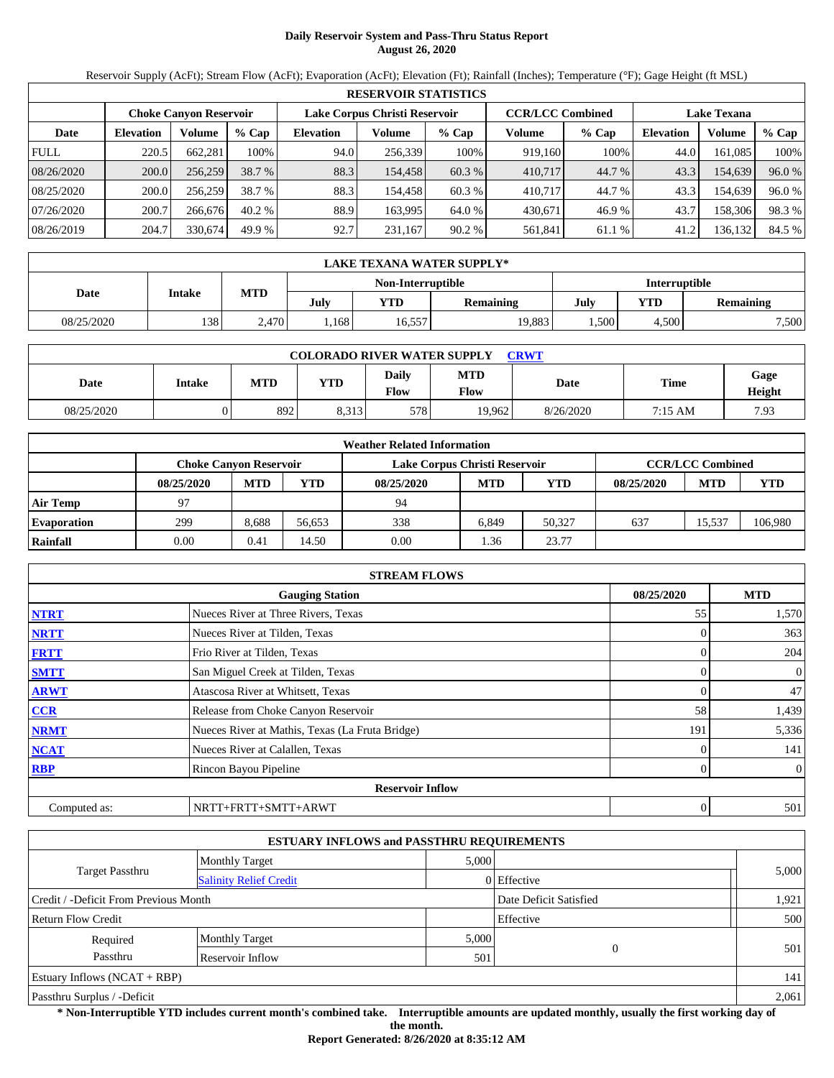# **Daily Reservoir System and Pass-Thru Status Report August 26, 2020**

Reservoir Supply (AcFt); Stream Flow (AcFt); Evaporation (AcFt); Elevation (Ft); Rainfall (Inches); Temperature (°F); Gage Height (ft MSL)

|             | <b>RESERVOIR STATISTICS</b> |                               |         |                               |         |         |                         |         |                    |         |        |  |  |
|-------------|-----------------------------|-------------------------------|---------|-------------------------------|---------|---------|-------------------------|---------|--------------------|---------|--------|--|--|
|             |                             | <b>Choke Canvon Reservoir</b> |         | Lake Corpus Christi Reservoir |         |         | <b>CCR/LCC Combined</b> |         | <b>Lake Texana</b> |         |        |  |  |
| Date        | <b>Elevation</b>            | Volume                        | $%$ Cap | <b>Elevation</b>              | Volume  | $%$ Cap | Volume                  | $%$ Cap | <b>Elevation</b>   | Volume  | % Cap  |  |  |
| <b>FULL</b> | 220.5                       | 662,281                       | 100%    | 94.0                          | 256,339 | 100%    | 919,160                 | 100%    | 44.0               | 161.085 | 100%   |  |  |
| 08/26/2020  | 200.0                       | 256,259                       | 38.7 %  | 88.3                          | 154,458 | 60.3 %  | 410.717                 | 44.7 %  | 43.3               | 154,639 | 96.0 % |  |  |
| 08/25/2020  | 200.0                       | 256.259                       | 38.7 %  | 88.3                          | 154.458 | 60.3 %  | 410.717                 | 44.7 %  | 43.3               | 154.639 | 96.0 % |  |  |
| 07/26/2020  | 200.7                       | 266,676                       | 40.2%   | 88.9                          | 163.995 | 64.0 %  | 430,671                 | 46.9 %  | 43.7               | 158,306 | 98.3%  |  |  |
| 08/26/2019  | 204.7                       | 330.674                       | 49.9 %  | 92.7                          | 231,167 | 90.2 %  | 561,841                 | 61.1 %  | 41.2               | 136,132 | 84.5 % |  |  |

|            | LAKE TEXANA WATER SUPPLY* |       |      |                   |           |               |       |                  |  |  |  |  |
|------------|---------------------------|-------|------|-------------------|-----------|---------------|-------|------------------|--|--|--|--|
|            |                           |       |      | Non-Interruptible |           | Interruptible |       |                  |  |  |  |  |
| Date       | Intake                    | MTD   | July | <b>YTD</b>        | Remaining | July          | YTD   | <b>Remaining</b> |  |  |  |  |
| 08/25/2020 | 138                       | 2,470 | .168 | 16,557            | 19,883    | .500          | 4.500 | 7,500            |  |  |  |  |

| <b>COLORADO RIVER WATER SUPPLY</b><br><b>CRWT</b> |        |     |       |               |                    |           |         |                |  |  |  |
|---------------------------------------------------|--------|-----|-------|---------------|--------------------|-----------|---------|----------------|--|--|--|
| Date                                              | Intake | MTD | YTD   | Daily<br>Flow | <b>MTD</b><br>Flow | Date      | Time    | Gage<br>Height |  |  |  |
| 08/25/2020                                        |        | 892 | 8.313 | 578           | 19.962             | 8/26/2020 | 7:15 AM | 7.93           |  |  |  |

|                    | <b>Weather Related Information</b> |            |        |                               |            |            |            |                         |         |  |  |  |
|--------------------|------------------------------------|------------|--------|-------------------------------|------------|------------|------------|-------------------------|---------|--|--|--|
|                    | <b>Choke Canvon Reservoir</b>      |            |        | Lake Corpus Christi Reservoir |            |            |            | <b>CCR/LCC Combined</b> |         |  |  |  |
|                    | 08/25/2020                         | <b>MTD</b> | YTD    | 08/25/2020                    | <b>MTD</b> | <b>YTD</b> | 08/25/2020 | <b>MTD</b>              | YTD     |  |  |  |
| <b>Air Temp</b>    | 97                                 |            |        | 94                            |            |            |            |                         |         |  |  |  |
| <b>Evaporation</b> | 299                                | 8.688      | 56.653 | 338                           | 6.849      | 50.327     | 637        | 15.537                  | 106,980 |  |  |  |
| Rainfall           | 0.00                               | 0.41       | 14.50  | 0.00                          | 1.36       | 23.77      |            |                         |         |  |  |  |

|                                      | <b>STREAM FLOWS</b>                             |     |                |  |  |  |  |  |  |  |
|--------------------------------------|-------------------------------------------------|-----|----------------|--|--|--|--|--|--|--|
| 08/25/2020<br><b>Gauging Station</b> |                                                 |     |                |  |  |  |  |  |  |  |
| <b>NTRT</b>                          | Nueces River at Three Rivers, Texas             | 55  | 1,570          |  |  |  |  |  |  |  |
| <b>NRTT</b>                          | Nueces River at Tilden, Texas                   |     | 363            |  |  |  |  |  |  |  |
| <b>FRTT</b>                          | Frio River at Tilden, Texas                     |     | 204            |  |  |  |  |  |  |  |
| <b>SMTT</b>                          | San Miguel Creek at Tilden, Texas               |     | $\overline{0}$ |  |  |  |  |  |  |  |
| <b>ARWT</b>                          | Atascosa River at Whitsett, Texas               |     | 47             |  |  |  |  |  |  |  |
| <b>CCR</b>                           | Release from Choke Canyon Reservoir             | 58  | 1,439          |  |  |  |  |  |  |  |
| <b>NRMT</b>                          | Nueces River at Mathis, Texas (La Fruta Bridge) | 191 | 5,336          |  |  |  |  |  |  |  |
| <b>NCAT</b>                          | Nueces River at Calallen, Texas                 |     | 141            |  |  |  |  |  |  |  |
| <b>RBP</b>                           | Rincon Bayou Pipeline                           |     | $\overline{0}$ |  |  |  |  |  |  |  |
|                                      | <b>Reservoir Inflow</b>                         |     |                |  |  |  |  |  |  |  |
| Computed as:                         | NRTT+FRTT+SMTT+ARWT                             | 0   | 501            |  |  |  |  |  |  |  |

| <b>ESTUARY INFLOWS and PASSTHRU REQUIREMENTS</b> |                               |       |                        |       |  |  |  |  |  |
|--------------------------------------------------|-------------------------------|-------|------------------------|-------|--|--|--|--|--|
|                                                  | <b>Monthly Target</b>         |       | 5,000                  |       |  |  |  |  |  |
| Target Passthru                                  | <b>Salinity Relief Credit</b> |       | 0 Effective            | 5,000 |  |  |  |  |  |
| Credit / -Deficit From Previous Month            |                               |       | Date Deficit Satisfied | 1,921 |  |  |  |  |  |
| Return Flow Credit                               |                               |       | Effective              | 500   |  |  |  |  |  |
| Required                                         | <b>Monthly Target</b>         | 5,000 |                        |       |  |  |  |  |  |
| Passthru                                         | Reservoir Inflow              | 501   | $\overline{0}$         | 501   |  |  |  |  |  |
| Estuary Inflows $(NCAT + RBP)$                   |                               |       |                        | 141   |  |  |  |  |  |
| Passthru Surplus / -Deficit                      |                               |       |                        | 2,061 |  |  |  |  |  |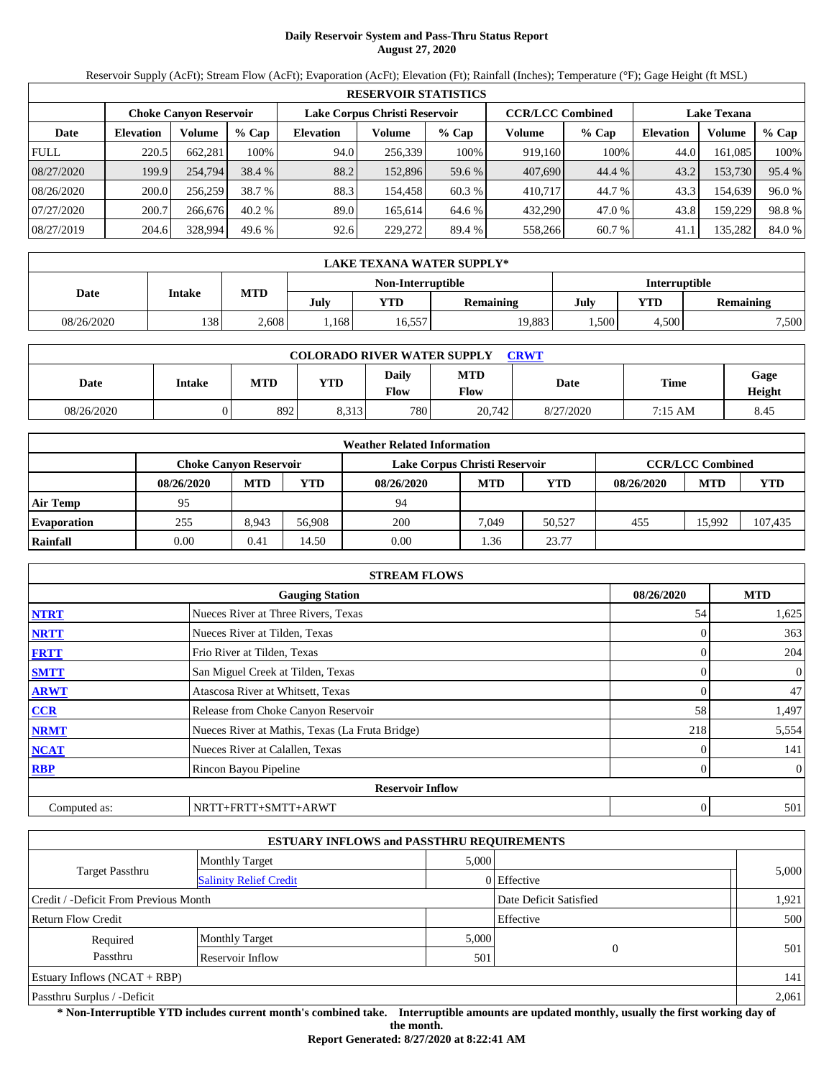# **Daily Reservoir System and Pass-Thru Status Report August 27, 2020**

Reservoir Supply (AcFt); Stream Flow (AcFt); Evaporation (AcFt); Elevation (Ft); Rainfall (Inches); Temperature (°F); Gage Height (ft MSL)

|             | <b>RESERVOIR STATISTICS</b> |                        |         |                  |                               |         |                         |         |                    |         |        |  |  |
|-------------|-----------------------------|------------------------|---------|------------------|-------------------------------|---------|-------------------------|---------|--------------------|---------|--------|--|--|
|             |                             | Choke Canvon Reservoir |         |                  | Lake Corpus Christi Reservoir |         | <b>CCR/LCC Combined</b> |         | <b>Lake Texana</b> |         |        |  |  |
| Date        | <b>Elevation</b>            | Volume                 | $%$ Cap | <b>Elevation</b> | Volume                        | $%$ Cap | Volume                  | $%$ Cap | <b>Elevation</b>   | Volume  | % Cap  |  |  |
| <b>FULL</b> | 220.5                       | 662,281                | 100%    | 94.0             | 256.339                       | 100%    | 919,160                 | 100%    | 44.0               | 161.085 | 100%   |  |  |
| 08/27/2020  | 199.9                       | 254,794                | 38.4 %  | 88.2             | 152,896                       | 59.6 %  | 407,690                 | 44.4 %  | 43.2               | 153,730 | 95.4 % |  |  |
| 08/26/2020  | 200.0                       | 256,259                | 38.7 %  | 88.3             | 154.4581                      | 60.3 %  | 410,717                 | 44.7 %  | 43.3               | 154.639 | 96.0%  |  |  |
| 07/27/2020  | 200.7                       | 266,676                | 40.2%   | 89.0             | 165.614                       | 64.6 %  | 432,290                 | 47.0 %  | 43.8               | 159,229 | 98.8%  |  |  |
| 08/27/2019  | 204.6                       | 328,994                | 49.6%   | 92.6             | 229,272                       | 89.4 %  | 558,266                 | 60.7 %  | 41.1               | 135,282 | 84.0 % |  |  |

|                                    | LAKE TEXANA WATER SUPPLY* |       |      |            |                  |      |                         |       |  |  |  |
|------------------------------------|---------------------------|-------|------|------------|------------------|------|-------------------------|-------|--|--|--|
| Interruptible<br>Non-Interruptible |                           |       |      |            |                  |      |                         |       |  |  |  |
| Date                               | Intake                    | MTD   | July | <b>YTD</b> | <b>Remaining</b> | July | YTD<br><b>Remaining</b> |       |  |  |  |
| 08/26/2020                         | 138                       | 2.608 | .168 | 16,557     | 19,883           | .500 | 4.500                   | 7,500 |  |  |  |

| <b>COLORADO RIVER WATER SUPPLY</b><br><b>CRWT</b> |               |            |            |                      |                    |           |             |                |  |  |  |
|---------------------------------------------------|---------------|------------|------------|----------------------|--------------------|-----------|-------------|----------------|--|--|--|
| Date                                              | <b>Intake</b> | <b>MTD</b> | <b>YTD</b> | Daily<br><b>Flow</b> | <b>MTD</b><br>Flow | Date      | <b>Time</b> | Gage<br>Height |  |  |  |
| 08/26/2020                                        |               | 892        | 8.313      | 780                  | 20.742             | 8/27/2020 | 7:15 AM     | 8.45           |  |  |  |

|                    | <b>Weather Related Information</b>                                                        |            |        |            |            |            |            |            |            |  |  |
|--------------------|-------------------------------------------------------------------------------------------|------------|--------|------------|------------|------------|------------|------------|------------|--|--|
|                    | <b>CCR/LCC Combined</b><br>Lake Corpus Christi Reservoir<br><b>Choke Canvon Reservoir</b> |            |        |            |            |            |            |            |            |  |  |
|                    | 08/26/2020                                                                                | <b>MTD</b> | YTD    | 08/26/2020 | <b>MTD</b> | <b>YTD</b> | 08/26/2020 | <b>MTD</b> | <b>YTD</b> |  |  |
| <b>Air Temp</b>    | 95                                                                                        |            |        | 94         |            |            |            |            |            |  |  |
| <b>Evaporation</b> | 255                                                                                       | 8.943      | 56,908 | 200        | 7.049      | 50,527     | 455        | 15.992     | 107,435    |  |  |
| Rainfall           | 0.00                                                                                      | 0.41       | 14.50  | 0.00       | 1.36       | 23.77      |            |            |            |  |  |

|              | <b>STREAM FLOWS</b>                             |            |                |  |  |  |  |  |  |
|--------------|-------------------------------------------------|------------|----------------|--|--|--|--|--|--|
|              | <b>Gauging Station</b>                          | 08/26/2020 | <b>MTD</b>     |  |  |  |  |  |  |
| <b>NTRT</b>  | Nueces River at Three Rivers, Texas             | 54         | 1,625          |  |  |  |  |  |  |
| <b>NRTT</b>  | Nueces River at Tilden, Texas                   |            | 363            |  |  |  |  |  |  |
| <b>FRTT</b>  | Frio River at Tilden, Texas                     |            | 204            |  |  |  |  |  |  |
| <b>SMTT</b>  | San Miguel Creek at Tilden, Texas               |            | $\overline{0}$ |  |  |  |  |  |  |
| <b>ARWT</b>  | Atascosa River at Whitsett, Texas               |            | 47             |  |  |  |  |  |  |
| <b>CCR</b>   | Release from Choke Canyon Reservoir             | 58         | 1,497          |  |  |  |  |  |  |
| <b>NRMT</b>  | Nueces River at Mathis, Texas (La Fruta Bridge) | 218        | 5,554          |  |  |  |  |  |  |
| <b>NCAT</b>  | Nueces River at Calallen, Texas                 |            | 141            |  |  |  |  |  |  |
| <b>RBP</b>   | Rincon Bayou Pipeline                           |            | $\overline{0}$ |  |  |  |  |  |  |
|              | <b>Reservoir Inflow</b>                         |            |                |  |  |  |  |  |  |
| Computed as: | NRTT+FRTT+SMTT+ARWT                             | 0          | 501            |  |  |  |  |  |  |

|                                       | <b>ESTUARY INFLOWS and PASSTHRU REQUIREMENTS</b> |       |                        |       |  |  |  |
|---------------------------------------|--------------------------------------------------|-------|------------------------|-------|--|--|--|
|                                       | <b>Monthly Target</b>                            | 5,000 |                        |       |  |  |  |
| <b>Target Passthru</b>                | <b>Salinity Relief Credit</b>                    |       | 0 Effective            | 5,000 |  |  |  |
| Credit / -Deficit From Previous Month |                                                  |       | Date Deficit Satisfied | 1,921 |  |  |  |
| Return Flow Credit                    |                                                  |       | Effective              | 500   |  |  |  |
| Required                              | <b>Monthly Target</b>                            | 5,000 |                        |       |  |  |  |
| Passthru                              | Reservoir Inflow                                 | 501   | $\overline{0}$         | 501   |  |  |  |
| Estuary Inflows $(NCAT + RBP)$        |                                                  |       |                        |       |  |  |  |
| Passthru Surplus / -Deficit           |                                                  |       |                        |       |  |  |  |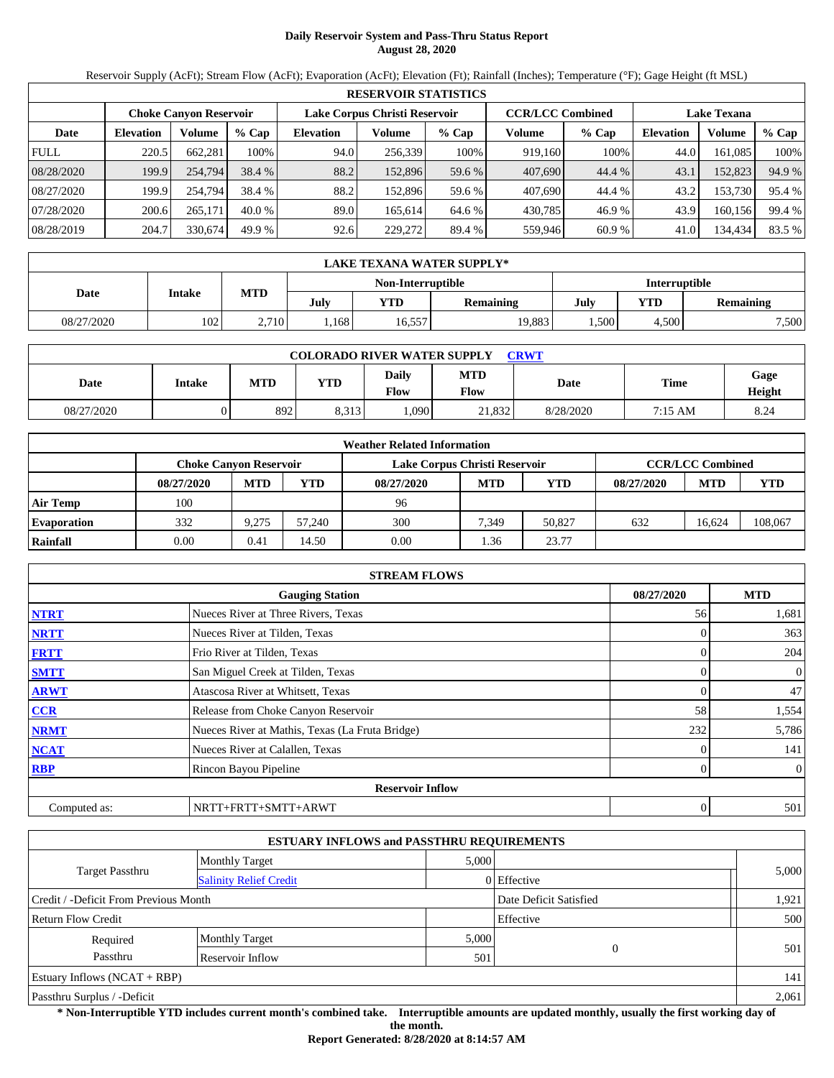# **Daily Reservoir System and Pass-Thru Status Report August 28, 2020**

Reservoir Supply (AcFt); Stream Flow (AcFt); Evaporation (AcFt); Elevation (Ft); Rainfall (Inches); Temperature (°F); Gage Height (ft MSL)

|             | <b>RESERVOIR STATISTICS</b> |                        |         |                  |                               |         |                         |         |                    |         |        |  |  |
|-------------|-----------------------------|------------------------|---------|------------------|-------------------------------|---------|-------------------------|---------|--------------------|---------|--------|--|--|
|             |                             | Choke Canvon Reservoir |         |                  | Lake Corpus Christi Reservoir |         | <b>CCR/LCC Combined</b> |         | <b>Lake Texana</b> |         |        |  |  |
| Date        | <b>Elevation</b>            | Volume                 | $%$ Cap | <b>Elevation</b> | Volume                        | $%$ Cap | Volume                  | $%$ Cap | Elevation          | Volume  | % Cap  |  |  |
| <b>FULL</b> | 220.5                       | 662,281                | 100%    | 94.0             | 256,339                       | 100%    | 919,160                 | 100%    | 44.0               | 161,085 | 100%   |  |  |
| 08/28/2020  | 199.9                       | 254,794                | 38.4 %  | 88.2             | 152,896                       | 59.6 %  | 407,690                 | 44.4 %  | 43.1               | 152,823 | 94.9 % |  |  |
| 08/27/2020  | 199.9                       | 254,794                | 38.4 %  | 88.2             | 152.896                       | 59.6 %  | 407,690                 | 44.4 %  | 43.2               | 153,730 | 95.4 % |  |  |
| 07/28/2020  | 200.6                       | 265,171                | 40.0%   | 89.0             | 165.614                       | 64.6 %  | 430,785                 | 46.9%   | 43.9               | 160,156 | 99.4 % |  |  |
| 08/28/2019  | 204.7                       | 330,674                | 49.9 %  | 92.6             | 229,272                       | 89.4 %  | 559,946                 | 60.9%   | 41.0               | 134,434 | 83.5 % |  |  |

|                                    | LAKE TEXANA WATER SUPPLY* |            |      |        |                  |      |                         |       |  |  |  |
|------------------------------------|---------------------------|------------|------|--------|------------------|------|-------------------------|-------|--|--|--|
| Interruptible<br>Non-Interruptible |                           |            |      |        |                  |      |                         |       |  |  |  |
| Date                               | <b>Intake</b>             | <b>MTD</b> | July | YTD.   | <b>Remaining</b> | July | YTD<br><b>Remaining</b> |       |  |  |  |
| 08/27/2020                         | 102                       | 2,710      | .168 | 16,557 | 19,883           | .500 | 4.500                   | 7,500 |  |  |  |

| <b>COLORADO RIVER WATER SUPPLY</b><br><b>CRWT</b> |        |            |            |                      |                    |           |         |                |  |  |
|---------------------------------------------------|--------|------------|------------|----------------------|--------------------|-----------|---------|----------------|--|--|
| Date                                              | Intake | <b>MTD</b> | <b>YTD</b> | Daily<br><b>Flow</b> | <b>MTD</b><br>Flow | Date      | Time    | Gage<br>Height |  |  |
| 08/27/2020                                        |        | 892        | 8.313      | .090 <sub>1</sub>    | 21.832             | 8/28/2020 | 7:15 AM | 8.24           |  |  |

|                    | <b>Weather Related Information</b>                                                        |            |        |            |            |            |            |            |         |  |  |
|--------------------|-------------------------------------------------------------------------------------------|------------|--------|------------|------------|------------|------------|------------|---------|--|--|
|                    | <b>CCR/LCC Combined</b><br>Lake Corpus Christi Reservoir<br><b>Choke Canyon Reservoir</b> |            |        |            |            |            |            |            |         |  |  |
|                    | 08/27/2020                                                                                | <b>MTD</b> | YTD    | 08/27/2020 | <b>MTD</b> | <b>YTD</b> | 08/27/2020 | <b>MTD</b> | YTD     |  |  |
| <b>Air Temp</b>    | 100                                                                                       |            |        | 96         |            |            |            |            |         |  |  |
| <b>Evaporation</b> | 332                                                                                       | 9.275      | 57,240 | 300        | 7.349      | 50.827     | 632        | 16.624     | 108,067 |  |  |
| Rainfall           | 0.00                                                                                      | 0.41       | 14.50  | 0.00       | 1.36       | 23.77      |            |            |         |  |  |

|              | <b>STREAM FLOWS</b>                             |            |     |                |  |  |  |  |  |  |
|--------------|-------------------------------------------------|------------|-----|----------------|--|--|--|--|--|--|
|              | 08/27/2020                                      | <b>MTD</b> |     |                |  |  |  |  |  |  |
| <b>NTRT</b>  | Nueces River at Three Rivers, Texas             |            | 56  | 1,681          |  |  |  |  |  |  |
| <b>NRTT</b>  | Nueces River at Tilden, Texas                   |            |     | 363            |  |  |  |  |  |  |
| <b>FRTT</b>  | Frio River at Tilden, Texas                     |            |     | 204            |  |  |  |  |  |  |
| <b>SMTT</b>  | San Miguel Creek at Tilden, Texas               |            |     | $\mathbf{0}$   |  |  |  |  |  |  |
| <b>ARWT</b>  | Atascosa River at Whitsett, Texas               |            |     | 47             |  |  |  |  |  |  |
| <b>CCR</b>   | Release from Choke Canyon Reservoir             |            | 58  | 1,554          |  |  |  |  |  |  |
| <b>NRMT</b>  | Nueces River at Mathis, Texas (La Fruta Bridge) |            | 232 | 5,786          |  |  |  |  |  |  |
| <b>NCAT</b>  | Nueces River at Calallen, Texas                 |            |     | 141            |  |  |  |  |  |  |
| <b>RBP</b>   | Rincon Bayou Pipeline                           |            |     | $\overline{0}$ |  |  |  |  |  |  |
|              | <b>Reservoir Inflow</b>                         |            |     |                |  |  |  |  |  |  |
| Computed as: | NRTT+FRTT+SMTT+ARWT                             |            | 0   | 501            |  |  |  |  |  |  |

| <b>ESTUARY INFLOWS and PASSTHRU REQUIREMENTS</b> |                               |       |                        |       |  |  |  |  |  |
|--------------------------------------------------|-------------------------------|-------|------------------------|-------|--|--|--|--|--|
|                                                  | <b>Monthly Target</b>         | 5,000 |                        |       |  |  |  |  |  |
| Target Passthru                                  | <b>Salinity Relief Credit</b> |       | 0 Effective            | 5,000 |  |  |  |  |  |
| Credit / -Deficit From Previous Month            |                               |       | Date Deficit Satisfied | 1,921 |  |  |  |  |  |
| Return Flow Credit                               |                               |       | Effective              | 500   |  |  |  |  |  |
| Required                                         | <b>Monthly Target</b>         | 5,000 |                        |       |  |  |  |  |  |
| Passthru                                         | Reservoir Inflow              | 501   | $\overline{0}$         | 501   |  |  |  |  |  |
| Estuary Inflows $(NCAT + RBP)$                   |                               |       |                        | 141   |  |  |  |  |  |
| Passthru Surplus / -Deficit                      |                               |       |                        |       |  |  |  |  |  |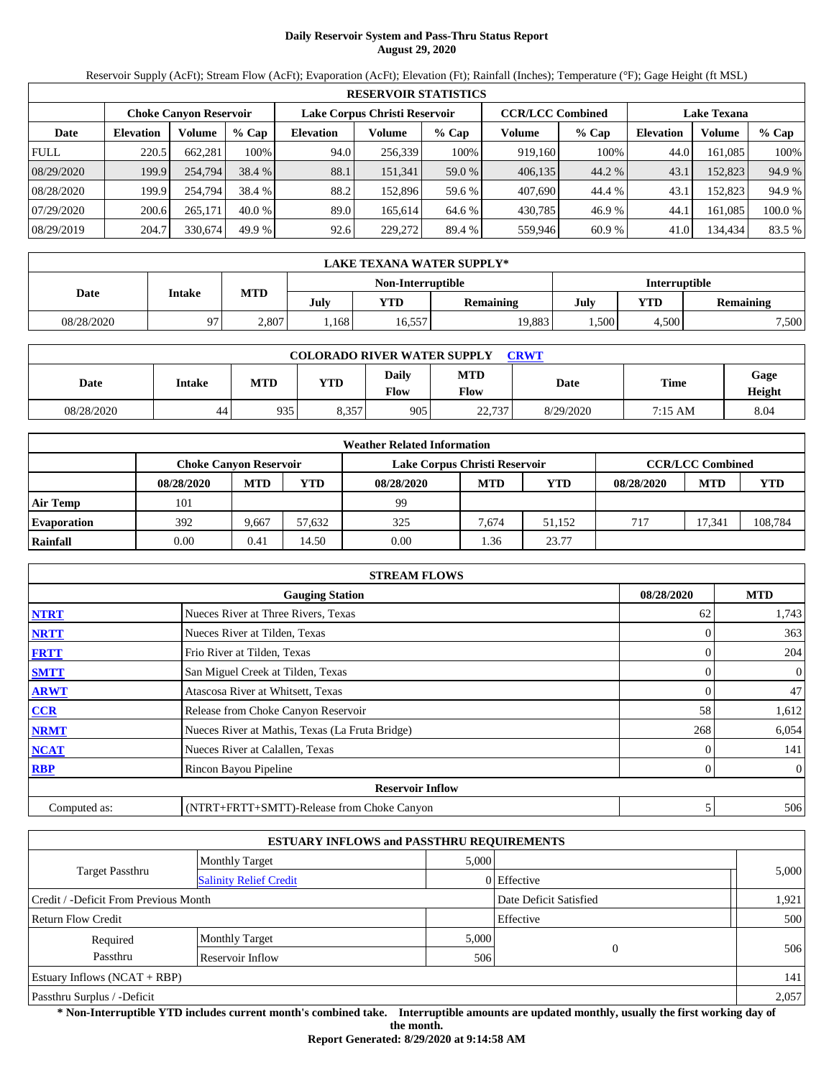# **Daily Reservoir System and Pass-Thru Status Report August 29, 2020**

Reservoir Supply (AcFt); Stream Flow (AcFt); Evaporation (AcFt); Elevation (Ft); Rainfall (Inches); Temperature (°F); Gage Height (ft MSL)

|             | <b>RESERVOIR STATISTICS</b> |                               |          |                               |         |         |                         |         |                    |         |        |  |  |
|-------------|-----------------------------|-------------------------------|----------|-------------------------------|---------|---------|-------------------------|---------|--------------------|---------|--------|--|--|
|             |                             | <b>Choke Canvon Reservoir</b> |          | Lake Corpus Christi Reservoir |         |         | <b>CCR/LCC Combined</b> |         | <b>Lake Texana</b> |         |        |  |  |
| Date        | <b>Elevation</b>            | Volume                        | $%$ Cap  | <b>Elevation</b>              | Volume  | $%$ Cap | Volume                  | $%$ Cap | <b>Elevation</b>   | Volume  | % Cap  |  |  |
| <b>FULL</b> | 220.5                       | 662.281                       | 100%     | 94.0                          | 256,339 | 100%    | 919.160                 | 100%    | 44.0               | 161.085 | 100%   |  |  |
| 08/29/2020  | 199.9                       | 254,794                       | 38.4 %   | 88.1                          | 151,341 | 59.0 %  | 406,135                 | 44.2 %  | 43.1               | 152,823 | 94.9 % |  |  |
| 08/28/2020  | 199.9                       | 254,794                       | 38.4 %   | 88.2                          | 152.896 | 59.6 %  | 407,690                 | 44.4 %  | 43.1               | 152.823 | 94.9 % |  |  |
| 07/29/2020  | 200.6                       | 265,171                       | $40.0\%$ | 89.0                          | 165.614 | 64.6 %  | 430,785                 | 46.9 %  | 44.1               | 161.085 | 100.0% |  |  |
| 08/29/2019  | 204.7                       | 330,674                       | 49.9 %   | 92.6                          | 229,272 | 89.4 %  | 559,946                 | 60.9%   | 41.0               | 134,434 | 83.5 % |  |  |

| LAKE TEXANA WATER SUPPLY* |        |       |      |                   |                  |                        |     |                  |  |  |
|---------------------------|--------|-------|------|-------------------|------------------|------------------------|-----|------------------|--|--|
|                           |        |       |      | Non-Interruptible |                  | Interruptible          |     |                  |  |  |
| Date                      | Intake | MTD   | July | YTD               | <b>Remaining</b> | July                   | YTD | <b>Remaining</b> |  |  |
| 08/28/2020                | 07     | 2,807 | .168 | 16,557            | 19,883           | 7,500<br>,500<br>4.500 |     |                  |  |  |

| <b>COLORADO RIVER WATER SUPPLY</b><br><b>CRWT</b> |               |     |       |               |                           |           |         |                |  |  |  |
|---------------------------------------------------|---------------|-----|-------|---------------|---------------------------|-----------|---------|----------------|--|--|--|
| Date                                              | <b>Intake</b> | MTD | YTD   | Daily<br>Flow | <b>MTD</b><br><b>Flow</b> | Date      | Time    | Gage<br>Height |  |  |  |
| 08/28/2020                                        | 44            | 935 | 8.357 | 905           | 22.737                    | 8/29/2020 | 7:15 AM | 8.04           |  |  |  |

| <b>Weather Related Information</b> |                               |            |        |                               |            |            |                         |            |         |  |  |
|------------------------------------|-------------------------------|------------|--------|-------------------------------|------------|------------|-------------------------|------------|---------|--|--|
|                                    | <b>Choke Canvon Reservoir</b> |            |        | Lake Corpus Christi Reservoir |            |            | <b>CCR/LCC Combined</b> |            |         |  |  |
|                                    | 08/28/2020                    | <b>MTD</b> | YTD    | 08/28/2020                    | <b>MTD</b> | <b>YTD</b> | 08/28/2020              | <b>MTD</b> | YTD     |  |  |
| <b>Air Temp</b>                    | 101                           |            |        | 99                            |            |            |                         |            |         |  |  |
| <b>Evaporation</b>                 | 392                           | 9.667      | 57,632 | 325                           | 7,674      | 51.152     | 717                     | 17.341     | 108,784 |  |  |
| Rainfall                           | 0.00                          | 0.41       | 14.50  | 0.00                          | 1.36       | 23.77      |                         |            |         |  |  |

| <b>STREAM FLOWS</b>                                |                                                 |     |                  |  |  |  |  |  |  |
|----------------------------------------------------|-------------------------------------------------|-----|------------------|--|--|--|--|--|--|
| <b>MTD</b><br>08/28/2020<br><b>Gauging Station</b> |                                                 |     |                  |  |  |  |  |  |  |
| <b>NTRT</b>                                        | Nueces River at Three Rivers, Texas             | 62  | 1,743            |  |  |  |  |  |  |
| <b>NRTT</b>                                        | Nueces River at Tilden, Texas                   |     | 363              |  |  |  |  |  |  |
| <b>FRTT</b>                                        | Frio River at Tilden, Texas                     |     | 204              |  |  |  |  |  |  |
| <b>SMTT</b>                                        | San Miguel Creek at Tilden, Texas               |     | $\mathbf{0}$     |  |  |  |  |  |  |
| <b>ARWT</b>                                        | Atascosa River at Whitsett, Texas               |     | 47               |  |  |  |  |  |  |
| CCR                                                | Release from Choke Canyon Reservoir             | 58  | 1,612            |  |  |  |  |  |  |
| <b>NRMT</b>                                        | Nueces River at Mathis, Texas (La Fruta Bridge) | 268 | 6,054            |  |  |  |  |  |  |
| <b>NCAT</b>                                        | Nueces River at Calallen, Texas                 |     | 141              |  |  |  |  |  |  |
| <b>RBP</b>                                         | Rincon Bayou Pipeline                           |     | $\boldsymbol{0}$ |  |  |  |  |  |  |
|                                                    | <b>Reservoir Inflow</b>                         |     |                  |  |  |  |  |  |  |
| Computed as:                                       | (NTRT+FRTT+SMTT)-Release from Choke Canyon      |     | 506              |  |  |  |  |  |  |

| <b>ESTUARY INFLOWS and PASSTHRU REQUIREMENTS</b> |                               |       |                        |       |  |  |  |  |  |
|--------------------------------------------------|-------------------------------|-------|------------------------|-------|--|--|--|--|--|
|                                                  | <b>Monthly Target</b>         | 5,000 |                        |       |  |  |  |  |  |
| <b>Target Passthru</b>                           | <b>Salinity Relief Credit</b> |       | 0 Effective            | 5,000 |  |  |  |  |  |
| Credit / -Deficit From Previous Month            |                               |       | Date Deficit Satisfied | 1,921 |  |  |  |  |  |
| <b>Return Flow Credit</b>                        |                               |       | Effective              | 500   |  |  |  |  |  |
| Required                                         | <b>Monthly Target</b>         | 5,000 |                        |       |  |  |  |  |  |
| Passthru<br>Reservoir Inflow                     |                               | 506   | $\mathbf{0}$           | 506   |  |  |  |  |  |
| Estuary Inflows $(NCAT + RBP)$                   |                               |       |                        | 141   |  |  |  |  |  |
| Passthru Surplus / -Deficit                      |                               |       |                        | 2,057 |  |  |  |  |  |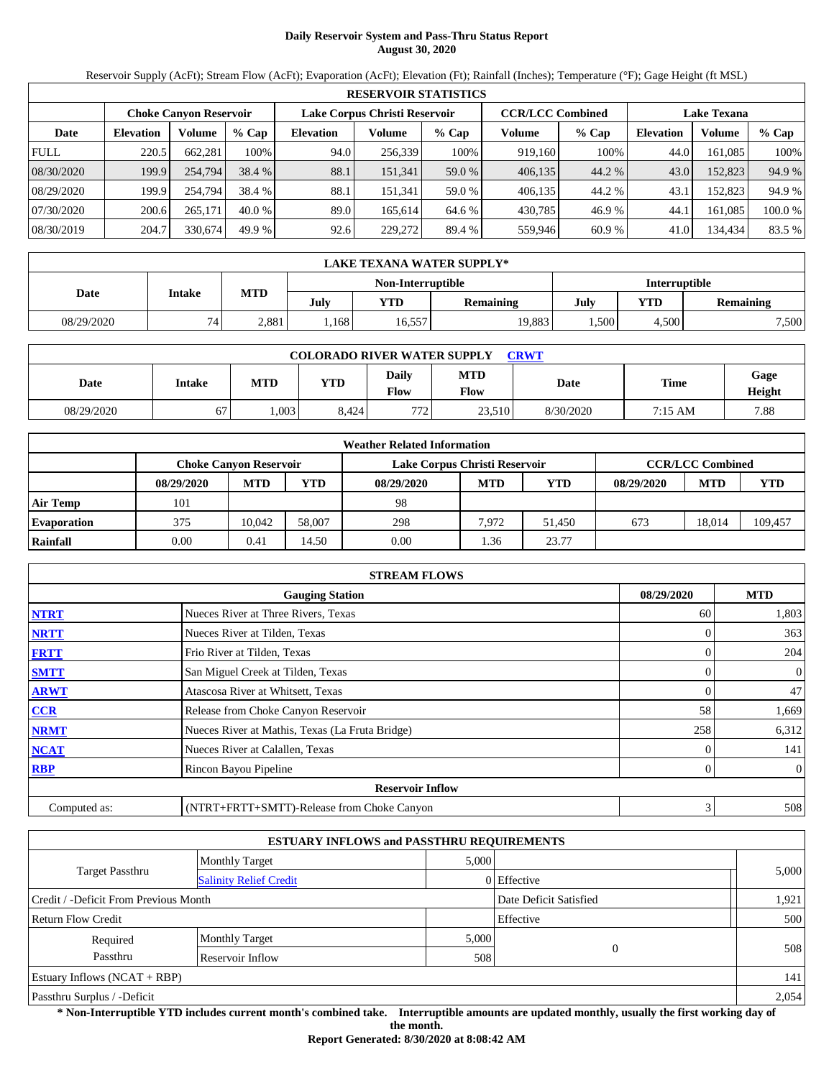# **Daily Reservoir System and Pass-Thru Status Report August 30, 2020**

Reservoir Supply (AcFt); Stream Flow (AcFt); Evaporation (AcFt); Elevation (Ft); Rainfall (Inches); Temperature (°F); Gage Height (ft MSL)

|             | <b>RESERVOIR STATISTICS</b> |                               |          |                               |         |         |                         |         |                    |         |        |  |  |
|-------------|-----------------------------|-------------------------------|----------|-------------------------------|---------|---------|-------------------------|---------|--------------------|---------|--------|--|--|
|             |                             | <b>Choke Canvon Reservoir</b> |          | Lake Corpus Christi Reservoir |         |         | <b>CCR/LCC Combined</b> |         | <b>Lake Texana</b> |         |        |  |  |
| Date        | <b>Elevation</b>            | Volume                        | $%$ Cap  | <b>Elevation</b>              | Volume  | $%$ Cap | Volume                  | $%$ Cap | <b>Elevation</b>   | Volume  | % Cap  |  |  |
| <b>FULL</b> | 220.5                       | 662.281                       | 100%     | 94.0                          | 256,339 | 100%    | 919.160                 | 100%    | 44.0               | 161.085 | 100%   |  |  |
| 08/30/2020  | 199.9                       | 254,794                       | 38.4 %   | 88.1                          | 151,341 | 59.0 %  | 406,135                 | 44.2 %  | 43.0               | 152,823 | 94.9 % |  |  |
| 08/29/2020  | 199.9                       | 254,794                       | 38.4 %   | 88.1                          | 151.341 | 59.0 %  | 406.135                 | 44.2 %  | 43.1               | 152.823 | 94.9 % |  |  |
| 07/30/2020  | 200.6                       | 265,171                       | $40.0\%$ | 89.0                          | 165.614 | 64.6 %  | 430,785                 | 46.9 %  | 44.1               | 161.085 | 100.0% |  |  |
| 08/30/2019  | 204.7                       | 330,674                       | 49.9 %   | 92.6                          | 229,272 | 89.4 %  | 559,946                 | 60.9%   | 41.0               | 134,434 | 83.5 % |  |  |

|            | LAKE TEXANA WATER SUPPLY* |       |      |                   |           |               |       |                  |  |  |  |
|------------|---------------------------|-------|------|-------------------|-----------|---------------|-------|------------------|--|--|--|
|            |                           |       |      | Non-Interruptible |           | Interruptible |       |                  |  |  |  |
| Date       | Intake                    | MTD   | July | <b>YTD</b>        | Remaining | July          | YTD   | <b>Remaining</b> |  |  |  |
| 08/29/2020 | 74                        | 2.881 | .168 | 16,557            | 19,883    | .500          | 4.500 | 7,500            |  |  |  |

| <b>COLORADO RIVER WATER SUPPLY</b><br><b>CRWT</b> |        |            |       |                      |                    |           |         |                |  |  |  |
|---------------------------------------------------|--------|------------|-------|----------------------|--------------------|-----------|---------|----------------|--|--|--|
| Date                                              | Intake | <b>MTD</b> | VTD   | <b>Daily</b><br>Flow | <b>MTD</b><br>Flow | Date      | Time    | Gage<br>Height |  |  |  |
| 08/29/2020                                        | 67     | .003       | 8.424 | 772 <sub>1</sub>     | 23.510             | 8/30/2020 | 7:15 AM | 7.88           |  |  |  |

| <b>Weather Related Information</b> |            |                               |        |                               |            |                         |            |            |         |  |  |
|------------------------------------|------------|-------------------------------|--------|-------------------------------|------------|-------------------------|------------|------------|---------|--|--|
|                                    |            | <b>Choke Canyon Reservoir</b> |        | Lake Corpus Christi Reservoir |            | <b>CCR/LCC Combined</b> |            |            |         |  |  |
|                                    | 08/29/2020 | <b>MTD</b>                    | YTD    | 08/29/2020                    | <b>MTD</b> | <b>YTD</b>              | 08/29/2020 | <b>MTD</b> | YTD     |  |  |
| <b>Air Temp</b>                    | 101        |                               |        | 98                            |            |                         |            |            |         |  |  |
| <b>Evaporation</b>                 | 375        | 10.042                        | 58,007 | 298                           | 7.972      | 51.450                  | 673        | 18.014     | 109,457 |  |  |
| Rainfall                           | 0.00       | 0.41                          | 14.50  | 0.00                          | 1.36       | 23.77                   |            |            |         |  |  |

| <b>STREAM FLOWS</b>                  |                                                 |     |                |  |  |  |  |  |  |
|--------------------------------------|-------------------------------------------------|-----|----------------|--|--|--|--|--|--|
| 08/29/2020<br><b>Gauging Station</b> |                                                 |     |                |  |  |  |  |  |  |
| <b>NTRT</b>                          | Nueces River at Three Rivers, Texas             | 60  | 1,803          |  |  |  |  |  |  |
| <b>NRTT</b>                          | Nueces River at Tilden, Texas                   |     | 363            |  |  |  |  |  |  |
| <b>FRTT</b>                          | Frio River at Tilden, Texas                     | 0   | 204            |  |  |  |  |  |  |
| <b>SMTT</b>                          | San Miguel Creek at Tilden, Texas               | 0   | 0              |  |  |  |  |  |  |
| <b>ARWT</b>                          | Atascosa River at Whitsett, Texas               |     | 47             |  |  |  |  |  |  |
| <b>CCR</b>                           | Release from Choke Canyon Reservoir             | 58  | 1,669          |  |  |  |  |  |  |
| <b>NRMT</b>                          | Nueces River at Mathis, Texas (La Fruta Bridge) | 258 | 6,312          |  |  |  |  |  |  |
| <b>NCAT</b>                          | Nueces River at Calallen, Texas                 |     | 141            |  |  |  |  |  |  |
| <b>RBP</b>                           | Rincon Bayou Pipeline                           |     | $\overline{0}$ |  |  |  |  |  |  |
|                                      | <b>Reservoir Inflow</b>                         |     |                |  |  |  |  |  |  |
| Computed as:                         | (NTRT+FRTT+SMTT)-Release from Choke Canyon      | 3   | 508            |  |  |  |  |  |  |

| <b>ESTUARY INFLOWS and PASSTHRU REQUIREMENTS</b> |                               |       |                        |       |  |  |  |  |  |
|--------------------------------------------------|-------------------------------|-------|------------------------|-------|--|--|--|--|--|
|                                                  | <b>Monthly Target</b>         | 5,000 |                        |       |  |  |  |  |  |
| <b>Target Passthru</b>                           | <b>Salinity Relief Credit</b> |       | 0 Effective            | 5,000 |  |  |  |  |  |
| Credit / -Deficit From Previous Month            |                               |       | Date Deficit Satisfied | 1,921 |  |  |  |  |  |
| <b>Return Flow Credit</b>                        |                               |       | Effective              | 500   |  |  |  |  |  |
| Required                                         | <b>Monthly Target</b>         | 5,000 |                        |       |  |  |  |  |  |
| Passthru<br>Reservoir Inflow                     |                               | 508   | $\mathbf{0}$           | 508   |  |  |  |  |  |
| Estuary Inflows $(NCAT + RBP)$                   |                               |       |                        | 141   |  |  |  |  |  |
| Passthru Surplus / -Deficit                      |                               |       |                        | 2,054 |  |  |  |  |  |